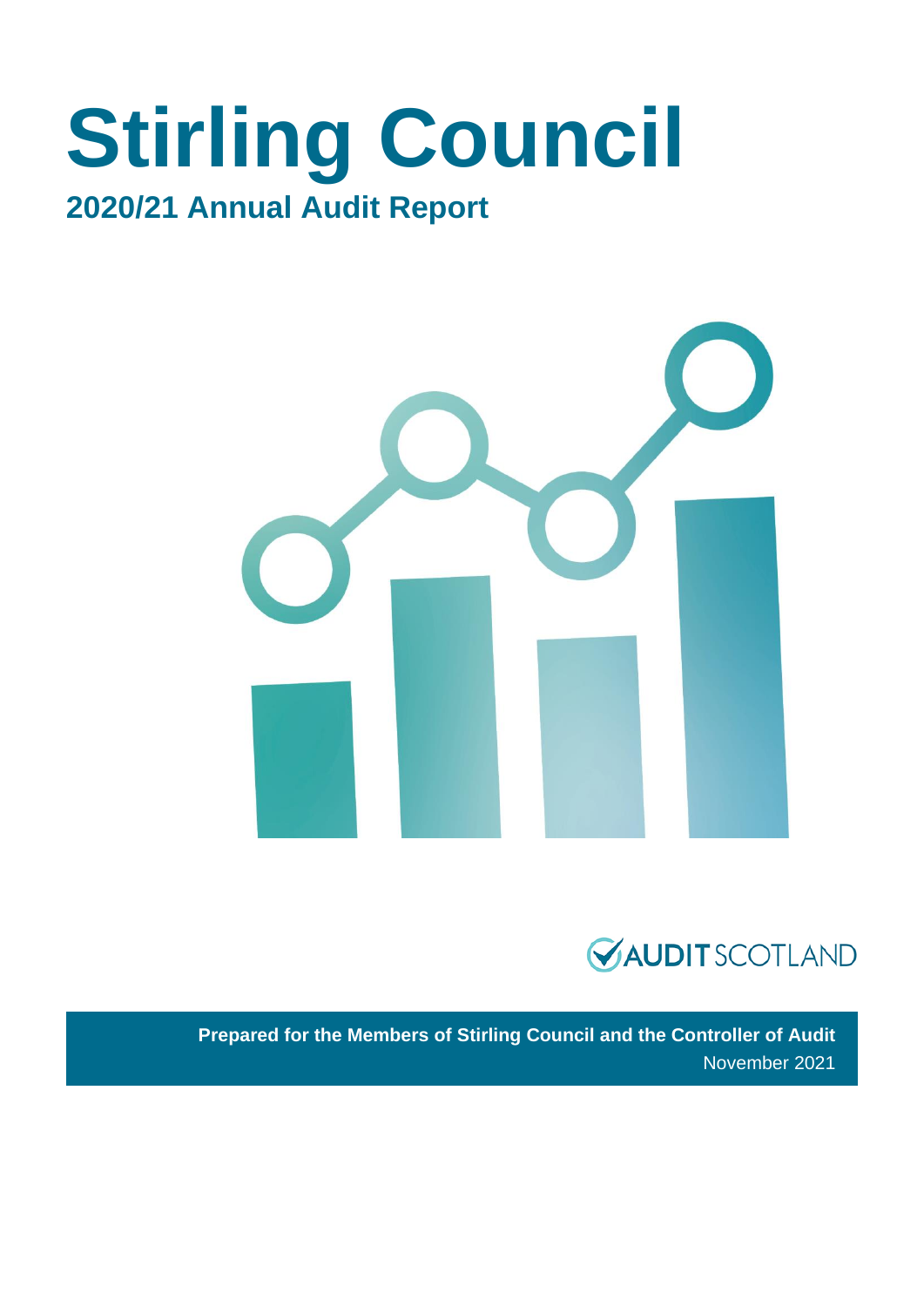# **Stirling Council 2020/21 Annual Audit Report**





**Prepared for the Members of Stirling Council and the Controller of Audit** November 2021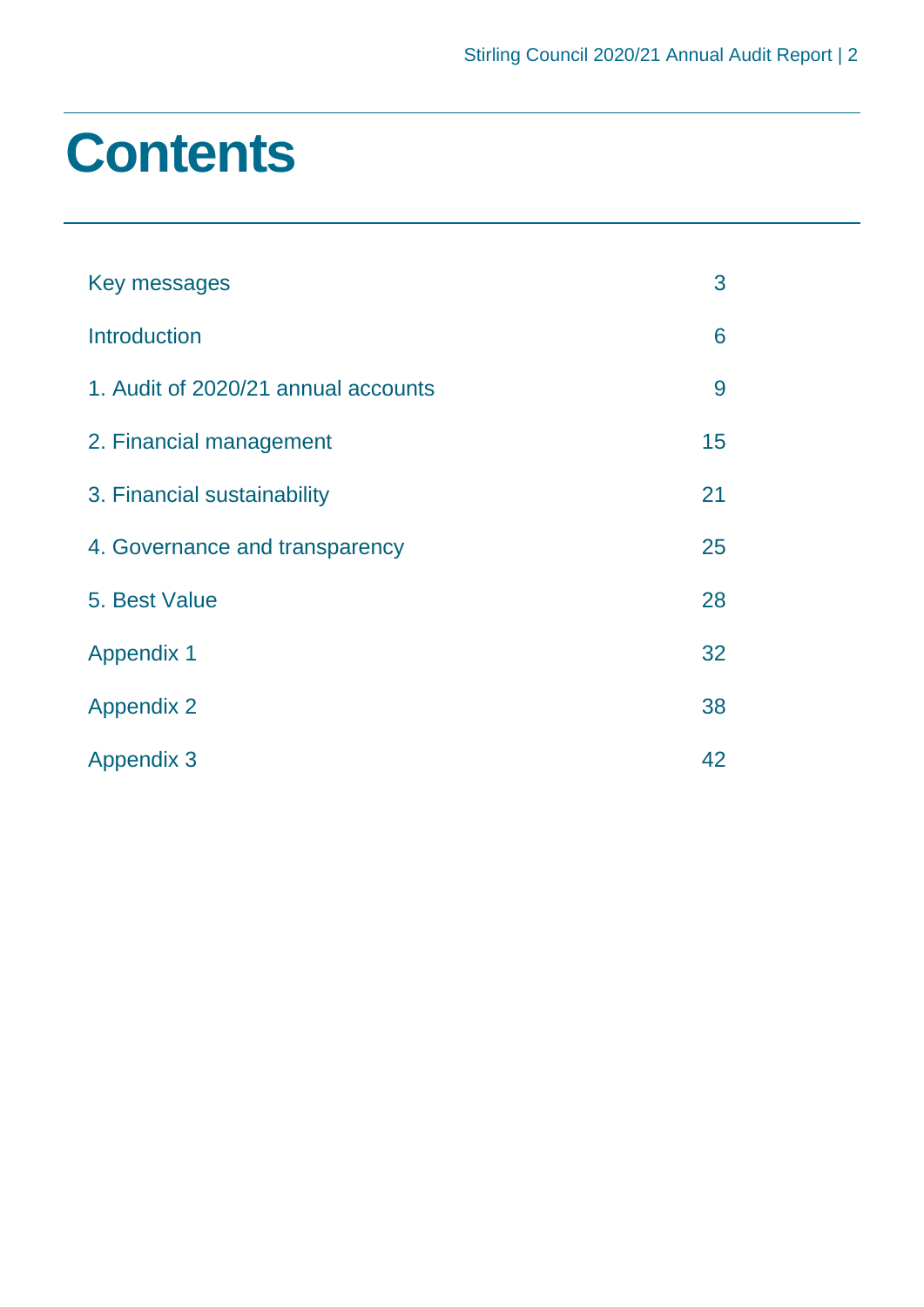# **Contents**

| Key messages                        | 3  |
|-------------------------------------|----|
| <b>Introduction</b>                 | 6  |
| 1. Audit of 2020/21 annual accounts | 9  |
| 2. Financial management             | 15 |
| 3. Financial sustainability         | 21 |
| 4. Governance and transparency      | 25 |
| 5. Best Value                       | 28 |
| <b>Appendix 1</b>                   | 32 |
| <b>Appendix 2</b>                   | 38 |
| <b>Appendix 3</b>                   | 42 |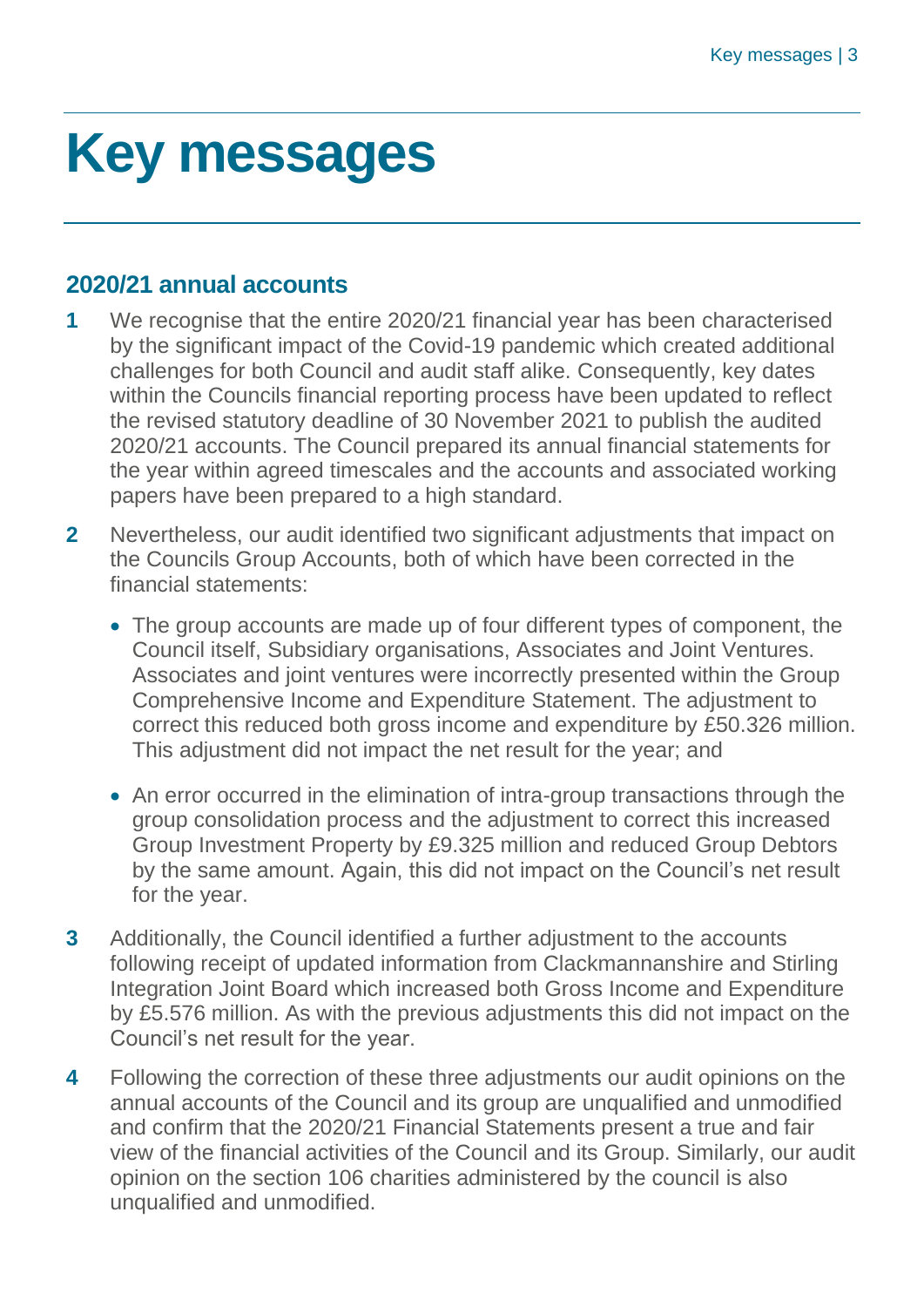# <span id="page-2-0"></span>**Key messages**

# **2020/21 annual accounts**

- **1** We recognise that the entire 2020/21 financial year has been characterised by the significant impact of the Covid-19 pandemic which created additional challenges for both Council and audit staff alike. Consequently, key dates within the Councils financial reporting process have been updated to reflect the revised statutory deadline of 30 November 2021 to publish the audited 2020/21 accounts. The Council prepared its annual financial statements for the year within agreed timescales and the accounts and associated working papers have been prepared to a high standard.
- **2** Nevertheless, our audit identified two significant adjustments that impact on the Councils Group Accounts, both of which have been corrected in the financial statements:
	- The group accounts are made up of four different types of component, the Council itself, Subsidiary organisations, Associates and Joint Ventures. Associates and joint ventures were incorrectly presented within the Group Comprehensive Income and Expenditure Statement. The adjustment to correct this reduced both gross income and expenditure by £50.326 million. This adjustment did not impact the net result for the year; and
	- An error occurred in the elimination of intra-group transactions through the group consolidation process and the adjustment to correct this increased Group Investment Property by £9.325 million and reduced Group Debtors by the same amount. Again, this did not impact on the Council's net result for the year.
- **3** Additionally, the Council identified a further adjustment to the accounts following receipt of updated information from Clackmannanshire and Stirling Integration Joint Board which increased both Gross Income and Expenditure by £5.576 million. As with the previous adjustments this did not impact on the Council's net result for the year.
- **4** Following the correction of these three adjustments our audit opinions on the annual accounts of the Council and its group are unqualified and unmodified and confirm that the 2020/21 Financial Statements present a true and fair view of the financial activities of the Council and its Group. Similarly, our audit opinion on the section 106 charities administered by the council is also unqualified and unmodified.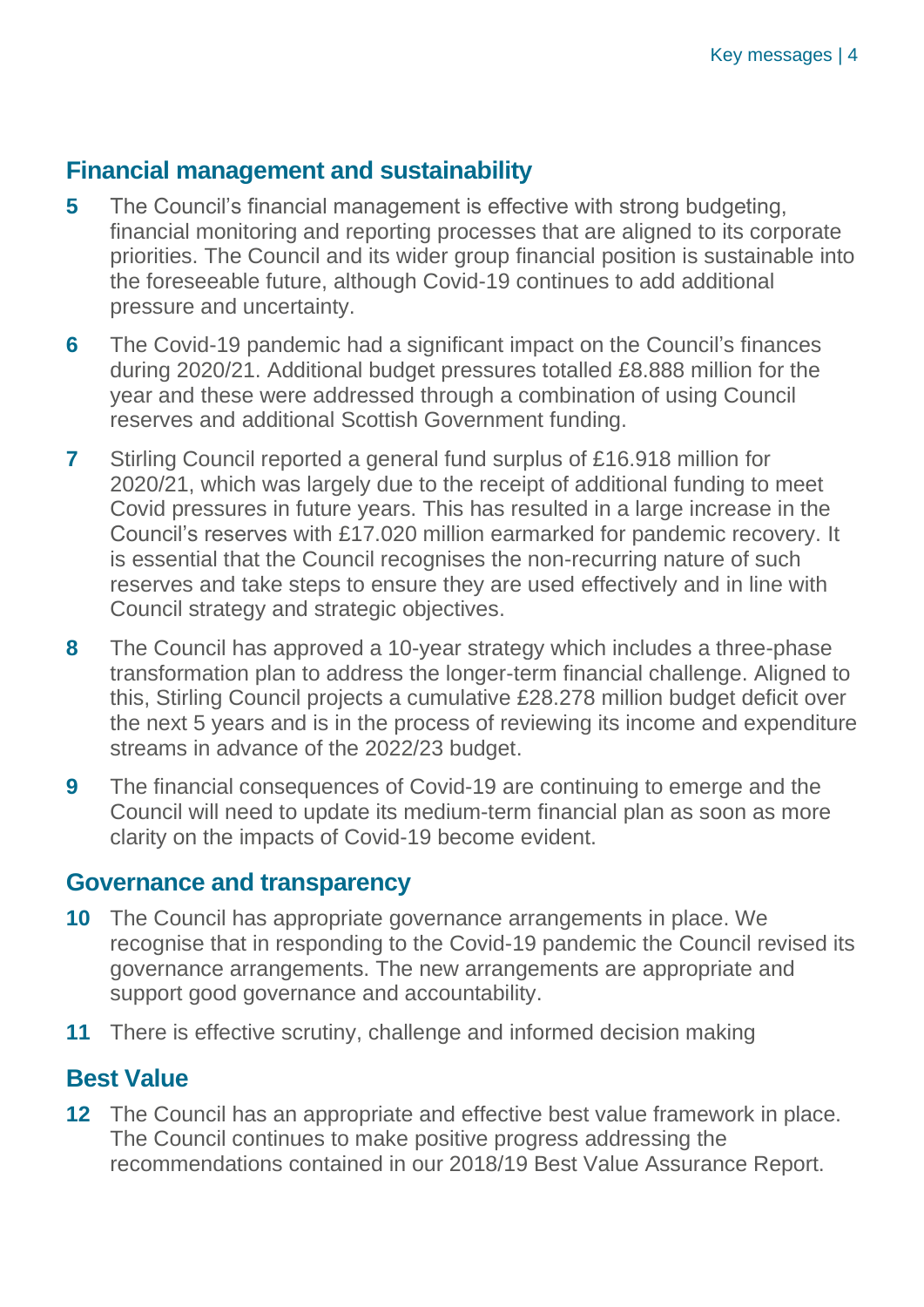# **Financial management and sustainability**

- **5** The Council's financial management is effective with strong budgeting, financial monitoring and reporting processes that are aligned to its corporate priorities. The Council and its wider group financial position is sustainable into the foreseeable future, although Covid-19 continues to add additional pressure and uncertainty.
- **6** The Covid-19 pandemic had a significant impact on the Council's finances during 2020/21. Additional budget pressures totalled £8.888 million for the year and these were addressed through a combination of using Council reserves and additional Scottish Government funding.
- **7** Stirling Council reported a general fund surplus of £16.918 million for 2020/21, which was largely due to the receipt of additional funding to meet Covid pressures in future years. This has resulted in a large increase in the Council's reserves with £17.020 million earmarked for pandemic recovery. It is essential that the Council recognises the non-recurring nature of such reserves and take steps to ensure they are used effectively and in line with Council strategy and strategic objectives.
- **8** The Council has approved a 10-year strategy which includes a three-phase transformation plan to address the longer-term financial challenge. Aligned to this, Stirling Council projects a cumulative £28.278 million budget deficit over the next 5 years and is in the process of reviewing its income and expenditure streams in advance of the 2022/23 budget.
- **9** The financial consequences of Covid-19 are continuing to emerge and the Council will need to update its medium-term financial plan as soon as more clarity on the impacts of Covid-19 become evident.

# **Governance and transparency**

- **10** The Council has appropriate governance arrangements in place. We recognise that in responding to the Covid-19 pandemic the Council revised its governance arrangements. The new arrangements are appropriate and support good governance and accountability.
- **11** There is effective scrutiny, challenge and informed decision making

# **Best Value**

**12** The Council has an appropriate and effective best value framework in place. The Council continues to make positive progress addressing the recommendations contained in our 2018/19 Best Value Assurance Report.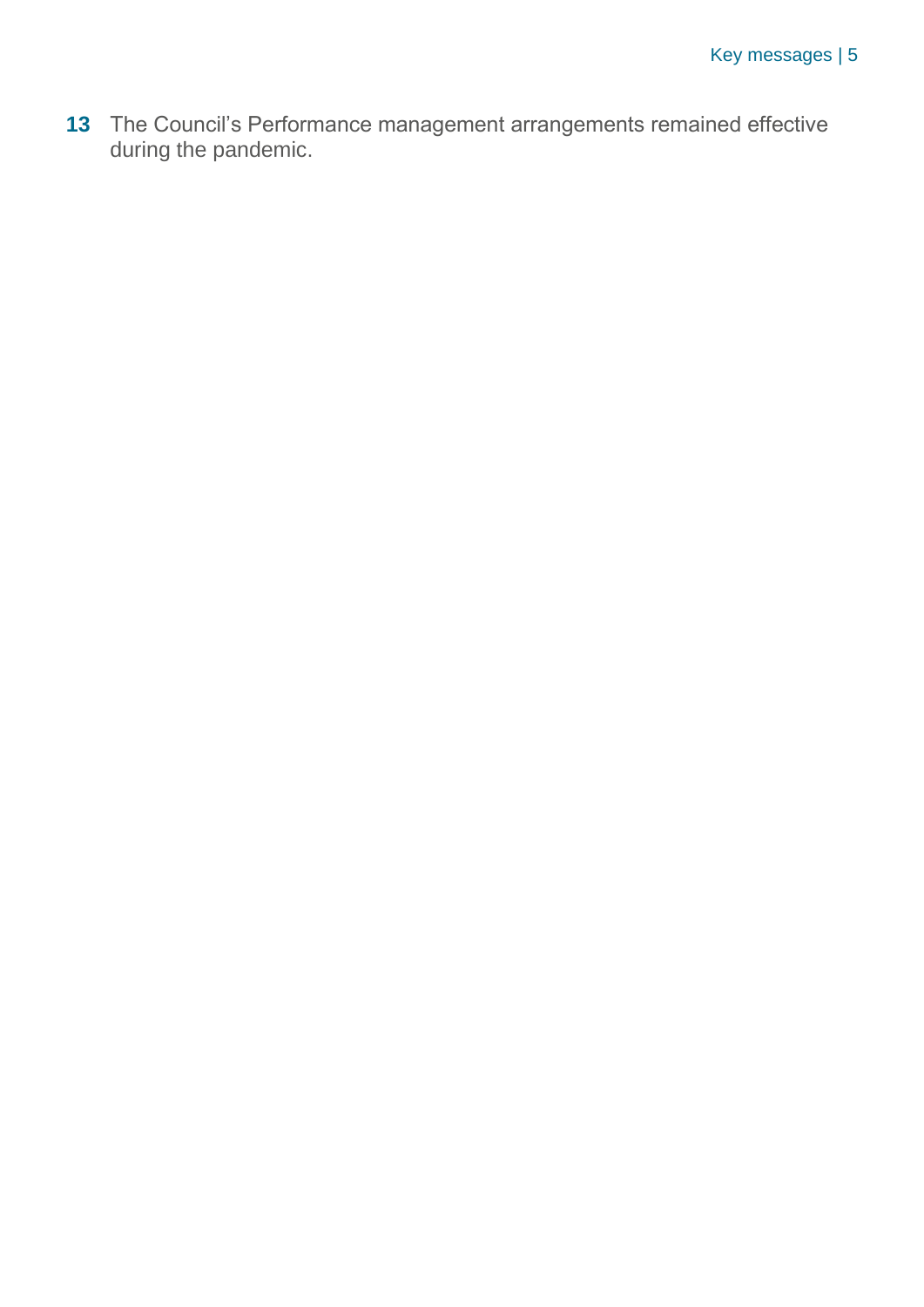**13** The Council's Performance management arrangements remained effective during the pandemic.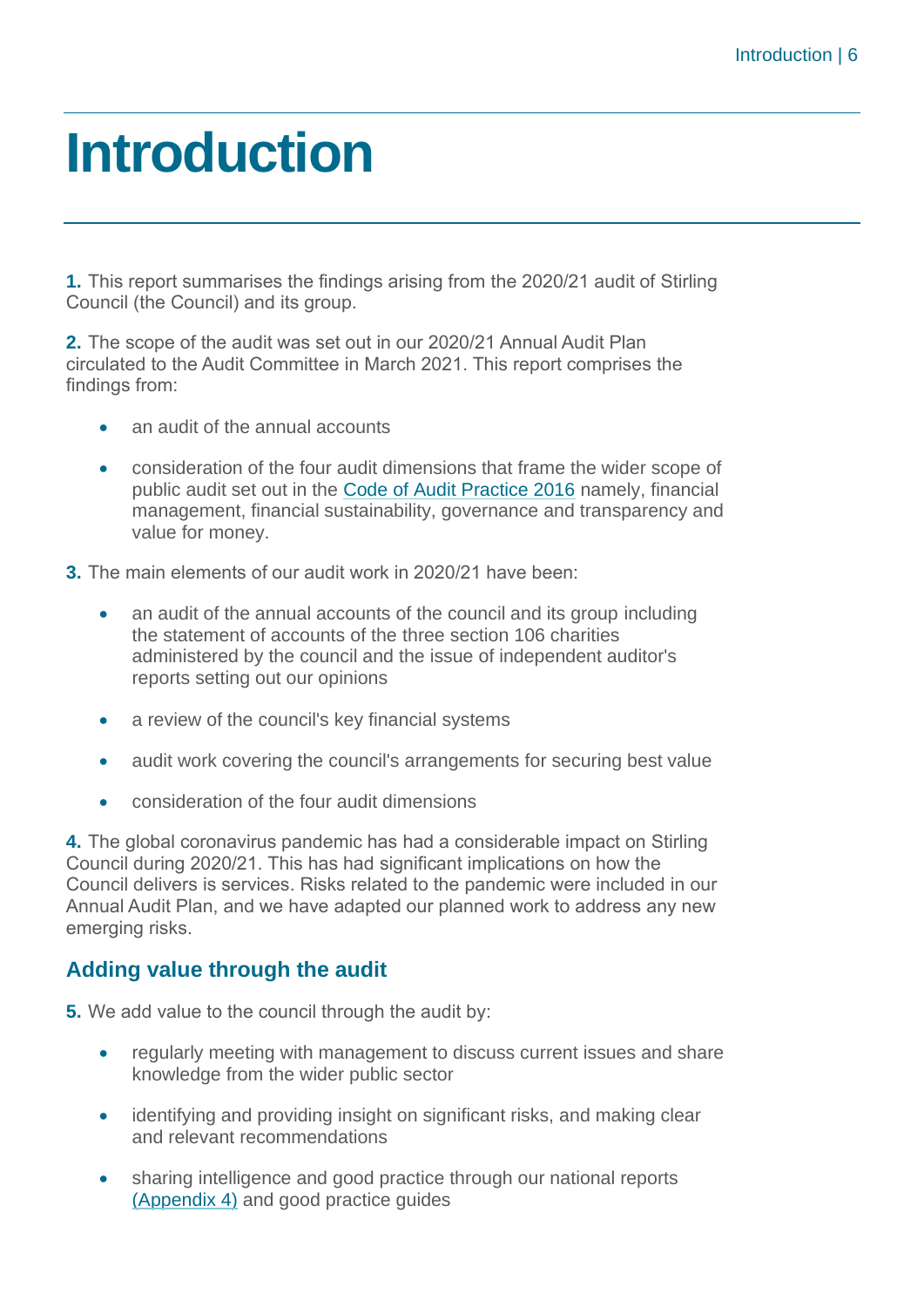# <span id="page-5-0"></span>**Introduction**

**1.** This report summarises the findings arising from the 2020/21 audit of Stirling Council (the Council) and its group.

**2.** The scope of the audit was set out in our 2020/21 Annual Audit Plan circulated to the Audit Committee in March 2021. This report comprises the findings from:

- an audit of the annual accounts
- consideration of the four audit dimensions that frame the wider scope of public audit set out in the [Code of Audit Practice 2016](http://www.audit-scotland.gov.uk/report/code-of-audit-practice-2016) namely, financial management, financial sustainability, governance and transparency and value for money.
- **3.** The main elements of our audit work in 2020/21 have been:
	- an audit of the annual accounts of the council and its group including the statement of accounts of the three section 106 charities administered by the council and the issue of independent auditor's reports setting out our opinions
	- a review of the council's key financial systems
	- audit work covering the council's arrangements for securing best value
	- consideration of the four audit dimensions

**4.** The global coronavirus pandemic has had a considerable impact on Stirling Council during 2020/21. This has had significant implications on how the Council delivers is services. Risks related to the pandemic were included in our Annual Audit Plan, and we have adapted our planned work to address any new emerging risks.

# **Adding value through the audit**

**5.** We add value to the council through the audit by:

- regularly meeting with management to discuss current issues and share knowledge from the wider public sector
- identifying and providing insight on significant risks, and making clear and relevant recommendations
- sharing intelligence and good practice through our national reports [\(Appendix 4\)](#page-41-0) and good practice guides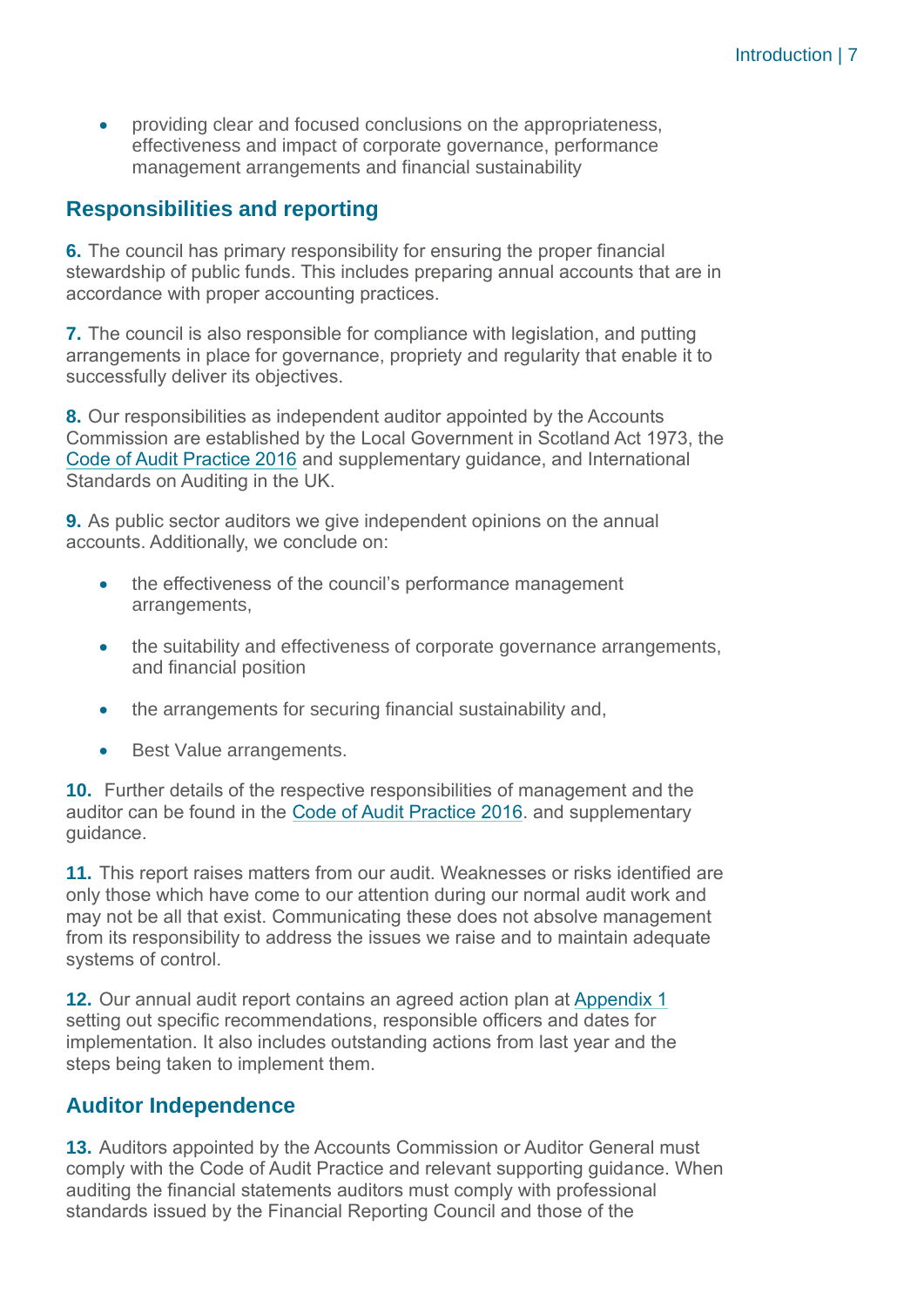• providing clear and focused conclusions on the appropriateness, effectiveness and impact of corporate governance, performance management arrangements and financial sustainability

# **Responsibilities and reporting**

**6.** The council has primary responsibility for ensuring the proper financial stewardship of public funds. This includes preparing annual accounts that are in accordance with proper accounting practices.

**7.** The council is also responsible for compliance with legislation, and putting arrangements in place for governance, propriety and regularity that enable it to successfully deliver its objectives.

**8.** Our responsibilities as independent auditor appointed by the Accounts Commission are established by the Local Government in Scotland Act 1973, the [Code of Audit Practice 2016](http://www.audit-scotland.gov.uk/report/code-of-audit-practice-2016) and supplementary guidance, and International Standards on Auditing in the UK.

**9.** As public sector auditors we give independent opinions on the annual accounts. Additionally, we conclude on:

- the effectiveness of the council's performance management arrangements,
- the suitability and effectiveness of corporate governance arrangements, and financial position
- the arrangements for securing financial sustainability and,
- Best Value arrangements.

**10.** Further details of the respective responsibilities of management and the auditor can be found in the [Code of Audit Practice 2016.](http://www.audit-scotland.gov.uk/report/code-of-audit-practice-2016) and supplementary guidance.

**11.** This report raises matters from our audit. Weaknesses or risks identified are only those which have come to our attention during our normal audit work and may not be all that exist. Communicating these does not absolve management from its responsibility to address the issues we raise and to maintain adequate systems of control.

**12.** Our annual audit report contains an agreed action plan at [Appendix 1](#page-31-0) setting out specific recommendations, responsible officers and dates for implementation. It also includes outstanding actions from last year and the steps being taken to implement them.

# **Auditor Independence**

**13.** Auditors appointed by the Accounts Commission or Auditor General must comply with the Code of Audit Practice and relevant supporting guidance. When auditing the financial statements auditors must comply with professional standards issued by the Financial Reporting Council and those of the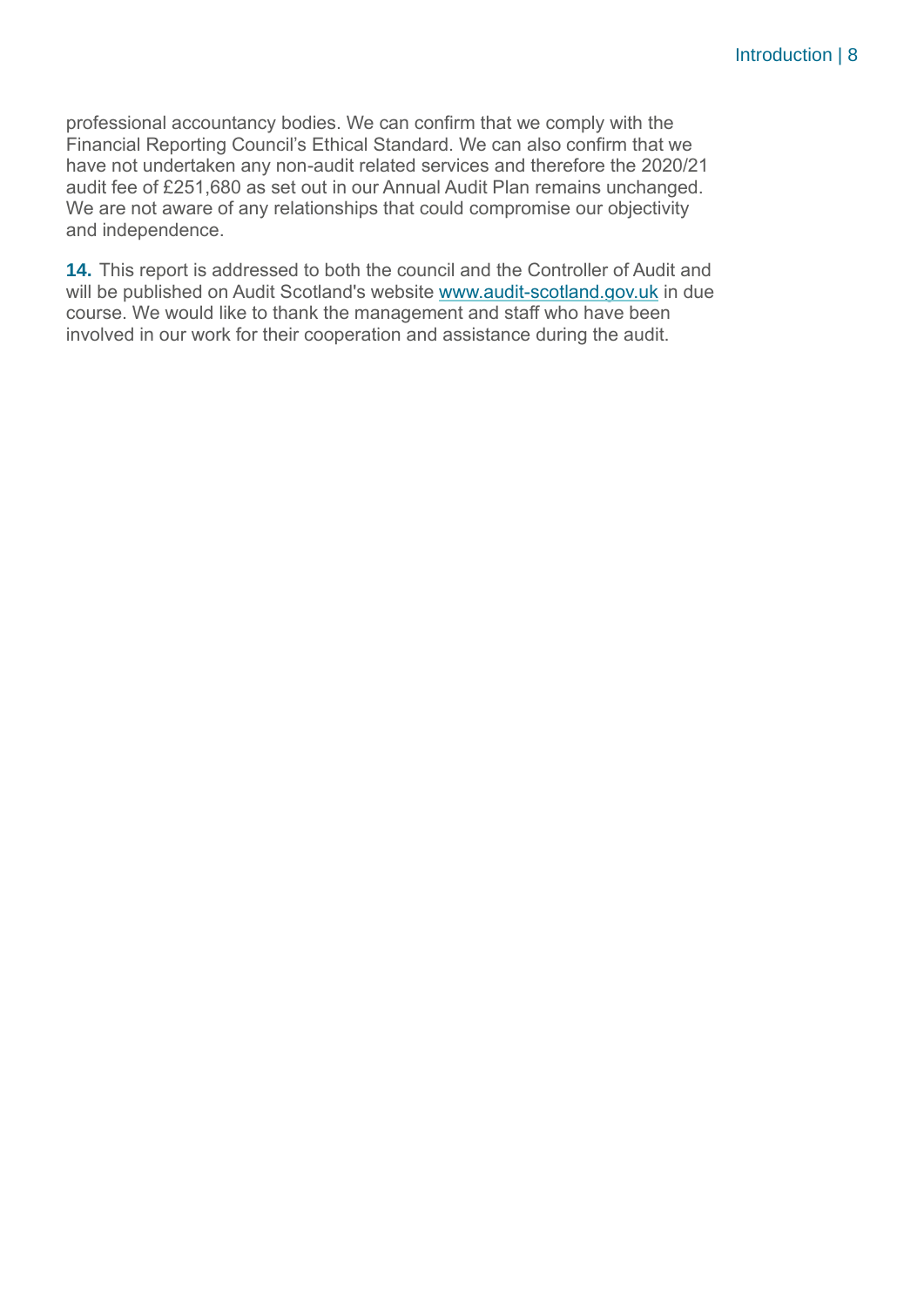professional accountancy bodies. We can confirm that we comply with the Financial Reporting Council's Ethical Standard. We can also confirm that we have not undertaken any non-audit related services and therefore the 2020/21 audit fee of £251,680 as set out in our Annual Audit Plan remains unchanged. We are not aware of any relationships that could compromise our objectivity and independence.

**14.** This report is addressed to both the council and the Controller of Audit and will be published on Audit Scotland's website [www.audit-scotland.gov.uk](http://www.audit-scotland.gov.uk/) in due course. We would like to thank the management and staff who have been involved in our work for their cooperation and assistance during the audit.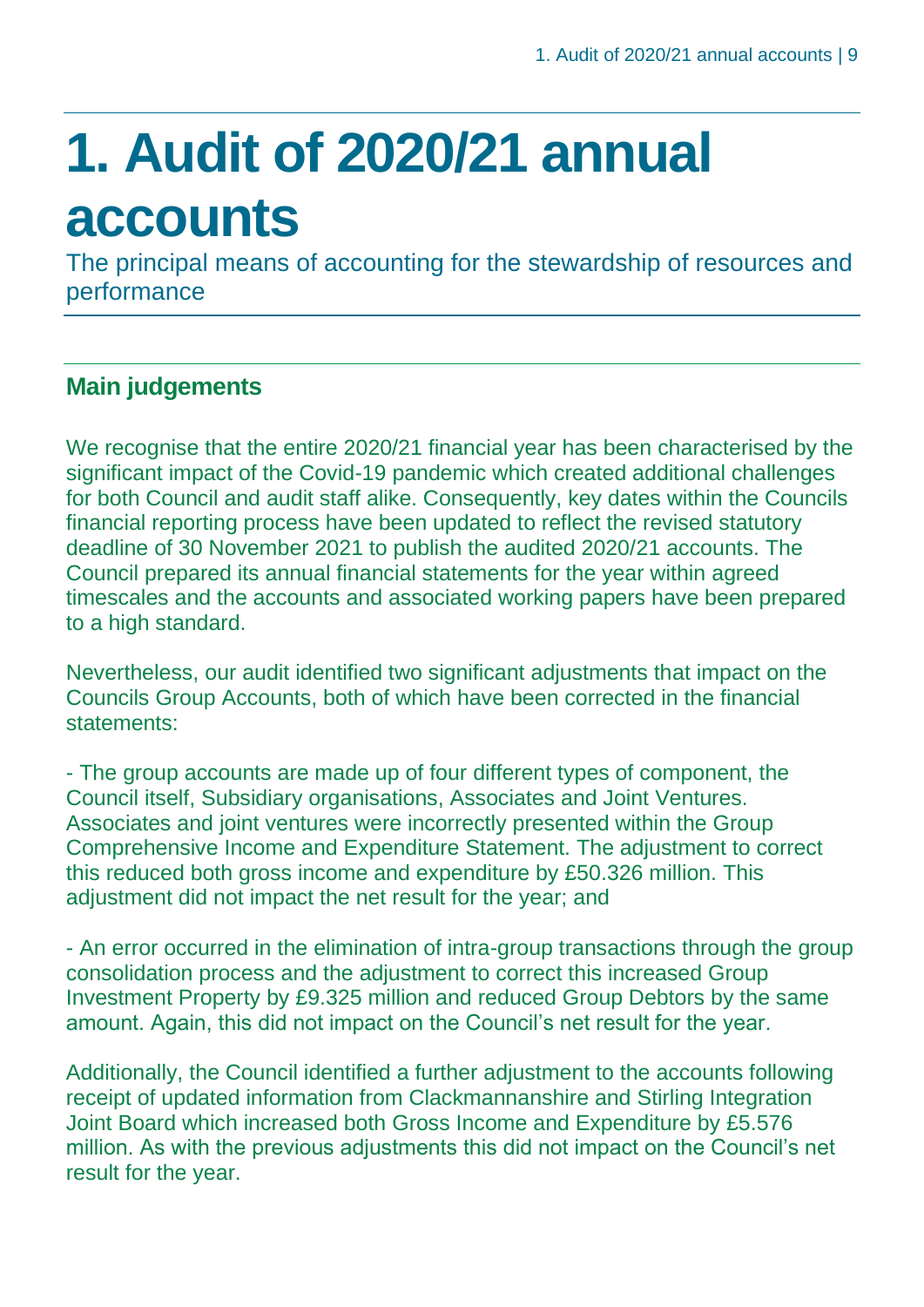# <span id="page-8-0"></span>**1. Audit of 2020/21 annual accounts**

The principal means of accounting for the stewardship of resources and performance

# **Main judgements**

We recognise that the entire 2020/21 financial year has been characterised by the significant impact of the Covid-19 pandemic which created additional challenges for both Council and audit staff alike. Consequently, key dates within the Councils financial reporting process have been updated to reflect the revised statutory deadline of 30 November 2021 to publish the audited 2020/21 accounts. The Council prepared its annual financial statements for the year within agreed timescales and the accounts and associated working papers have been prepared to a high standard.

Nevertheless, our audit identified two significant adjustments that impact on the Councils Group Accounts, both of which have been corrected in the financial statements:

- The group accounts are made up of four different types of component, the Council itself, Subsidiary organisations, Associates and Joint Ventures. Associates and joint ventures were incorrectly presented within the Group Comprehensive Income and Expenditure Statement. The adjustment to correct this reduced both gross income and expenditure by £50.326 million. This adjustment did not impact the net result for the year; and

- An error occurred in the elimination of intra-group transactions through the group consolidation process and the adjustment to correct this increased Group Investment Property by £9.325 million and reduced Group Debtors by the same amount. Again, this did not impact on the Council's net result for the year.

Additionally, the Council identified a further adjustment to the accounts following receipt of updated information from Clackmannanshire and Stirling Integration Joint Board which increased both Gross Income and Expenditure by £5.576 million. As with the previous adjustments this did not impact on the Council's net result for the year.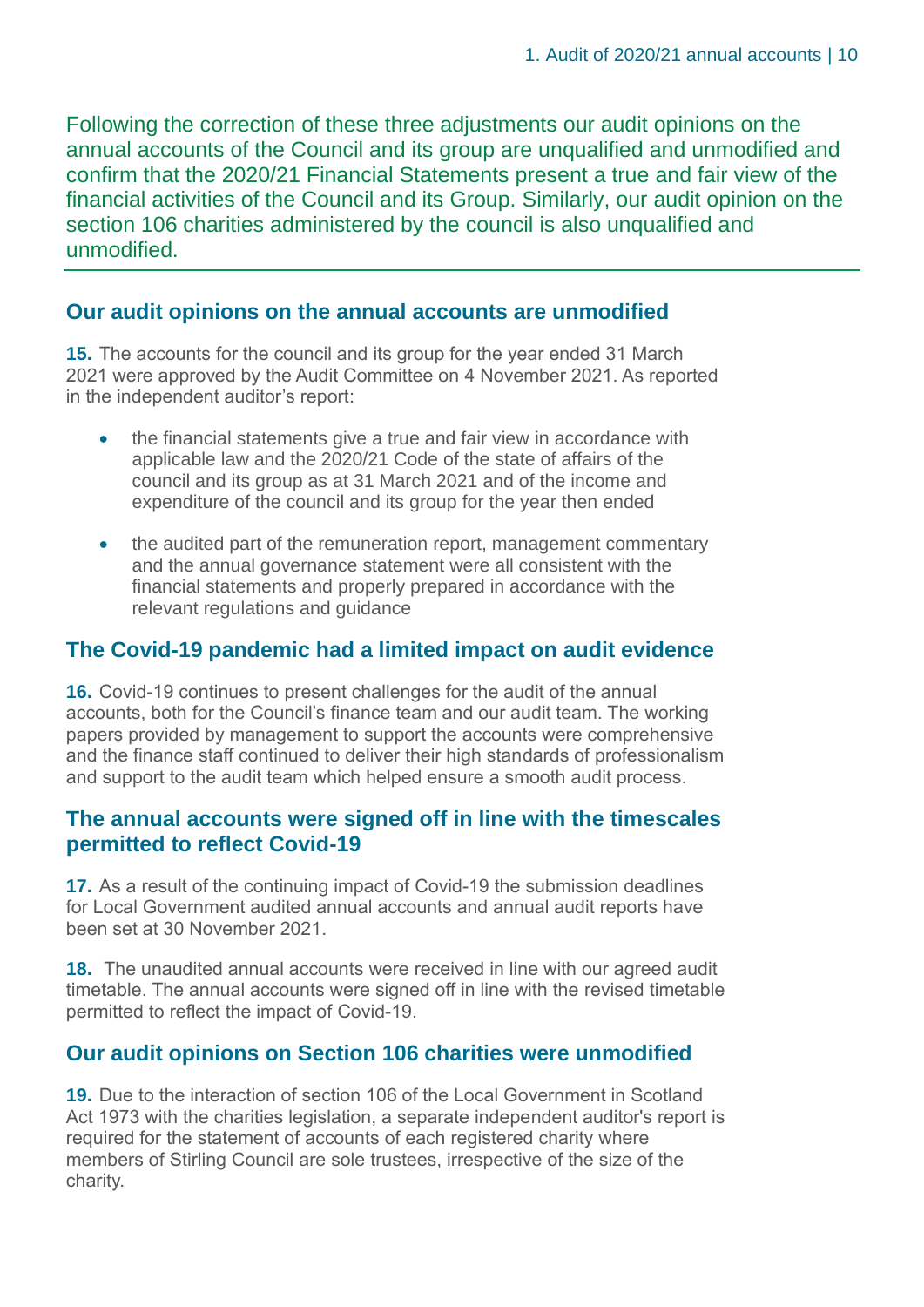Following the correction of these three adjustments our audit opinions on the annual accounts of the Council and its group are unqualified and unmodified and confirm that the 2020/21 Financial Statements present a true and fair view of the financial activities of the Council and its Group. Similarly, our audit opinion on the section 106 charities administered by the council is also unqualified and unmodified.

# **Our audit opinions on the annual accounts are unmodified**

**15.** The accounts for the council and its group for the year ended 31 March 2021 were approved by the Audit Committee on 4 November 2021. As reported in the independent auditor's report:

- the financial statements give a true and fair view in accordance with applicable law and the 2020/21 Code of the state of affairs of the council and its group as at 31 March 2021 and of the income and expenditure of the council and its group for the year then ended
- the audited part of the remuneration report, management commentary and the annual governance statement were all consistent with the financial statements and properly prepared in accordance with the relevant regulations and guidance

# **The Covid-19 pandemic had a limited impact on audit evidence**

**16.** Covid-19 continues to present challenges for the audit of the annual accounts, both for the Council's finance team and our audit team. The working papers provided by management to support the accounts were comprehensive and the finance staff continued to deliver their high standards of professionalism and support to the audit team which helped ensure a smooth audit process.

# **The annual accounts were signed off in line with the timescales permitted to reflect Covid-19**

**17.** As a result of the continuing impact of Covid-19 the submission deadlines for Local Government audited annual accounts and annual audit reports have been set at 30 November 2021.

**18.** The unaudited annual accounts were received in line with our agreed audit timetable. The annual accounts were signed off in line with the revised timetable permitted to reflect the impact of Covid-19.

# **Our audit opinions on Section 106 charities were unmodified**

**19.** Due to the interaction of section 106 of the Local Government in Scotland Act 1973 with the charities legislation, a separate independent auditor's report is required for the statement of accounts of each registered charity where members of Stirling Council are sole trustees, irrespective of the size of the charity.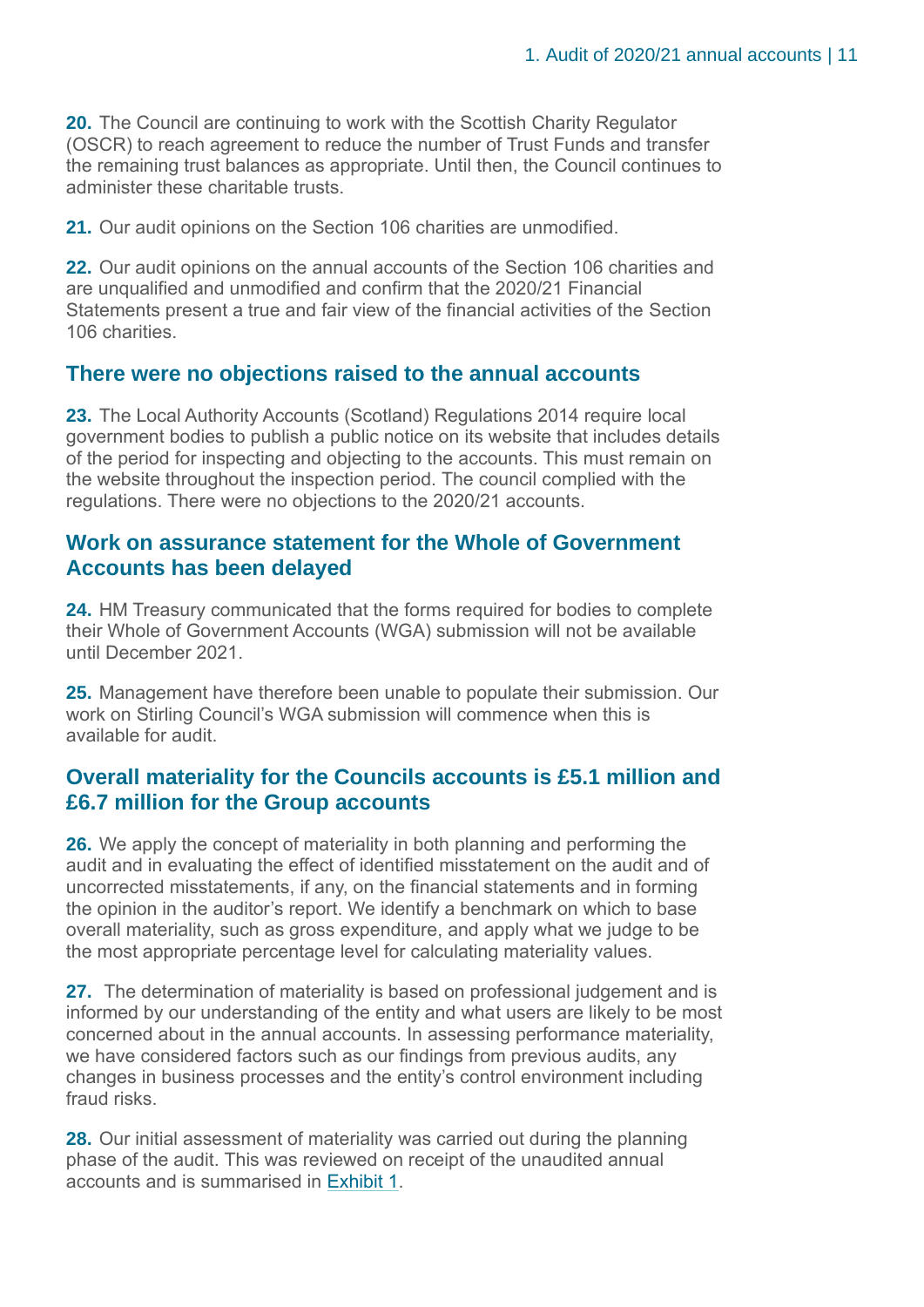**20.** The Council are continuing to work with the Scottish Charity Regulator (OSCR) to reach agreement to reduce the number of Trust Funds and transfer the remaining trust balances as appropriate. Until then, the Council continues to administer these charitable trusts.

**21.** Our audit opinions on the Section 106 charities are unmodified.

**22.** Our audit opinions on the annual accounts of the Section 106 charities and are unqualified and unmodified and confirm that the 2020/21 Financial Statements present a true and fair view of the financial activities of the Section 106 charities.

## **There were no objections raised to the annual accounts**

**23.** The Local Authority Accounts (Scotland) Regulations 2014 require local government bodies to publish a public notice on its website that includes details of the period for inspecting and objecting to the accounts. This must remain on the website throughout the inspection period. The council complied with the regulations. There were no objections to the 2020/21 accounts.

### **Work on assurance statement for the Whole of Government Accounts has been delayed**

**24.** HM Treasury communicated that the forms required for bodies to complete their Whole of Government Accounts (WGA) submission will not be available until December 2021.

**25.** Management have therefore been unable to populate their submission. Our work on Stirling Council's WGA submission will commence when this is available for audit.

# **Overall materiality for the Councils accounts is £5.1 million and £6.7 million for the Group accounts**

**26.** We apply the concept of materiality in both planning and performing the audit and in evaluating the effect of identified misstatement on the audit and of uncorrected misstatements, if any, on the financial statements and in forming the opinion in the auditor's report. We identify a benchmark on which to base overall materiality, such as gross expenditure, and apply what we judge to be the most appropriate percentage level for calculating materiality values.

**27.** The determination of materiality is based on professional judgement and is informed by our understanding of the entity and what users are likely to be most concerned about in the annual accounts. In assessing performance materiality, we have considered factors such as our findings from previous audits, any changes in business processes and the entity's control environment including fraud risks.

**28.** Our initial assessment of materiality was carried out during the planning phase of the audit. This was reviewed on receipt of the unaudited annual accounts and is summarised in [Exhibit 1.](#page-11-0)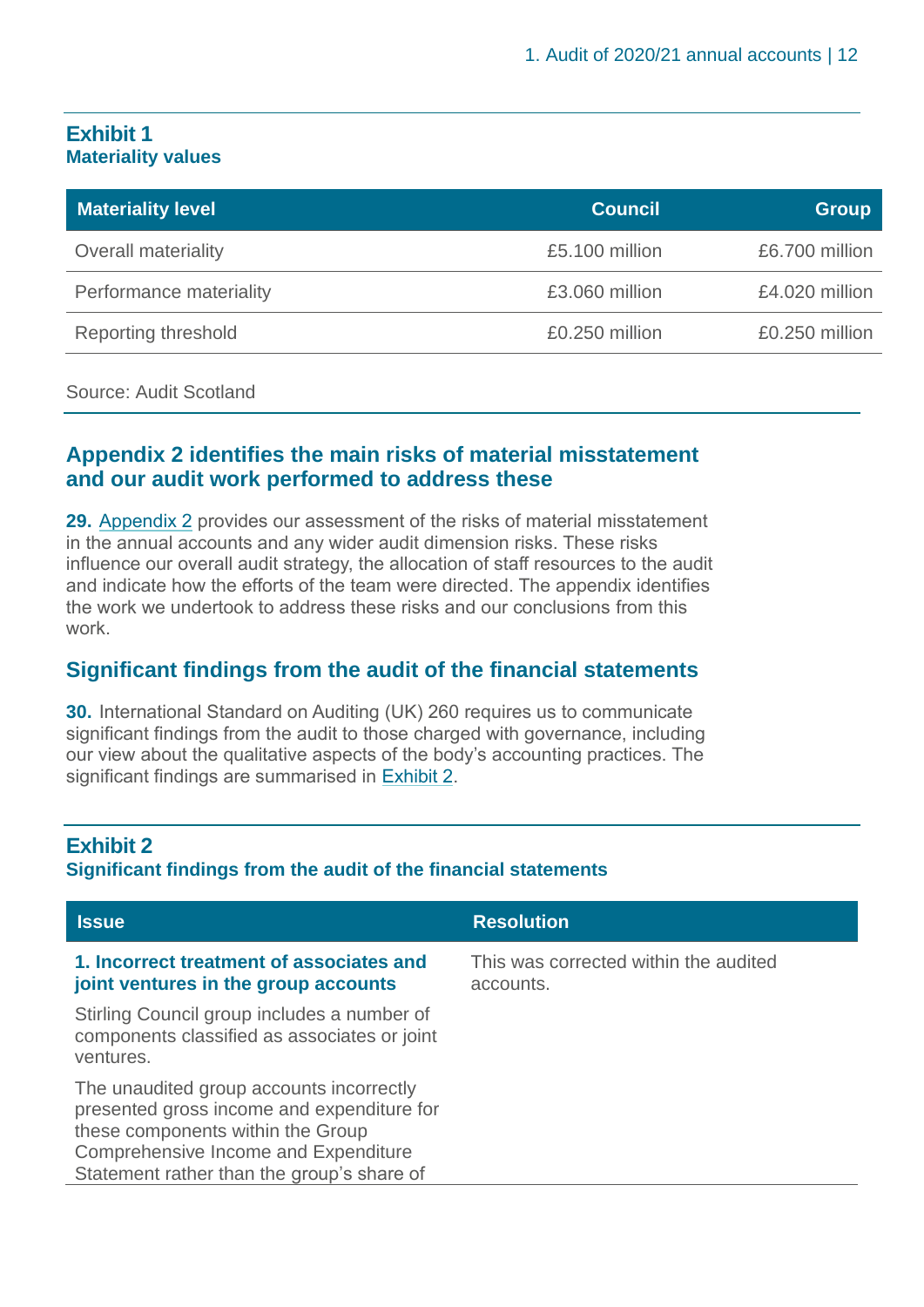### <span id="page-11-0"></span>**Exhibit 1 Materiality values**

| <b>Materiality level</b>   | <b>Council</b> | <b>Group</b>   |
|----------------------------|----------------|----------------|
| <b>Overall materiality</b> | £5.100 million | £6.700 million |
| Performance materiality    | £3.060 million | £4.020 million |
| Reporting threshold        | £0.250 million | £0.250 million |

#### Source: Audit Scotland

## **Appendix 2 identifies the main risks of material misstatement and our audit work performed to address these**

**29.** Appendix 2 [provides our assessment of the risks of material misstatement](#page-37-0)  [in the annual accounts and any wider audit dimension risks. These risks](#page-37-0)  [influence our overall audit strategy, the allocation of staff resources to the audit](#page-37-0)  [and indicate how the efforts of the team were directed. The appendix identifies](#page-37-0)  [the work we undertook to address these risks and our conclusions](#page-37-0) from this [work.](#page-37-0) 

## **Significant findings from the audit of the financial statements**

**30.** International Standard on Auditing (UK) 260 requires us to communicate significant findings from the audit to those charged with governance, including our view about the qualitative aspects of the body's accounting practices. The significant findings are summarised in [Exhibit 2.](#page-11-1)

### <span id="page-11-1"></span>**Exhibit 2 Significant findings from the audit of the financial statements**

| <b>Issue</b>                                                                                                                                                                                                      | <b>Resolution</b>                                  |
|-------------------------------------------------------------------------------------------------------------------------------------------------------------------------------------------------------------------|----------------------------------------------------|
| 1. Incorrect treatment of associates and<br>joint ventures in the group accounts                                                                                                                                  | This was corrected within the audited<br>accounts. |
| Stirling Council group includes a number of<br>components classified as associates or joint<br>ventures.                                                                                                          |                                                    |
| The unaudited group accounts incorrectly<br>presented gross income and expenditure for<br>these components within the Group<br>Comprehensive Income and Expenditure<br>Statement rather than the group's share of |                                                    |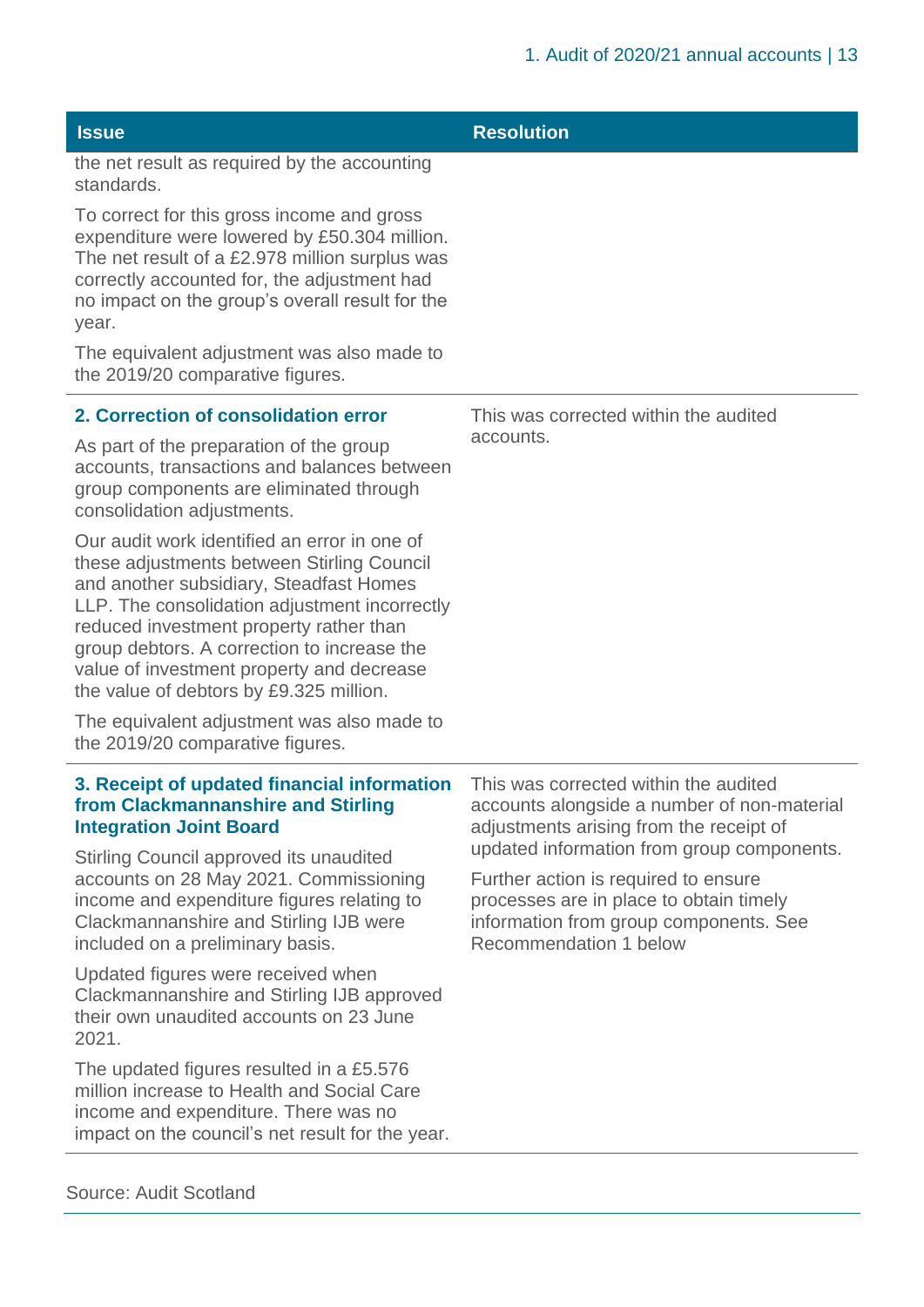| <b>Issue</b>                                                                                                                                                                                                                                                                                                                                                             | <b>Resolution</b>                                                                                                               |
|--------------------------------------------------------------------------------------------------------------------------------------------------------------------------------------------------------------------------------------------------------------------------------------------------------------------------------------------------------------------------|---------------------------------------------------------------------------------------------------------------------------------|
| the net result as required by the accounting<br>standards.                                                                                                                                                                                                                                                                                                               |                                                                                                                                 |
| To correct for this gross income and gross<br>expenditure were lowered by £50.304 million.<br>The net result of a £2.978 million surplus was<br>correctly accounted for, the adjustment had<br>no impact on the group's overall result for the<br>year.                                                                                                                  |                                                                                                                                 |
| The equivalent adjustment was also made to<br>the 2019/20 comparative figures.                                                                                                                                                                                                                                                                                           |                                                                                                                                 |
| 2. Correction of consolidation error                                                                                                                                                                                                                                                                                                                                     | This was corrected within the audited                                                                                           |
| As part of the preparation of the group<br>accounts, transactions and balances between<br>group components are eliminated through<br>consolidation adjustments.                                                                                                                                                                                                          | accounts.                                                                                                                       |
| Our audit work identified an error in one of<br>these adjustments between Stirling Council<br>and another subsidiary, Steadfast Homes<br>LLP. The consolidation adjustment incorrectly<br>reduced investment property rather than<br>group debtors. A correction to increase the<br>value of investment property and decrease<br>the value of debtors by £9.325 million. |                                                                                                                                 |
| The equivalent adjustment was also made to<br>the 2019/20 comparative figures.                                                                                                                                                                                                                                                                                           |                                                                                                                                 |
| 3. Receipt of updated financial information<br>from Clackmannanshire and Stirling<br><b>Integration Joint Board</b>                                                                                                                                                                                                                                                      | This was corrected within the audited<br>accounts alongside a number of non-material<br>adjustments arising from the receipt of |
| Stirling Council approved its unaudited<br>accounts on 28 May 2021. Commissioning                                                                                                                                                                                                                                                                                        | updated information from group components.<br>Further action is required to ensure                                              |
| income and expenditure figures relating to<br>Clackmannanshire and Stirling IJB were<br>included on a preliminary basis.                                                                                                                                                                                                                                                 | processes are in place to obtain timely<br>information from group components. See<br>Recommendation 1 below                     |
| Updated figures were received when<br>Clackmannanshire and Stirling IJB approved<br>their own unaudited accounts on 23 June<br>2021.                                                                                                                                                                                                                                     |                                                                                                                                 |
| The updated figures resulted in a £5.576<br>million increase to Health and Social Care<br>income and expenditure. There was no<br>impact on the council's net result for the year.                                                                                                                                                                                       |                                                                                                                                 |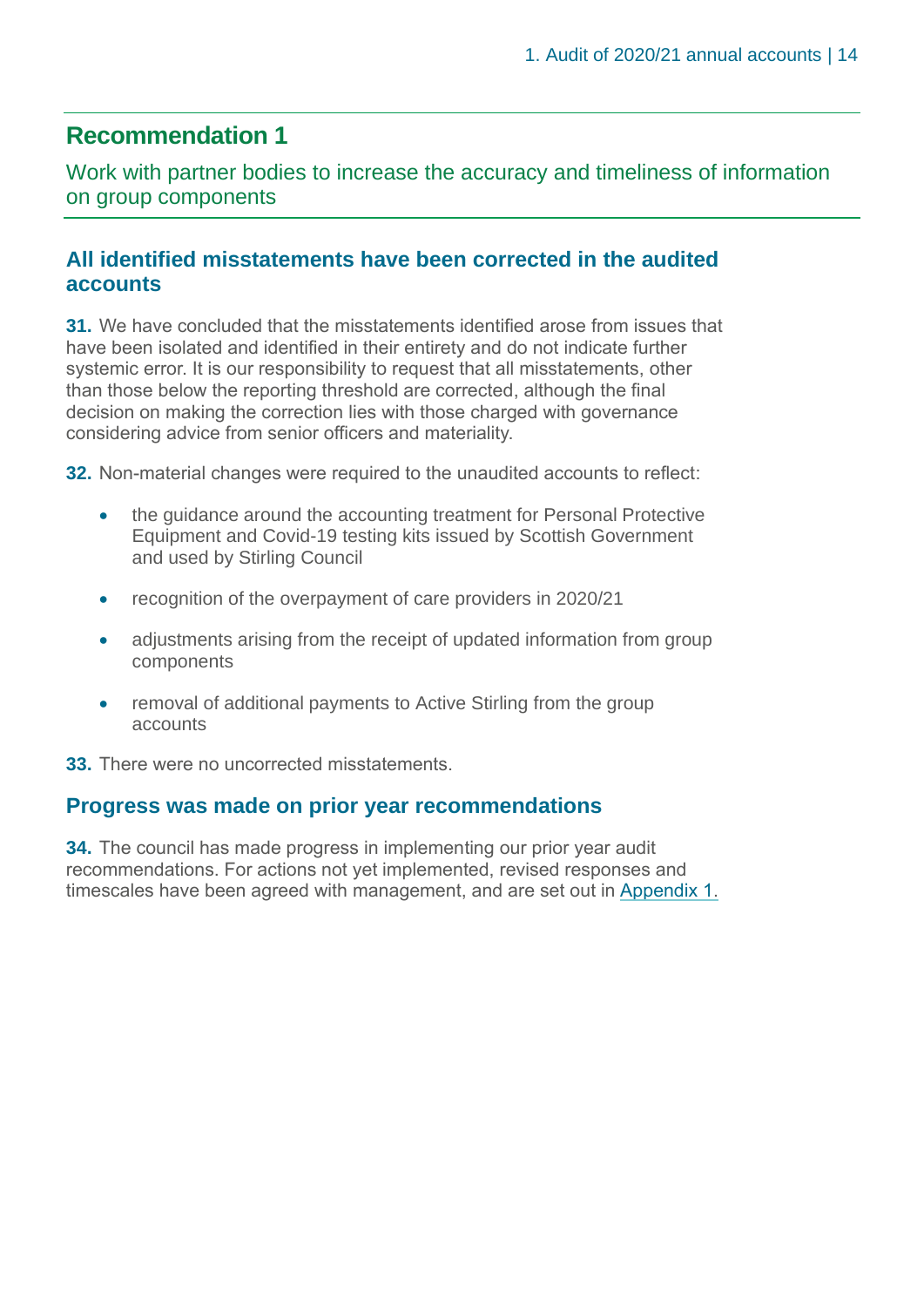# **Recommendation 1**

Work with partner bodies to increase the accuracy and timeliness of information on group components

# **All identified misstatements have been corrected in the audited accounts**

**31.** We have concluded that the misstatements identified arose from issues that have been isolated and identified in their entirety and do not indicate further systemic error. It is our responsibility to request that all misstatements, other than those below the reporting threshold are corrected, although the final decision on making the correction lies with those charged with governance considering advice from senior officers and materiality.

**32.** Non-material changes were required to the unaudited accounts to reflect:

- the guidance around the accounting treatment for Personal Protective Equipment and Covid-19 testing kits issued by Scottish Government and used by Stirling Council
- recognition of the overpayment of care providers in 2020/21
- adjustments arising from the receipt of updated information from group components
- removal of additional payments to Active Stirling from the group accounts
- **33.** There were no uncorrected misstatements.

### **Progress was made on prior year recommendations**

**34.** The council has made progress in implementing our prior year audit recommendations. For actions not yet implemented, revised responses and timescales have been agreed with management, and are set out in [Appendix 1.](#page-31-0)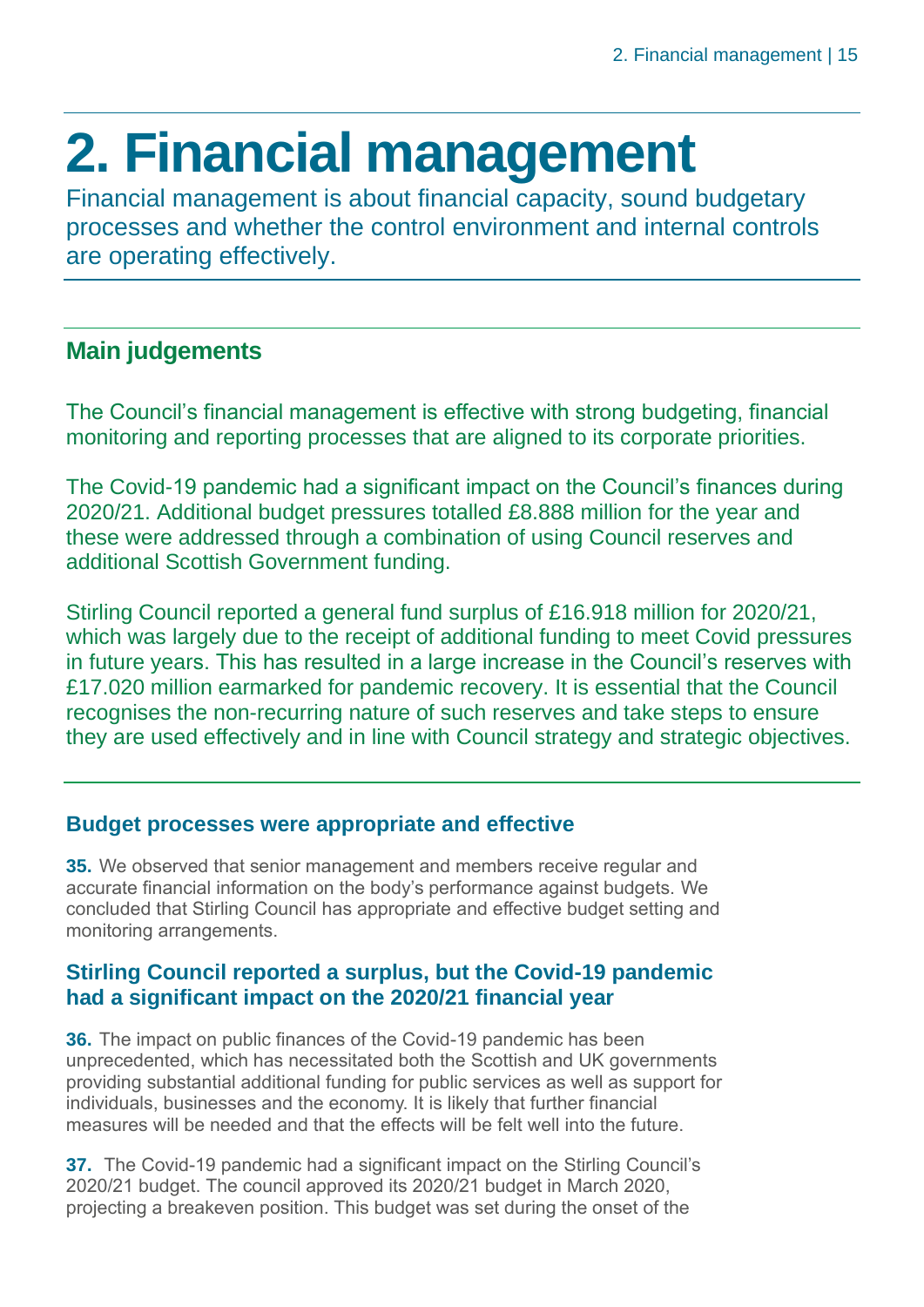# <span id="page-14-0"></span>**2. Financial management**

Financial management is about financial capacity, sound budgetary processes and whether the control environment and internal controls are operating effectively.

# **Main judgements**

The Council's financial management is effective with strong budgeting, financial monitoring and reporting processes that are aligned to its corporate priorities.

The Covid-19 pandemic had a significant impact on the Council's finances during 2020/21. Additional budget pressures totalled £8.888 million for the year and these were addressed through a combination of using Council reserves and additional Scottish Government funding.

Stirling Council reported a general fund surplus of £16.918 million for 2020/21, which was largely due to the receipt of additional funding to meet Covid pressures in future years. This has resulted in a large increase in the Council's reserves with £17.020 million earmarked for pandemic recovery. It is essential that the Council recognises the non-recurring nature of such reserves and take steps to ensure they are used effectively and in line with Council strategy and strategic objectives.

# **Budget processes were appropriate and effective**

**35.** We observed that senior management and members receive regular and accurate financial information on the body's performance against budgets. We concluded that Stirling Council has appropriate and effective budget setting and monitoring arrangements.

# **Stirling Council reported a surplus, but the Covid-19 pandemic had a significant impact on the 2020/21 financial year**

**36.** The impact on public finances of the Covid-19 pandemic has been unprecedented, which has necessitated both the Scottish and UK governments providing substantial additional funding for public services as well as support for individuals, businesses and the economy. It is likely that further financial measures will be needed and that the effects will be felt well into the future.

**37.** The Covid-19 pandemic had a significant impact on the Stirling Council's 2020/21 budget. The council approved its 2020/21 budget in March 2020, projecting a breakeven position. This budget was set during the onset of the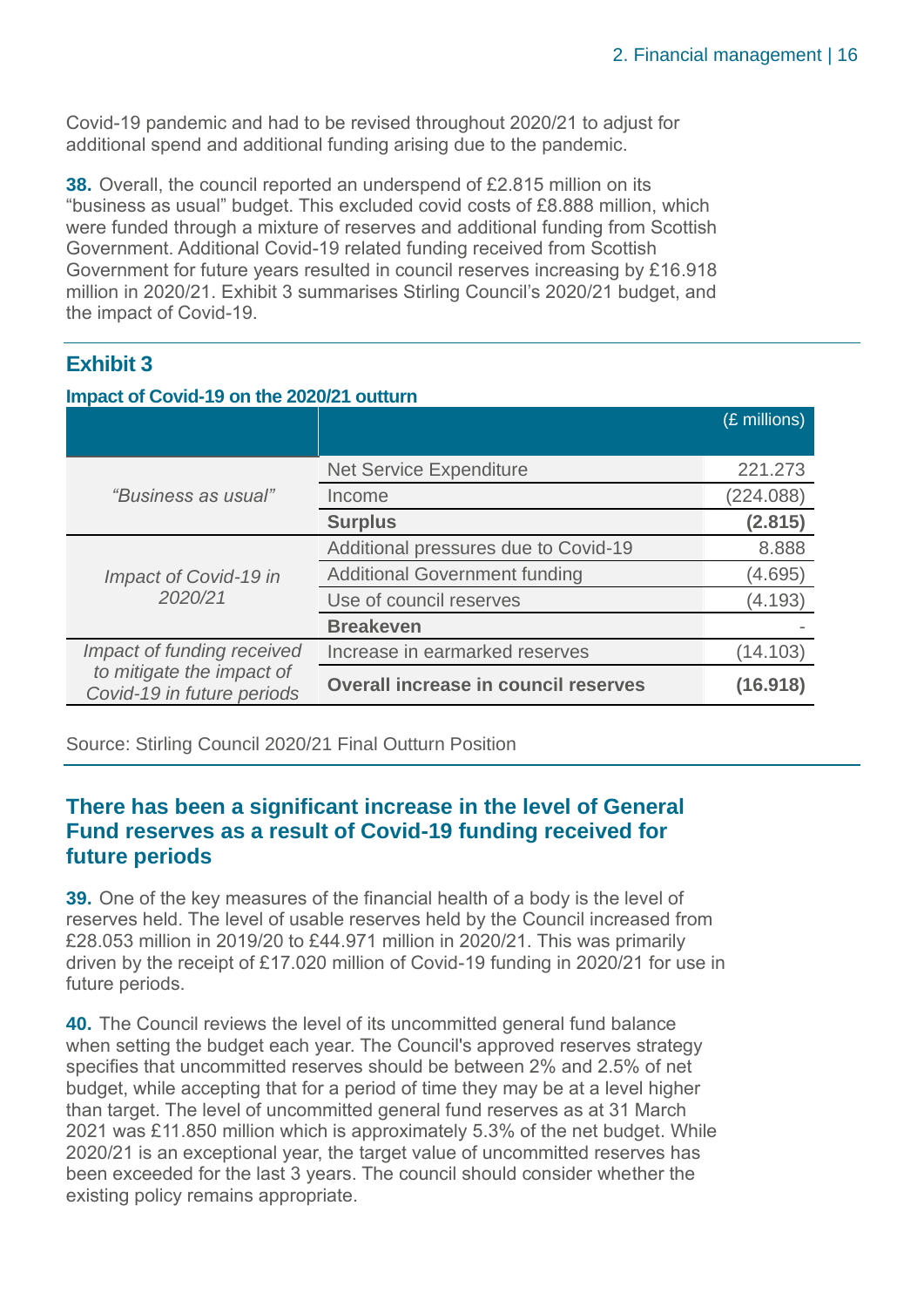Covid-19 pandemic and had to be revised throughout 2020/21 to adjust for additional spend and additional funding arising due to the pandemic.

**38.** Overall, the council reported an underspend of £2.815 million on its "business as usual" budget. This excluded covid costs of £8.888 million, which were funded through a mixture of reserves and additional funding from Scottish Government. Additional Covid-19 related funding received from Scottish Government for future years resulted in council reserves increasing by £16.918 million in 2020/21. Exhibit 3 summarises Stirling Council's 2020/21 budget, and the impact of Covid-19.

# **Exhibit 3**

### **Impact of Covid-19 on the 2020/21 outturn**

|                                                         |                                             | (£ millions) |
|---------------------------------------------------------|---------------------------------------------|--------------|
|                                                         |                                             |              |
|                                                         | <b>Net Service Expenditure</b>              | 221.273      |
| "Business as usual"                                     | Income                                      | (224.088)    |
|                                                         | <b>Surplus</b>                              | (2.815)      |
|                                                         | Additional pressures due to Covid-19        | 8.888        |
| Impact of Covid-19 in                                   | <b>Additional Government funding</b>        | (4.695)      |
| 2020/21                                                 | Use of council reserves                     | (4.193)      |
|                                                         | <b>Breakeven</b>                            |              |
| Impact of funding received                              | Increase in earmarked reserves              | (14.103)     |
| to mitigate the impact of<br>Covid-19 in future periods | <b>Overall increase in council reserves</b> | (16.918)     |

Source: Stirling Council 2020/21 Final Outturn Position

# **There has been a significant increase in the level of General Fund reserves as a result of Covid-19 funding received for future periods**

**39.** One of the key measures of the financial health of a body is the level of reserves held. The level of usable reserves held by the Council increased from £28.053 million in 2019/20 to £44.971 million in 2020/21. This was primarily driven by the receipt of £17.020 million of Covid-19 funding in 2020/21 for use in future periods.

**40.** The Council reviews the level of its uncommitted general fund balance when setting the budget each year. The Council's approved reserves strategy specifies that uncommitted reserves should be between 2% and 2.5% of net budget, while accepting that for a period of time they may be at a level higher than target. The level of uncommitted general fund reserves as at 31 March 2021 was £11.850 million which is approximately 5.3% of the net budget. While 2020/21 is an exceptional year, the target value of uncommitted reserves has been exceeded for the last 3 years. The council should consider whether the existing policy remains appropriate.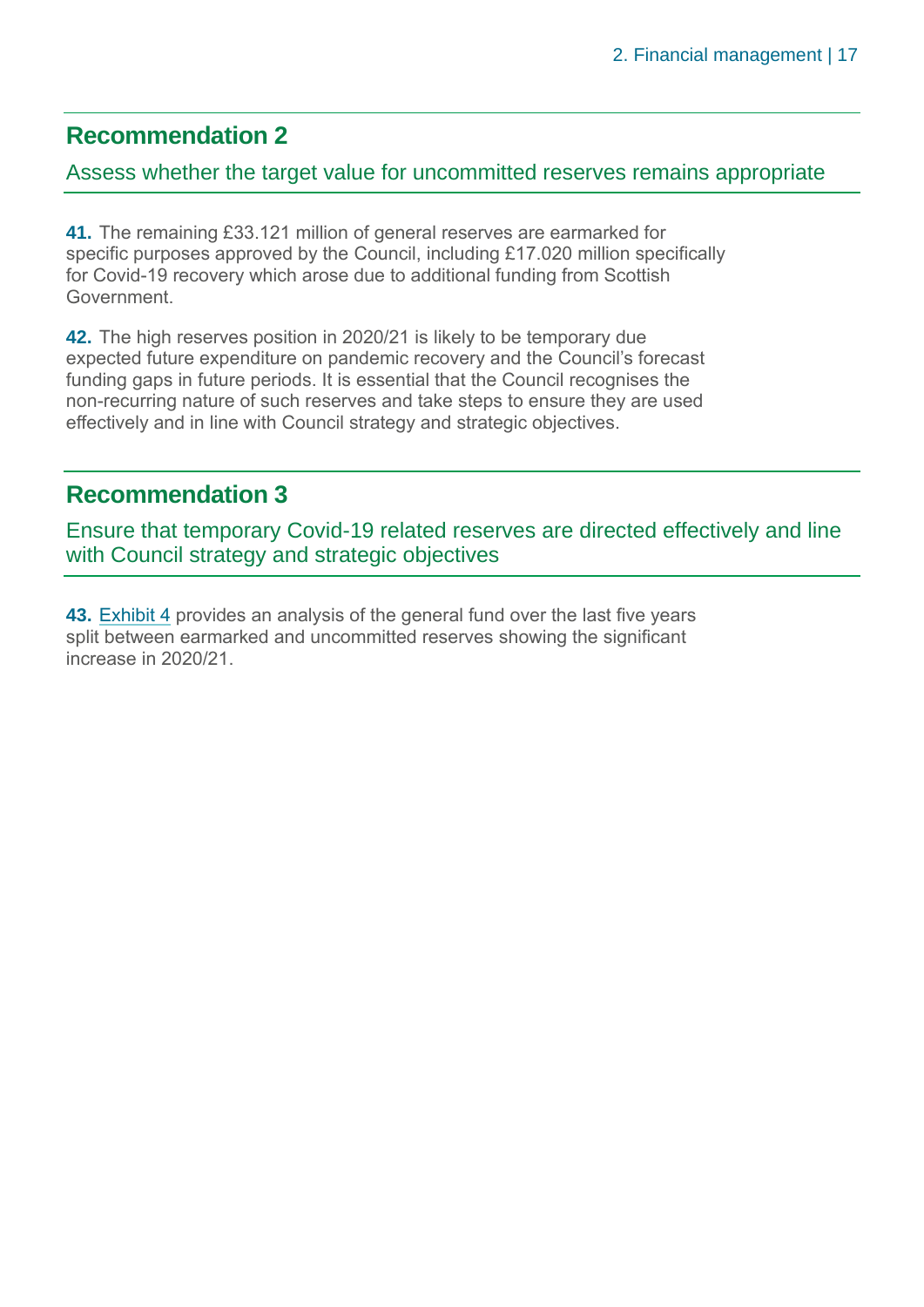# **Recommendation 2**

# Assess whether the target value for uncommitted reserves remains appropriate

**41.** The remaining £33.121 million of general reserves are earmarked for specific purposes approved by the Council, including £17.020 million specifically for Covid-19 recovery which arose due to additional funding from Scottish Government.

**42.** The high reserves position in 2020/21 is likely to be temporary due expected future expenditure on pandemic recovery and the Council's forecast funding gaps in future periods. It is essential that the Council recognises the non-recurring nature of such reserves and take steps to ensure they are used effectively and in line with Council strategy and strategic objectives.

# **Recommendation 3**

Ensure that temporary Covid-19 related reserves are directed effectively and line with Council strategy and strategic objectives

**43. [Exhibit 4](#page-17-0) provides an analysis of the general fund over the last five years** split between earmarked and uncommitted reserves showing the significant increase in 2020/21.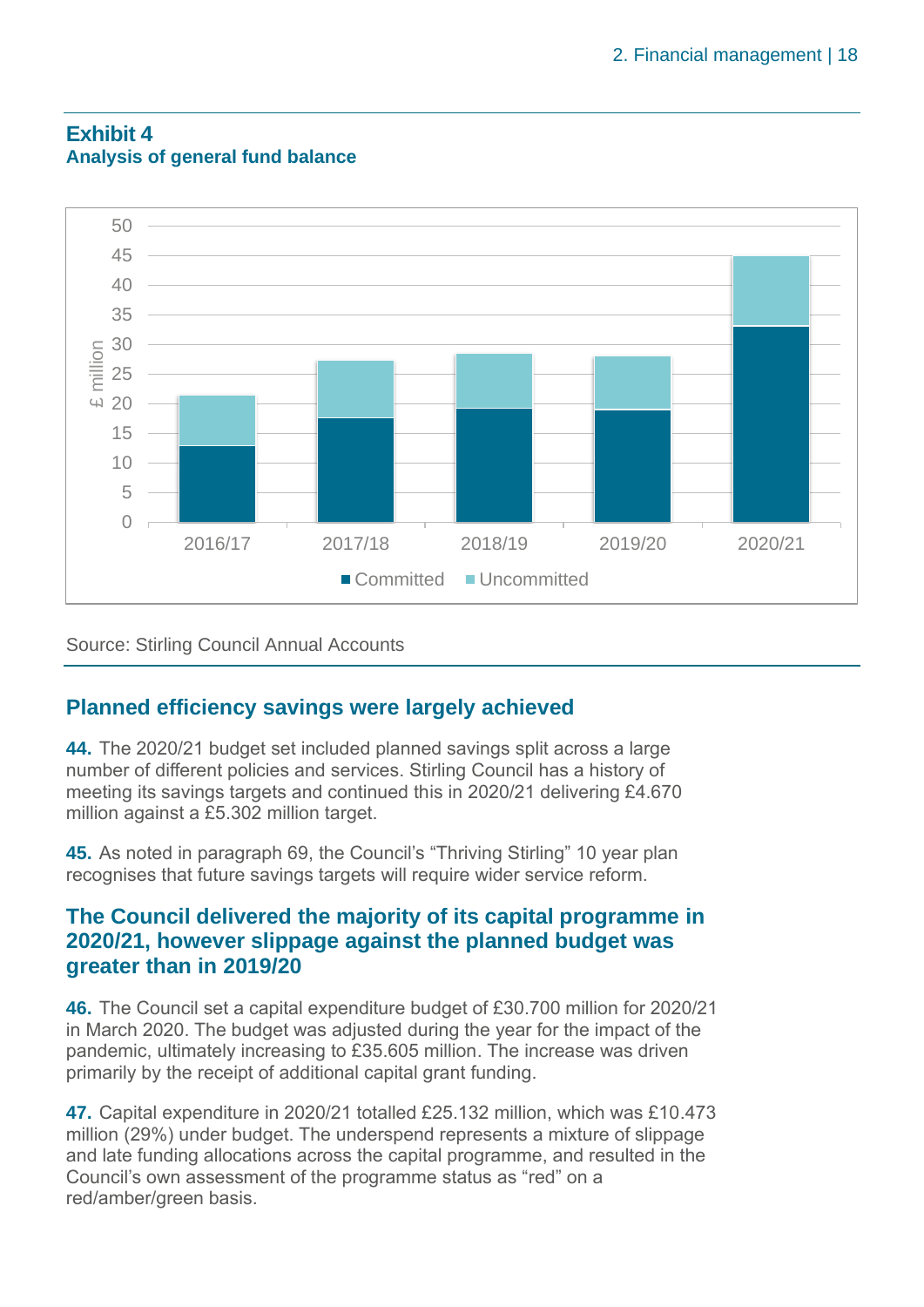

# <span id="page-17-0"></span>**Exhibit 4 Analysis of general fund balance**

Source: Stirling Council Annual Accounts

# **Planned efficiency savings were largely achieved**

**44.** The 2020/21 budget set included planned savings split across a large number of different policies and services. Stirling Council has a history of meeting its savings targets and continued this in 2020/21 delivering £4.670 million against a £5.302 million target.

**45.** As noted in paragraph 69, the Council's "Thriving Stirling" 10 year plan recognises that future savings targets will require wider service reform.

# **The Council delivered the majority of its capital programme in 2020/21, however slippage against the planned budget was greater than in 2019/20**

**46.** The Council set a capital expenditure budget of £30.700 million for 2020/21 in March 2020. The budget was adjusted during the year for the impact of the pandemic, ultimately increasing to £35.605 million. The increase was driven primarily by the receipt of additional capital grant funding.

**47.** Capital expenditure in 2020/21 totalled £25.132 million, which was £10.473 million (29%) under budget. The underspend represents a mixture of slippage and late funding allocations across the capital programme, and resulted in the Council's own assessment of the programme status as "red" on a red/amber/green basis.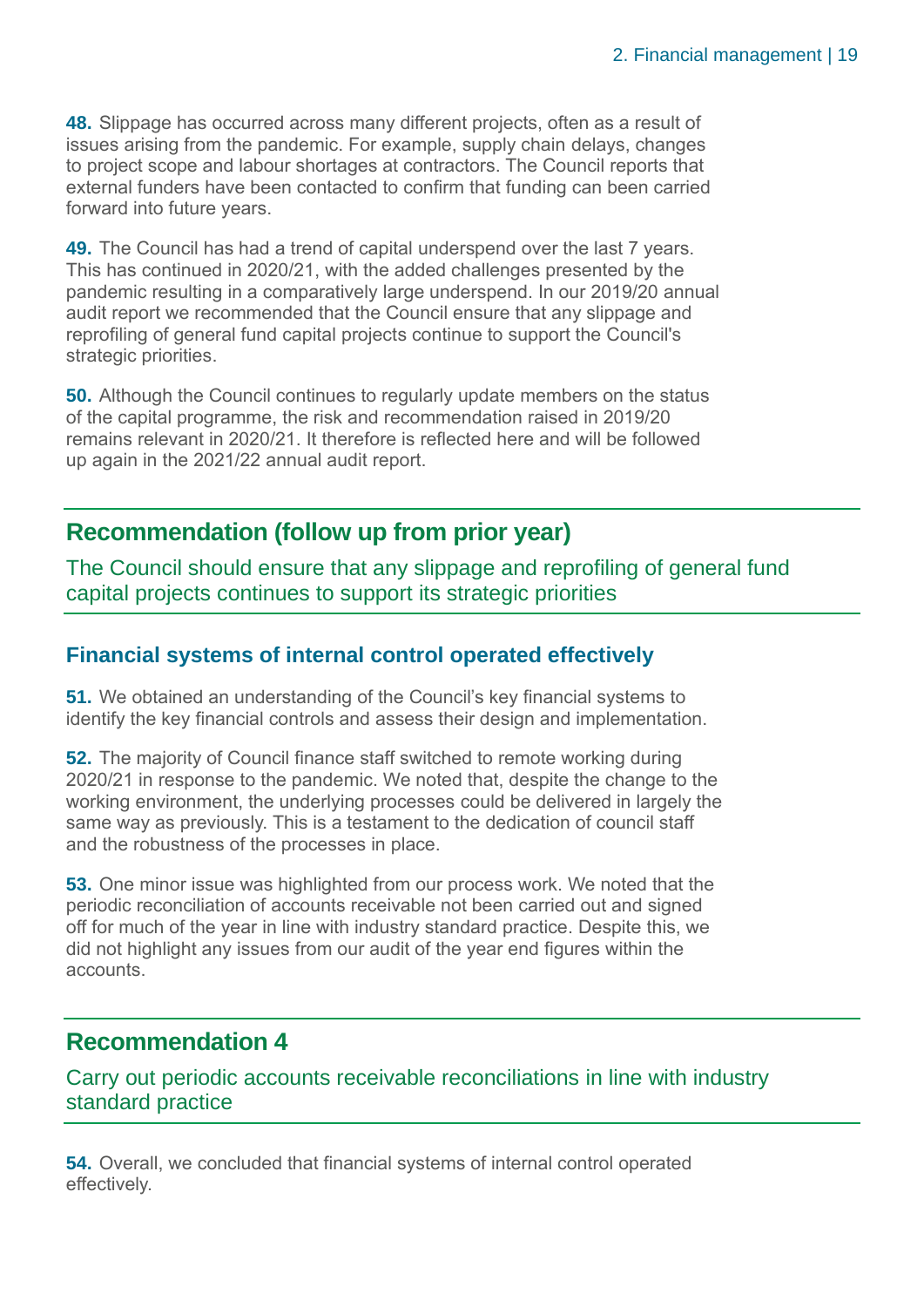**48.** Slippage has occurred across many different projects, often as a result of issues arising from the pandemic. For example, supply chain delays, changes to project scope and labour shortages at contractors. The Council reports that external funders have been contacted to confirm that funding can been carried forward into future years.

**49.** The Council has had a trend of capital underspend over the last 7 years. This has continued in 2020/21, with the added challenges presented by the pandemic resulting in a comparatively large underspend. In our 2019/20 annual audit report we recommended that the Council ensure that any slippage and reprofiling of general fund capital projects continue to support the Council's strategic priorities.

**50.** Although the Council continues to regularly update members on the status of the capital programme, the risk and recommendation raised in 2019/20 remains relevant in 2020/21. It therefore is reflected here and will be followed up again in the 2021/22 annual audit report.

# **Recommendation (follow up from prior year)**

The Council should ensure that any slippage and reprofiling of general fund capital projects continues to support its strategic priorities

# **Financial systems of internal control operated effectively**

**51.** We obtained an understanding of the Council's key financial systems to identify the key financial controls and assess their design and implementation.

**52.** The majority of Council finance staff switched to remote working during 2020/21 in response to the pandemic. We noted that, despite the change to the working environment, the underlying processes could be delivered in largely the same way as previously. This is a testament to the dedication of council staff and the robustness of the processes in place.

**53.** One minor issue was highlighted from our process work. We noted that the periodic reconciliation of accounts receivable not been carried out and signed off for much of the year in line with industry standard practice. Despite this, we did not highlight any issues from our audit of the year end figures within the accounts.

# **Recommendation 4**

Carry out periodic accounts receivable reconciliations in line with industry standard practice

**54.** Overall, we concluded that financial systems of internal control operated effectively.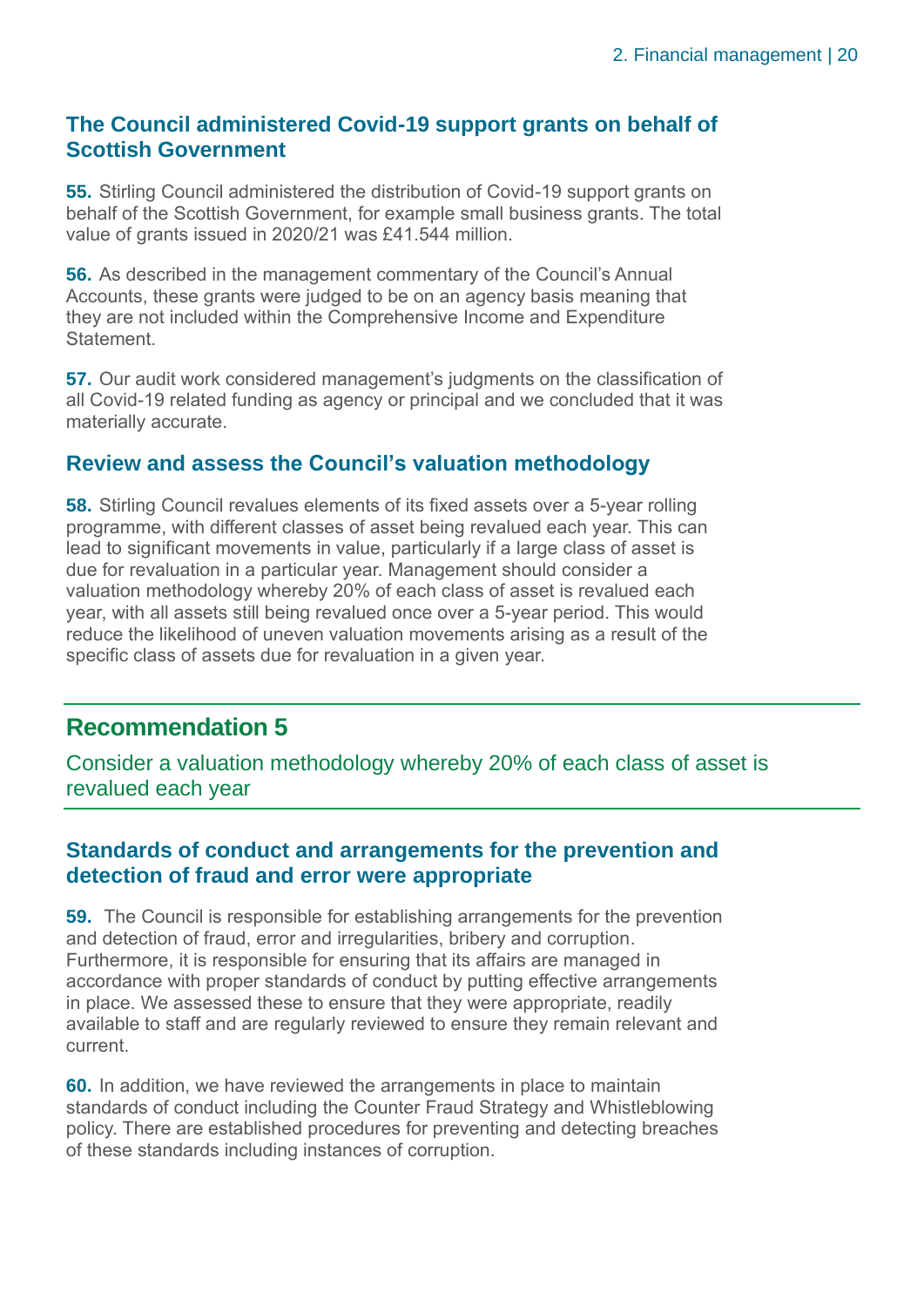# **The Council administered Covid-19 support grants on behalf of Scottish Government**

**55.** Stirling Council administered the distribution of Covid-19 support grants on behalf of the Scottish Government, for example small business grants. The total value of grants issued in 2020/21 was £41.544 million.

**56.** As described in the management commentary of the Council's Annual Accounts, these grants were judged to be on an agency basis meaning that they are not included within the Comprehensive Income and Expenditure Statement.

**57.** Our audit work considered management's judgments on the classification of all Covid-19 related funding as agency or principal and we concluded that it was materially accurate.

# **Review and assess the Council's valuation methodology**

**58.** Stirling Council revalues elements of its fixed assets over a 5-year rolling programme, with different classes of asset being revalued each year. This can lead to significant movements in value, particularly if a large class of asset is due for revaluation in a particular year. Management should consider a valuation methodology whereby 20% of each class of asset is revalued each year, with all assets still being revalued once over a 5-year period. This would reduce the likelihood of uneven valuation movements arising as a result of the specific class of assets due for revaluation in a given year.

# **Recommendation 5**

Consider a valuation methodology whereby 20% of each class of asset is revalued each year

# **Standards of conduct and arrangements for the prevention and detection of fraud and error were appropriate**

**59.** The Council is responsible for establishing arrangements for the prevention and detection of fraud, error and irregularities, bribery and corruption. Furthermore, it is responsible for ensuring that its affairs are managed in accordance with proper standards of conduct by putting effective arrangements in place. We assessed these to ensure that they were appropriate, readily available to staff and are regularly reviewed to ensure they remain relevant and current.

**60.** In addition, we have reviewed the arrangements in place to maintain standards of conduct including the Counter Fraud Strategy and Whistleblowing policy. There are established procedures for preventing and detecting breaches of these standards including instances of corruption.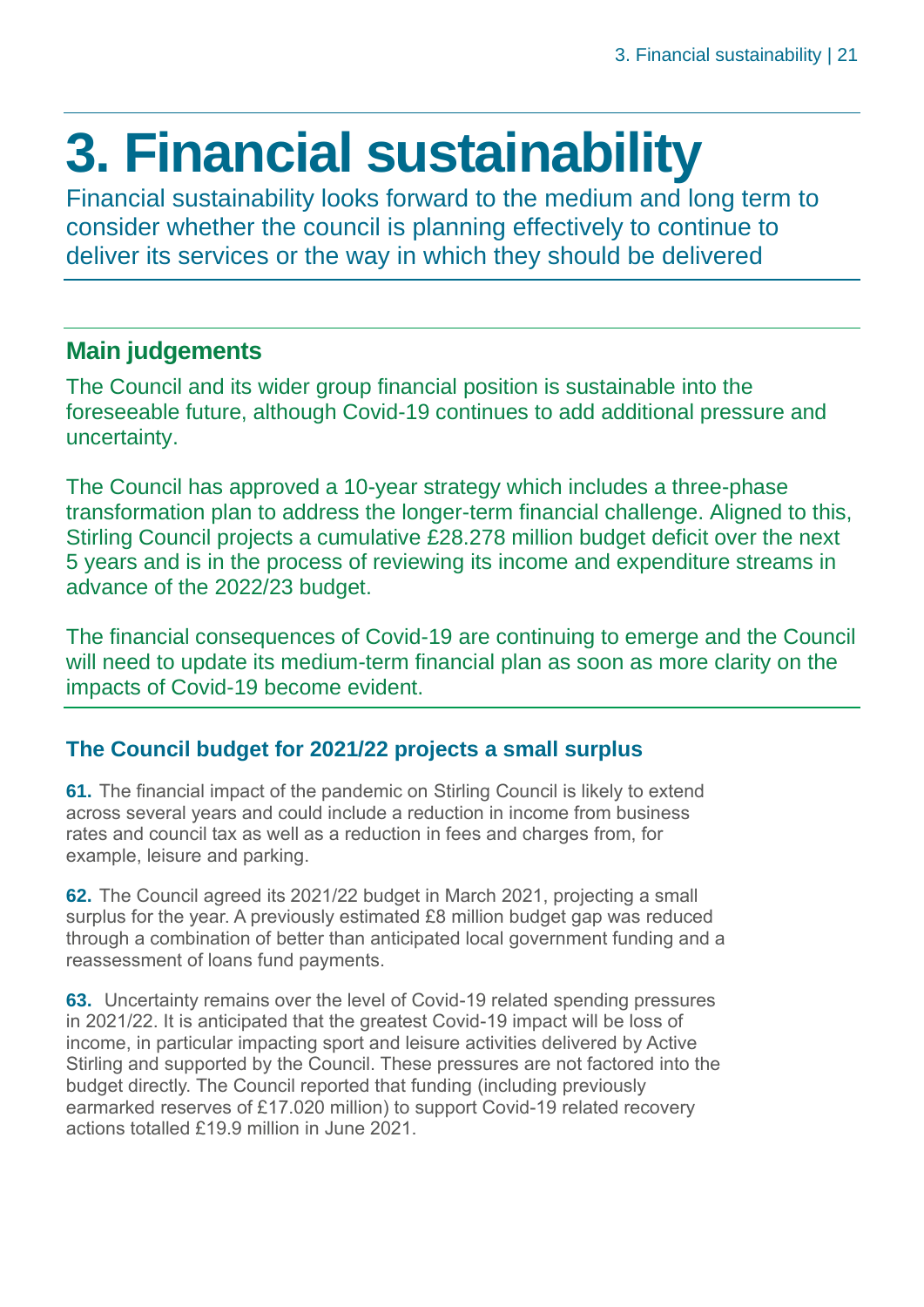# <span id="page-20-0"></span>**3. Financial sustainability**

Financial sustainability looks forward to the medium and long term to consider whether the council is planning effectively to continue to deliver its services or the way in which they should be delivered

# **Main judgements**

The Council and its wider group financial position is sustainable into the foreseeable future, although Covid-19 continues to add additional pressure and uncertainty.

The Council has approved a 10-year strategy which includes a three-phase transformation plan to address the longer-term financial challenge. Aligned to this, Stirling Council projects a cumulative £28.278 million budget deficit over the next 5 years and is in the process of reviewing its income and expenditure streams in advance of the 2022/23 budget.

The financial consequences of Covid-19 are continuing to emerge and the Council will need to update its medium-term financial plan as soon as more clarity on the impacts of Covid-19 become evident.

# **The Council budget for 2021/22 projects a small surplus**

**61.** The financial impact of the pandemic on Stirling Council is likely to extend across several years and could include a reduction in income from business rates and council tax as well as a reduction in fees and charges from, for example, leisure and parking.

**62.** The Council agreed its 2021/22 budget in March 2021, projecting a small surplus for the year. A previously estimated £8 million budget gap was reduced through a combination of better than anticipated local government funding and a reassessment of loans fund payments.

**63.** Uncertainty remains over the level of Covid-19 related spending pressures in 2021/22. It is anticipated that the greatest Covid-19 impact will be loss of income, in particular impacting sport and leisure activities delivered by Active Stirling and supported by the Council. These pressures are not factored into the budget directly. The Council reported that funding (including previously earmarked reserves of £17.020 million) to support Covid-19 related recovery actions totalled £19.9 million in June 2021.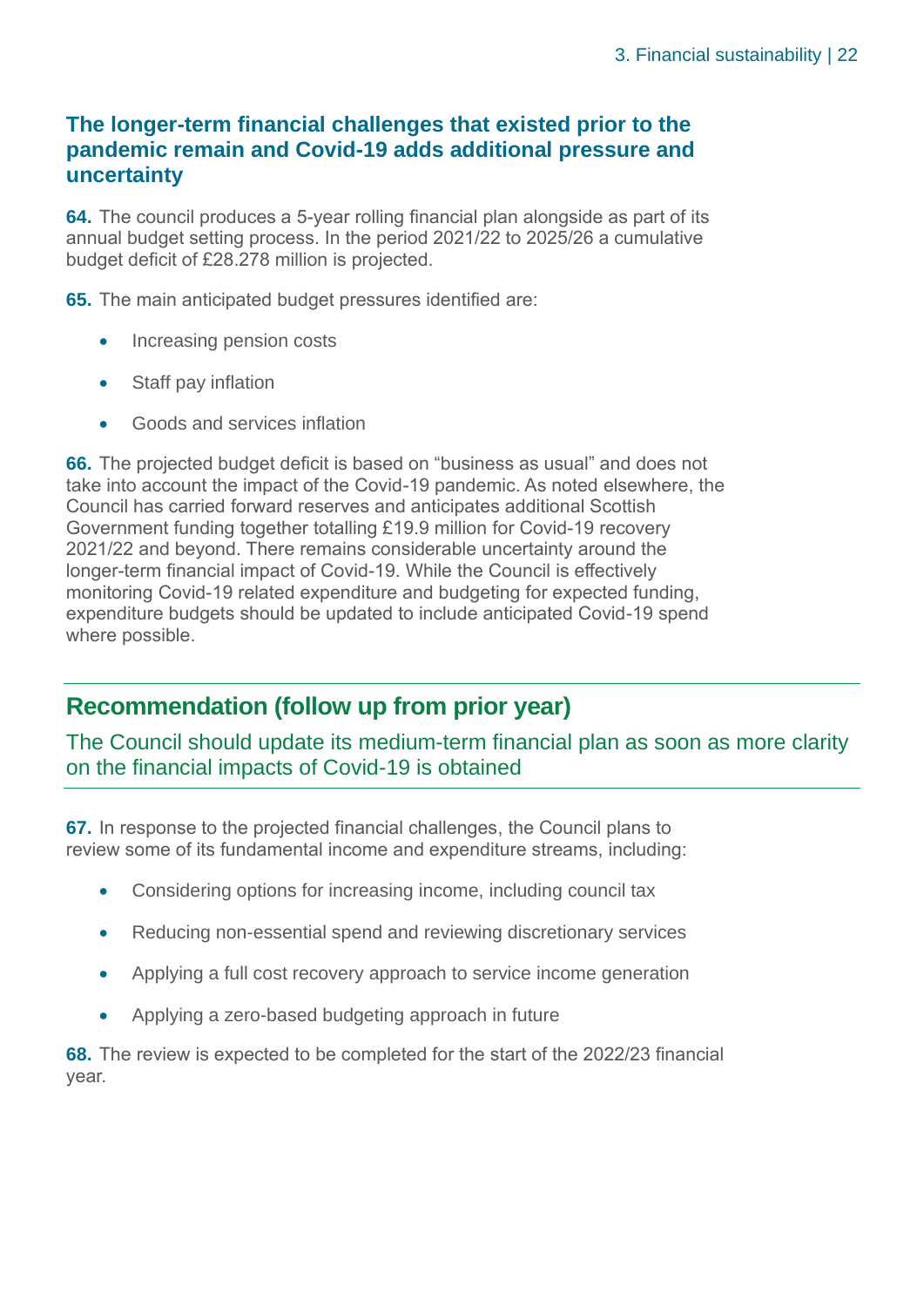# **The longer-term financial challenges that existed prior to the pandemic remain and Covid-19 adds additional pressure and uncertainty**

**64.** The council produces a 5-year rolling financial plan alongside as part of its annual budget setting process. In the period 2021/22 to 2025/26 a cumulative budget deficit of £28.278 million is projected.

**65.** The main anticipated budget pressures identified are:

- Increasing pension costs
- Staff pay inflation
- Goods and services inflation

**66.** The projected budget deficit is based on "business as usual" and does not take into account the impact of the Covid-19 pandemic. As noted elsewhere, the Council has carried forward reserves and anticipates additional Scottish Government funding together totalling £19.9 million for Covid-19 recovery 2021/22 and beyond. There remains considerable uncertainty around the longer-term financial impact of Covid-19. While the Council is effectively monitoring Covid-19 related expenditure and budgeting for expected funding, expenditure budgets should be updated to include anticipated Covid-19 spend where possible.

# **Recommendation (follow up from prior year)**

The Council should update its medium-term financial plan as soon as more clarity on the financial impacts of Covid-19 is obtained

**67.** In response to the projected financial challenges, the Council plans to review some of its fundamental income and expenditure streams, including:

- Considering options for increasing income, including council tax
- Reducing non-essential spend and reviewing discretionary services
- Applying a full cost recovery approach to service income generation
- Applying a zero-based budgeting approach in future

**68.** The review is expected to be completed for the start of the 2022/23 financial year.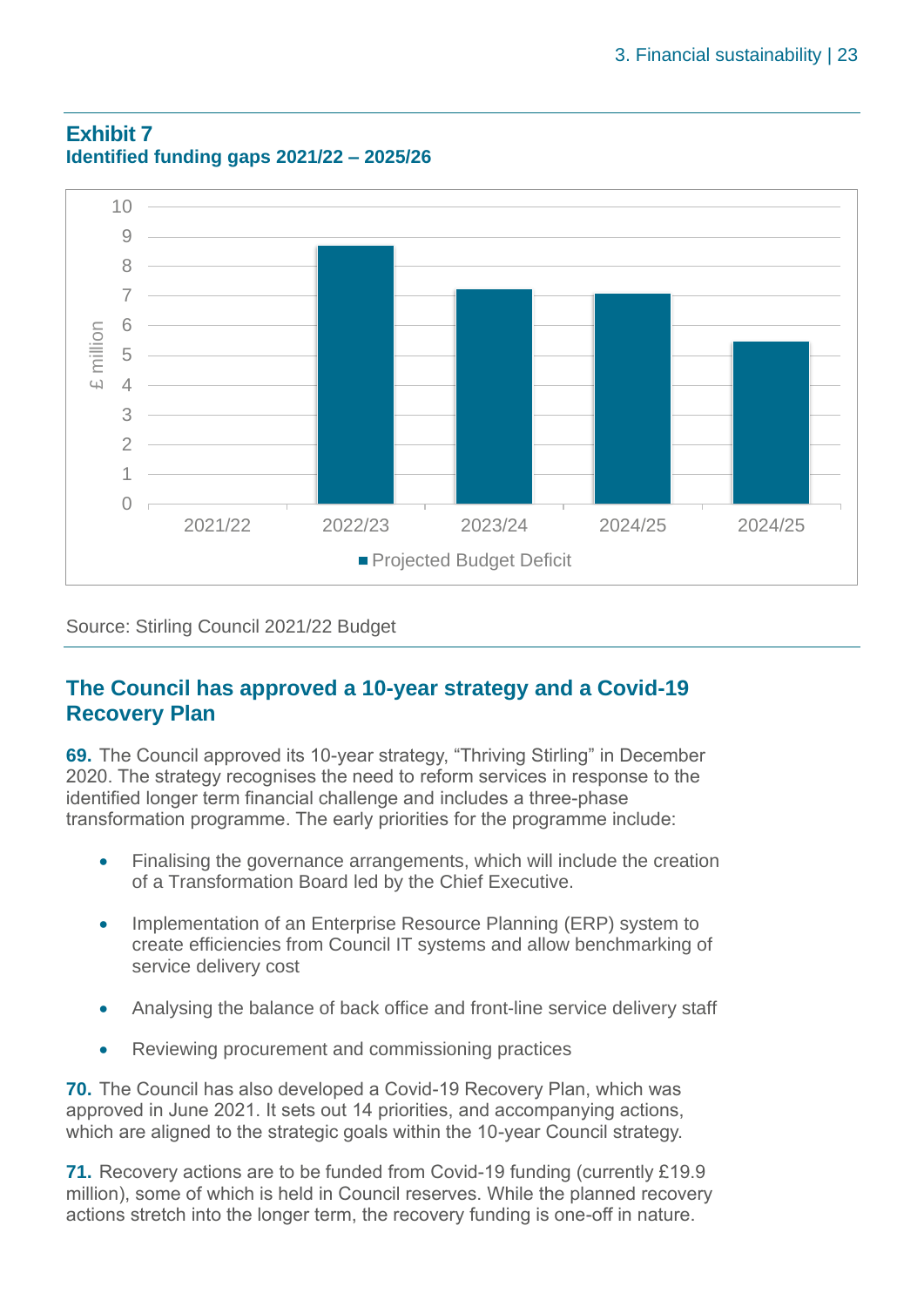

#### **Exhibit 7 Identified funding gaps 2021/22 – 2025/26**

Source: Stirling Council 2021/22 Budget

# **The Council has approved a 10-year strategy and a Covid-19 Recovery Plan**

**69.** The Council approved its 10-year strategy, "Thriving Stirling" in December 2020. The strategy recognises the need to reform services in response to the identified longer term financial challenge and includes a three-phase transformation programme. The early priorities for the programme include:

- Finalising the governance arrangements, which will include the creation of a Transformation Board led by the Chief Executive.
- Implementation of an Enterprise Resource Planning (ERP) system to create efficiencies from Council IT systems and allow benchmarking of service delivery cost
- Analysing the balance of back office and front-line service delivery staff
- Reviewing procurement and commissioning practices

**70.** The Council has also developed a Covid-19 Recovery Plan, which was approved in June 2021. It sets out 14 priorities, and accompanying actions, which are aligned to the strategic goals within the 10-year Council strategy.

**71.** Recovery actions are to be funded from Covid-19 funding (currently £19.9 million), some of which is held in Council reserves. While the planned recovery actions stretch into the longer term, the recovery funding is one-off in nature.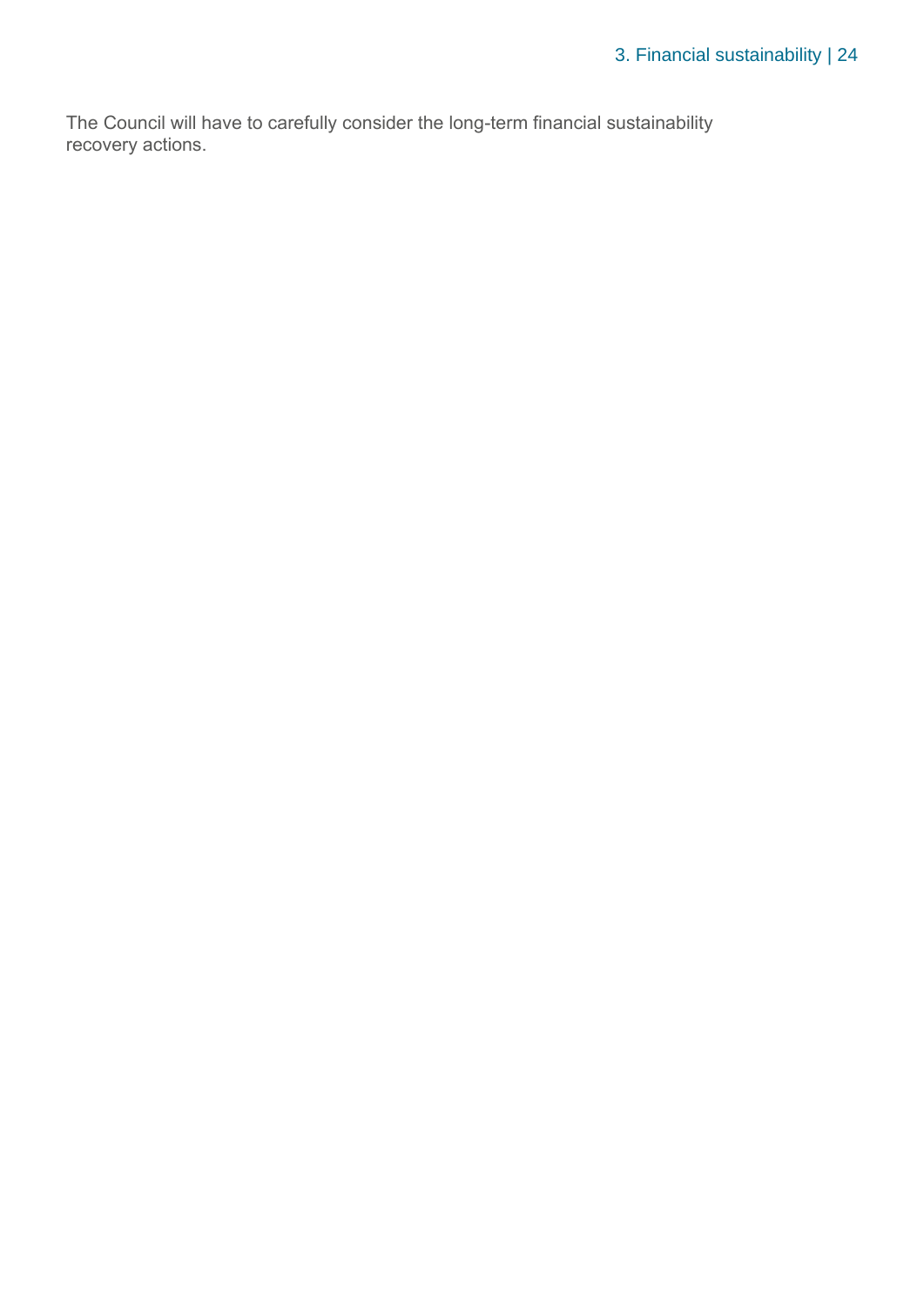The Council will have to carefully consider the long-term financial sustainability recovery actions.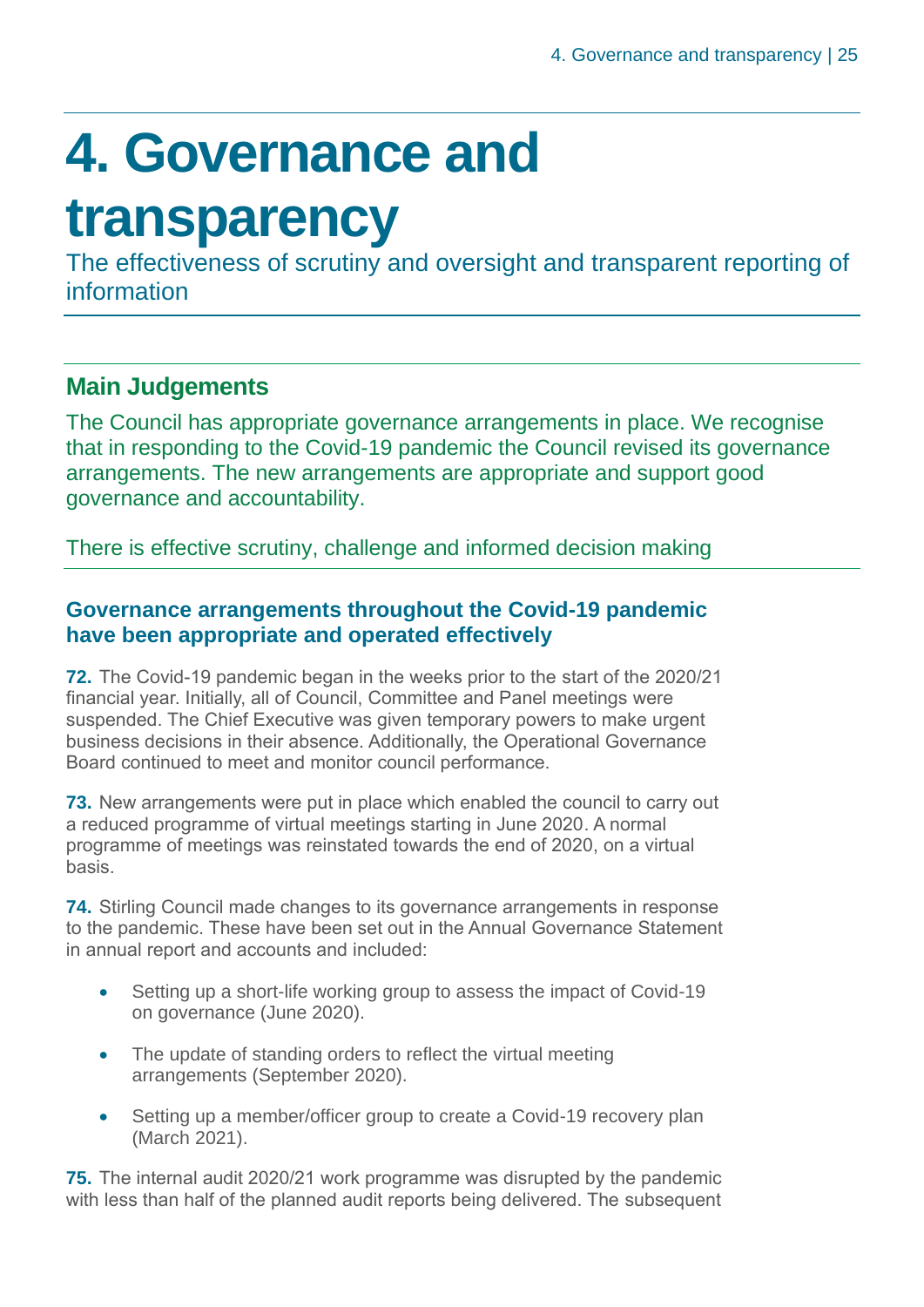# <span id="page-24-0"></span>**4. Governance and**

# **transparency**

The effectiveness of scrutiny and oversight and transparent reporting of information

# **Main Judgements**

The Council has appropriate governance arrangements in place. We recognise that in responding to the Covid-19 pandemic the Council revised its governance arrangements. The new arrangements are appropriate and support good governance and accountability.

There is effective scrutiny, challenge and informed decision making

# **Governance arrangements throughout the Covid-19 pandemic have been appropriate and operated effectively**

**72.** The Covid-19 pandemic began in the weeks prior to the start of the 2020/21 financial year. Initially, all of Council, Committee and Panel meetings were suspended. The Chief Executive was given temporary powers to make urgent business decisions in their absence. Additionally, the Operational Governance Board continued to meet and monitor council performance.

**73.** New arrangements were put in place which enabled the council to carry out a reduced programme of virtual meetings starting in June 2020. A normal programme of meetings was reinstated towards the end of 2020, on a virtual basis.

**74.** Stirling Council made changes to its governance arrangements in response to the pandemic. These have been set out in the Annual Governance Statement in annual report and accounts and included:

- Setting up a short-life working group to assess the impact of Covid-19 on governance (June 2020).
- The update of standing orders to reflect the virtual meeting arrangements (September 2020).
- Setting up a member/officer group to create a Covid-19 recovery plan (March 2021).

**75.** The internal audit 2020/21 work programme was disrupted by the pandemic with less than half of the planned audit reports being delivered. The subsequent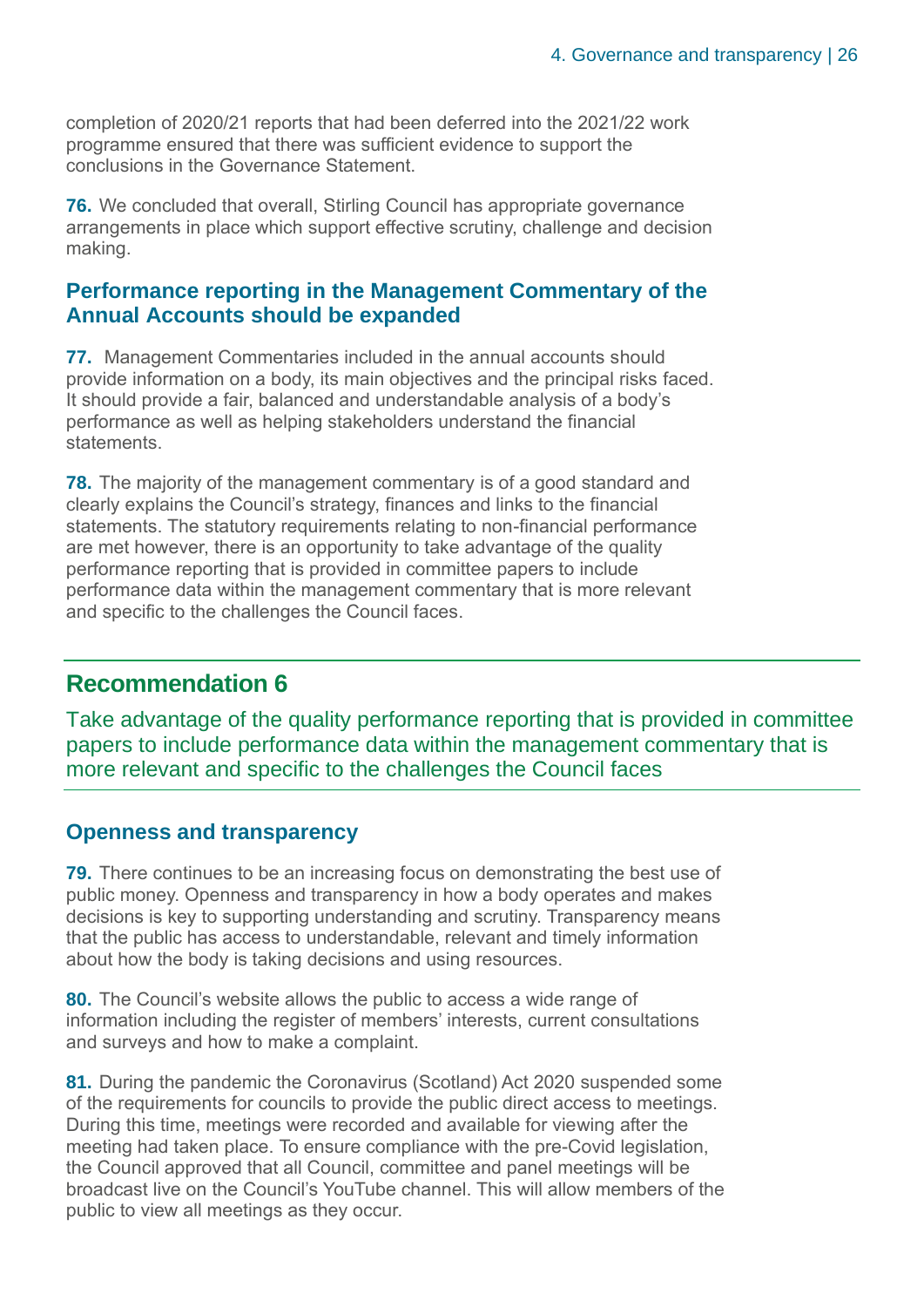completion of 2020/21 reports that had been deferred into the 2021/22 work programme ensured that there was sufficient evidence to support the conclusions in the Governance Statement.

**76.** We concluded that overall. Stirling Council has appropriate governance arrangements in place which support effective scrutiny, challenge and decision making.

## **Performance reporting in the Management Commentary of the Annual Accounts should be expanded**

**77.** Management Commentaries included in the annual accounts should provide information on a body, its main objectives and the principal risks faced. It should provide a fair, balanced and understandable analysis of a body's performance as well as helping stakeholders understand the financial statements.

**78.** The majority of the management commentary is of a good standard and clearly explains the Council's strategy, finances and links to the financial statements. The statutory requirements relating to non-financial performance are met however, there is an opportunity to take advantage of the quality performance reporting that is provided in committee papers to include performance data within the management commentary that is more relevant and specific to the challenges the Council faces.

# **Recommendation 6**

Take advantage of the quality performance reporting that is provided in committee papers to include performance data within the management commentary that is more relevant and specific to the challenges the Council faces

# **Openness and transparency**

**79.** There continues to be an increasing focus on demonstrating the best use of public money. Openness and transparency in how a body operates and makes decisions is key to supporting understanding and scrutiny. Transparency means that the public has access to understandable, relevant and timely information about how the body is taking decisions and using resources.

**80.** The Council's website allows the public to access a wide range of information including the register of members' interests, current consultations and surveys and how to make a complaint.

**81.** During the pandemic the Coronavirus (Scotland) Act 2020 suspended some of the requirements for councils to provide the public direct access to meetings. During this time, meetings were recorded and available for viewing after the meeting had taken place. To ensure compliance with the pre-Covid legislation, the Council approved that all Council, committee and panel meetings will be broadcast live on the Council's YouTube channel. This will allow members of the public to view all meetings as they occur.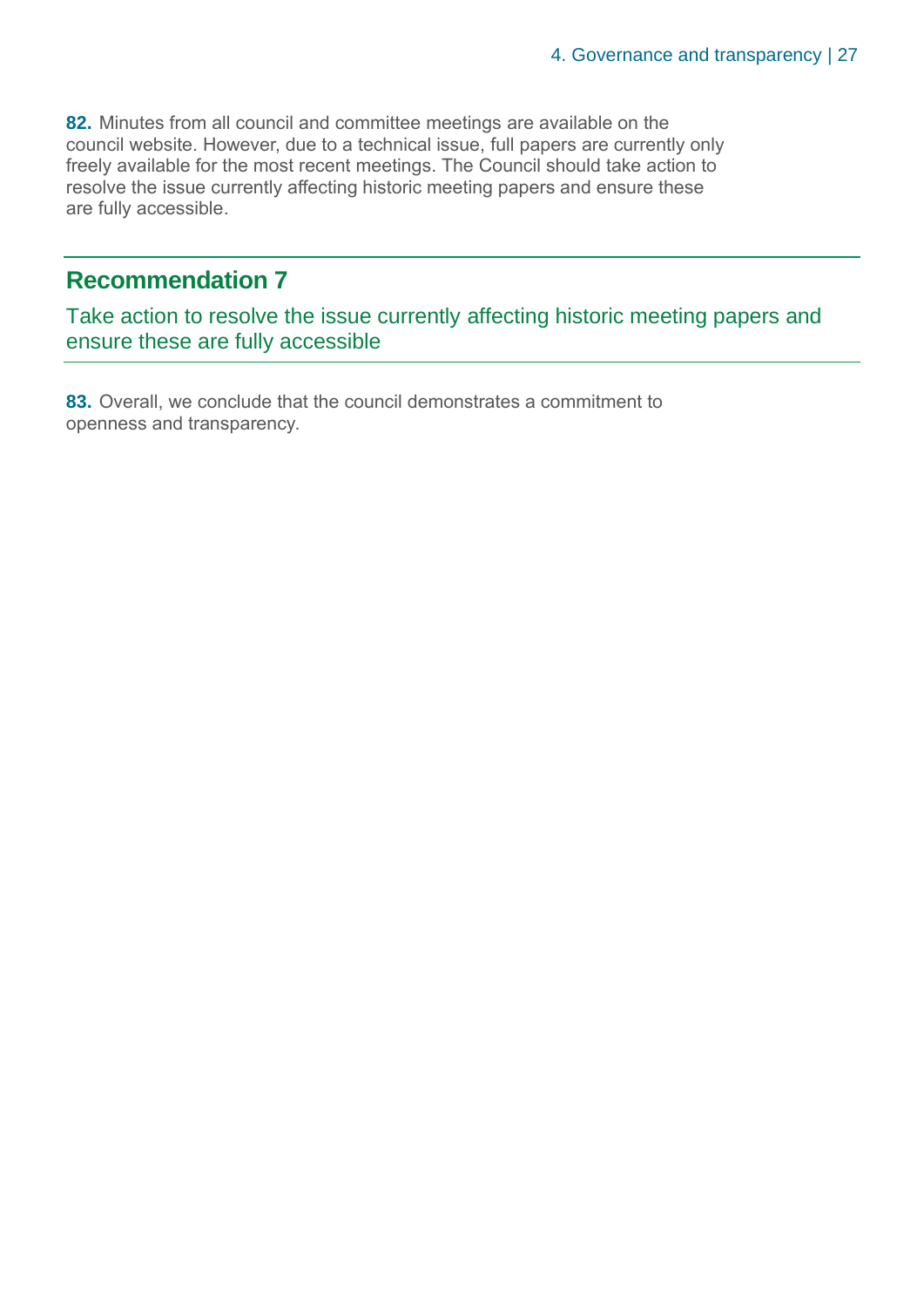**82.** Minutes from all council and committee meetings are available on the council website. However, due to a technical issue, full papers are currently only freely available for the most recent meetings. The Council should take action to resolve the issue currently affecting historic meeting papers and ensure these are fully accessible.

# **Recommendation 7**

Take action to resolve the issue currently affecting historic meeting papers and ensure these are fully accessible

**83.** Overall, we conclude that the council demonstrates a commitment to openness and transparency.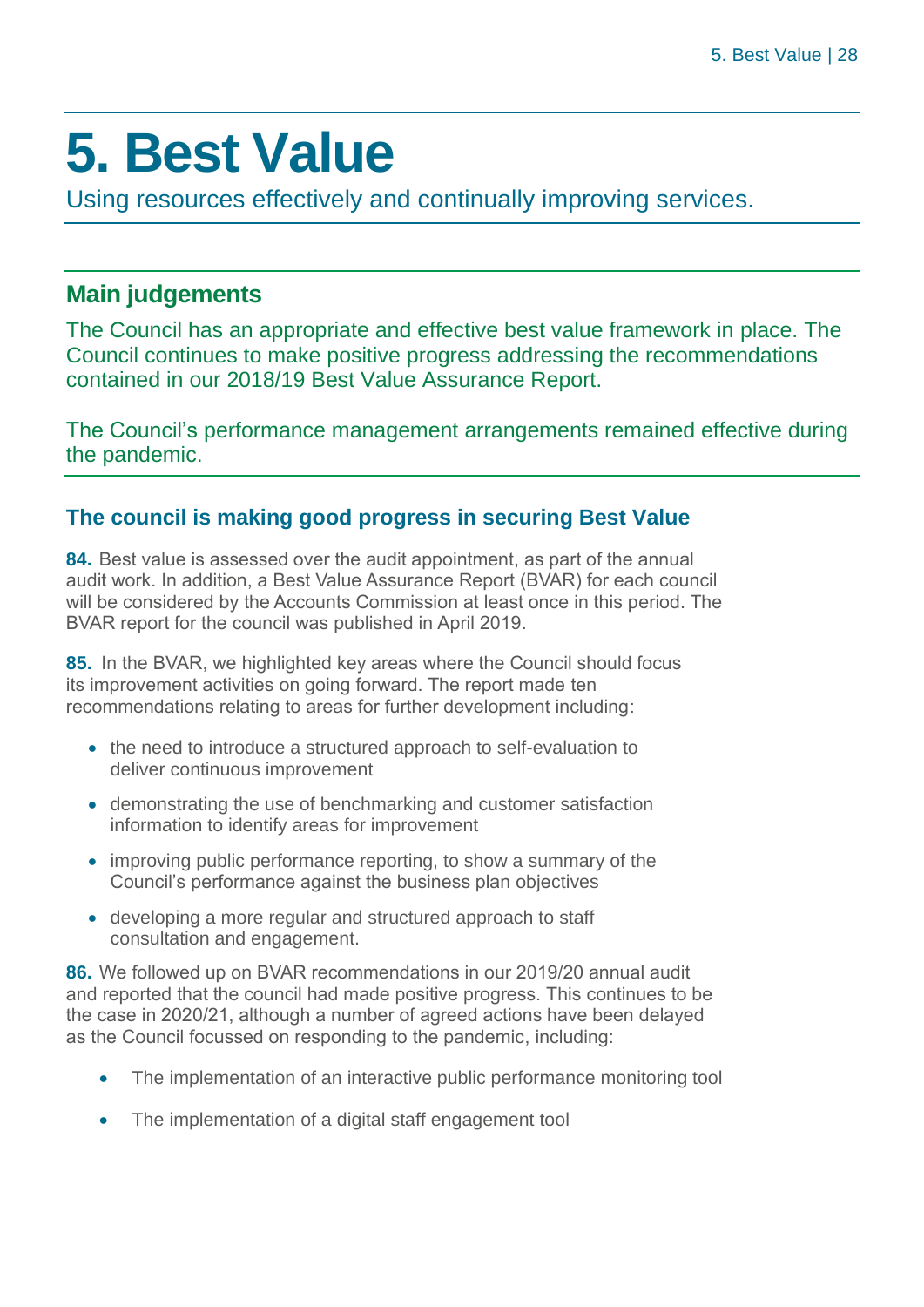# <span id="page-27-0"></span>**5. Best Value**

Using resources effectively and continually improving services.

# **Main judgements**

The Council has an appropriate and effective best value framework in place. The Council continues to make positive progress addressing the recommendations contained in our 2018/19 Best Value Assurance Report.

The Council's performance management arrangements remained effective during the pandemic.

# **The council is making good progress in securing Best Value**

**84.** Best value is assessed over the audit appointment, as part of the annual audit work. In addition, a Best Value Assurance Report (BVAR) for each council will be considered by the Accounts Commission at least once in this period. The BVAR report for the council was published in April 2019.

**85.** In the BVAR, we highlighted key areas where the Council should focus its improvement activities on going forward. The report made ten recommendations relating to areas for further development including:

- the need to introduce a structured approach to self-evaluation to deliver continuous improvement
- demonstrating the use of benchmarking and customer satisfaction information to identify areas for improvement
- improving public performance reporting, to show a summary of the Council's performance against the business plan objectives
- developing a more regular and structured approach to staff consultation and engagement.

**86.** We followed up on BVAR recommendations in our 2019/20 annual audit and reported that the council had made positive progress. This continues to be the case in 2020/21, although a number of agreed actions have been delayed as the Council focussed on responding to the pandemic, including:

- The implementation of an interactive public performance monitoring tool
- The implementation of a digital staff engagement tool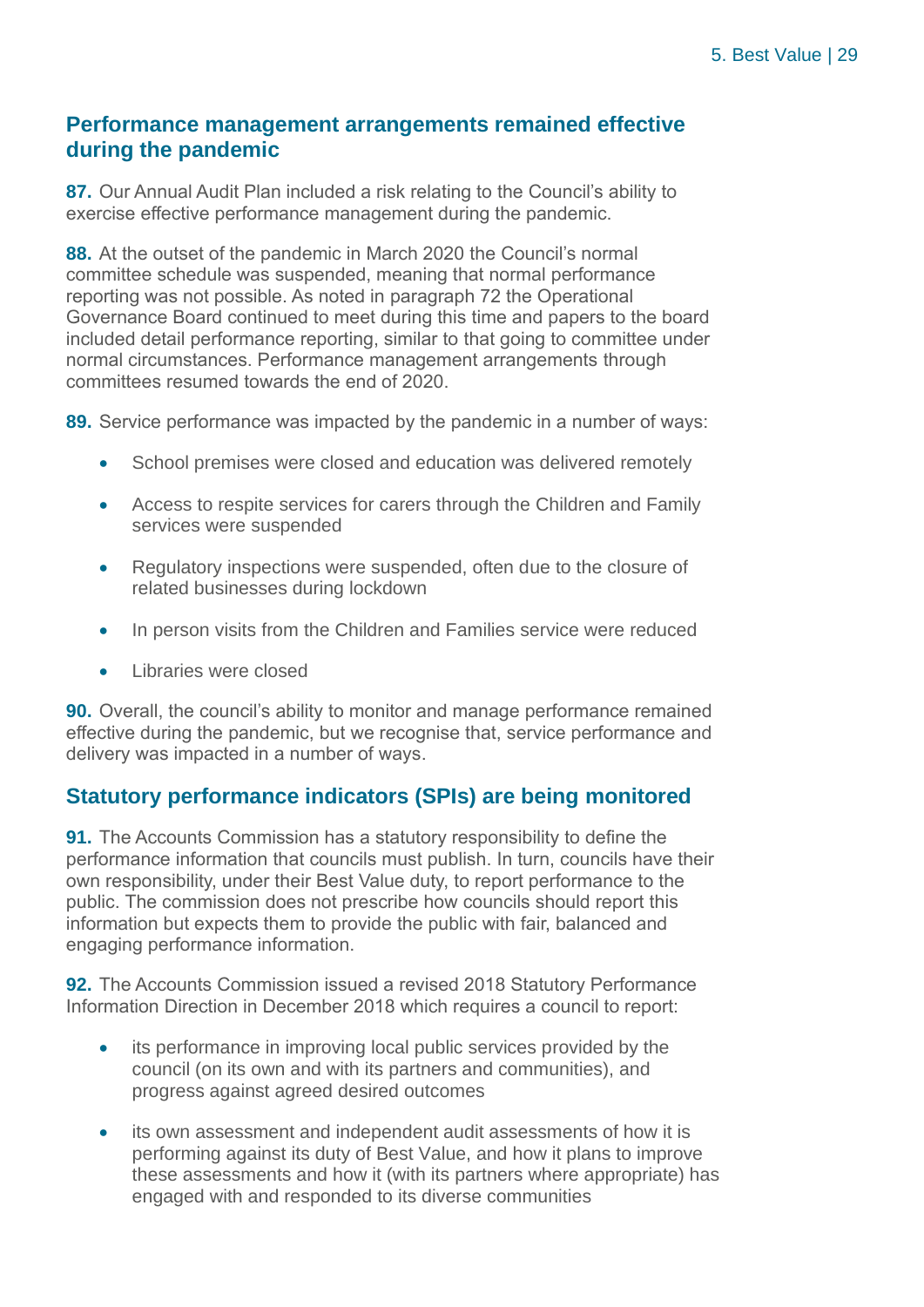## **Performance management arrangements remained effective during the pandemic**

**87.** Our Annual Audit Plan included a risk relating to the Council's ability to exercise effective performance management during the pandemic.

**88.** At the outset of the pandemic in March 2020 the Council's normal committee schedule was suspended, meaning that normal performance reporting was not possible. As noted in paragraph 72 the Operational Governance Board continued to meet during this time and papers to the board included detail performance reporting, similar to that going to committee under normal circumstances. Performance management arrangements through committees resumed towards the end of 2020.

**89.** Service performance was impacted by the pandemic in a number of ways:

- School premises were closed and education was delivered remotely
- Access to respite services for carers through the Children and Family services were suspended
- Regulatory inspections were suspended, often due to the closure of related businesses during lockdown
- In person visits from the Children and Families service were reduced
- Libraries were closed

**90.** Overall, the council's ability to monitor and manage performance remained effective during the pandemic, but we recognise that, service performance and delivery was impacted in a number of ways.

# **Statutory performance indicators (SPIs) are being monitored**

**91.** The Accounts Commission has a statutory responsibility to define the performance information that councils must publish. In turn, councils have their own responsibility, under their Best Value duty, to report performance to the public. The commission does not prescribe how councils should report this information but expects them to provide the public with fair, balanced and engaging performance information.

**92.** The Accounts Commission issued a revised 2018 Statutory Performance Information Direction in December 2018 which requires a council to report:

- its performance in improving local public services provided by the council (on its own and with its partners and communities), and progress against agreed desired outcomes
- its own assessment and independent audit assessments of how it is performing against its duty of Best Value, and how it plans to improve these assessments and how it (with its partners where appropriate) has engaged with and responded to its diverse communities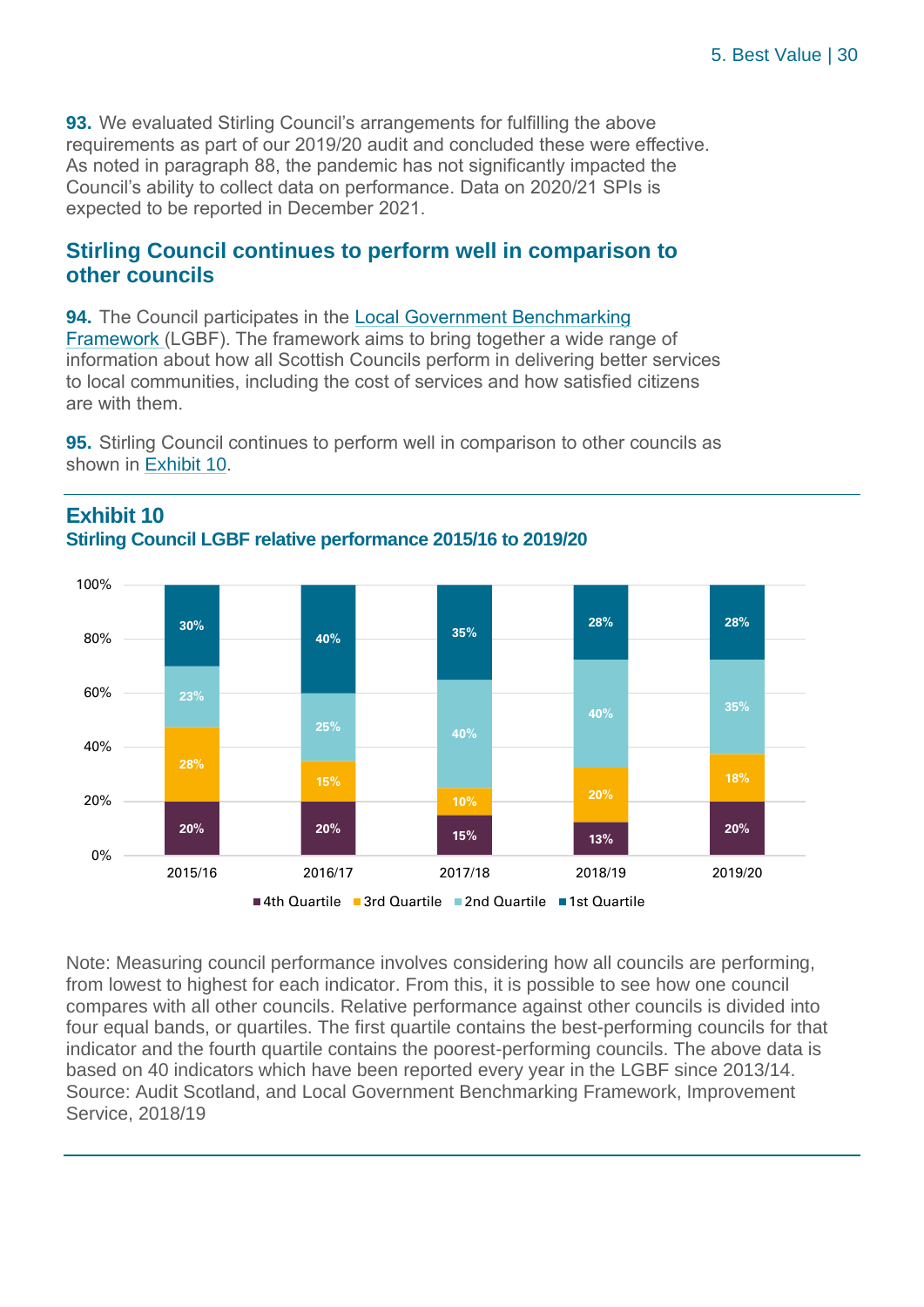**93.** We evaluated Stirling Council's arrangements for fulfilling the above requirements as part of our 2019/20 audit and concluded these were effective. As noted in paragraph 88, the pandemic has not significantly impacted the Council's ability to collect data on performance. Data on 2020/21 SPIs is expected to be reported in December 2021.

## **Stirling Council continues to perform well in comparison to other councils**

**94.** The Council participates in the [Local Government Benchmarking](http://www.improvementservice.org.uk/local-government-benchmarking-framework.html)  [Framework](http://www.improvementservice.org.uk/local-government-benchmarking-framework.html) (LGBF). The framework aims to bring together a wide range of information about how all Scottish Councils perform in delivering better services to local communities, including the cost of services and how satisfied citizens are with them.

**95.** Stirling Council continues to perform well in comparison to other councils as shown in Exhibit 10.



## **Exhibit 10 Stirling Council LGBF relative performance 2015/16 to 2019/20**

Note: Measuring council performance involves considering how all councils are performing, from lowest to highest for each indicator. From this, it is possible to see how one council compares with all other councils. Relative performance against other councils is divided into four equal bands, or quartiles. The first quartile contains the best-performing councils for that indicator and the fourth quartile contains the poorest-performing councils. The above data is based on 40 indicators which have been reported every year in the LGBF since 2013/14. Source: Audit Scotland, and Local Government Benchmarking Framework, Improvement Service, 2018/19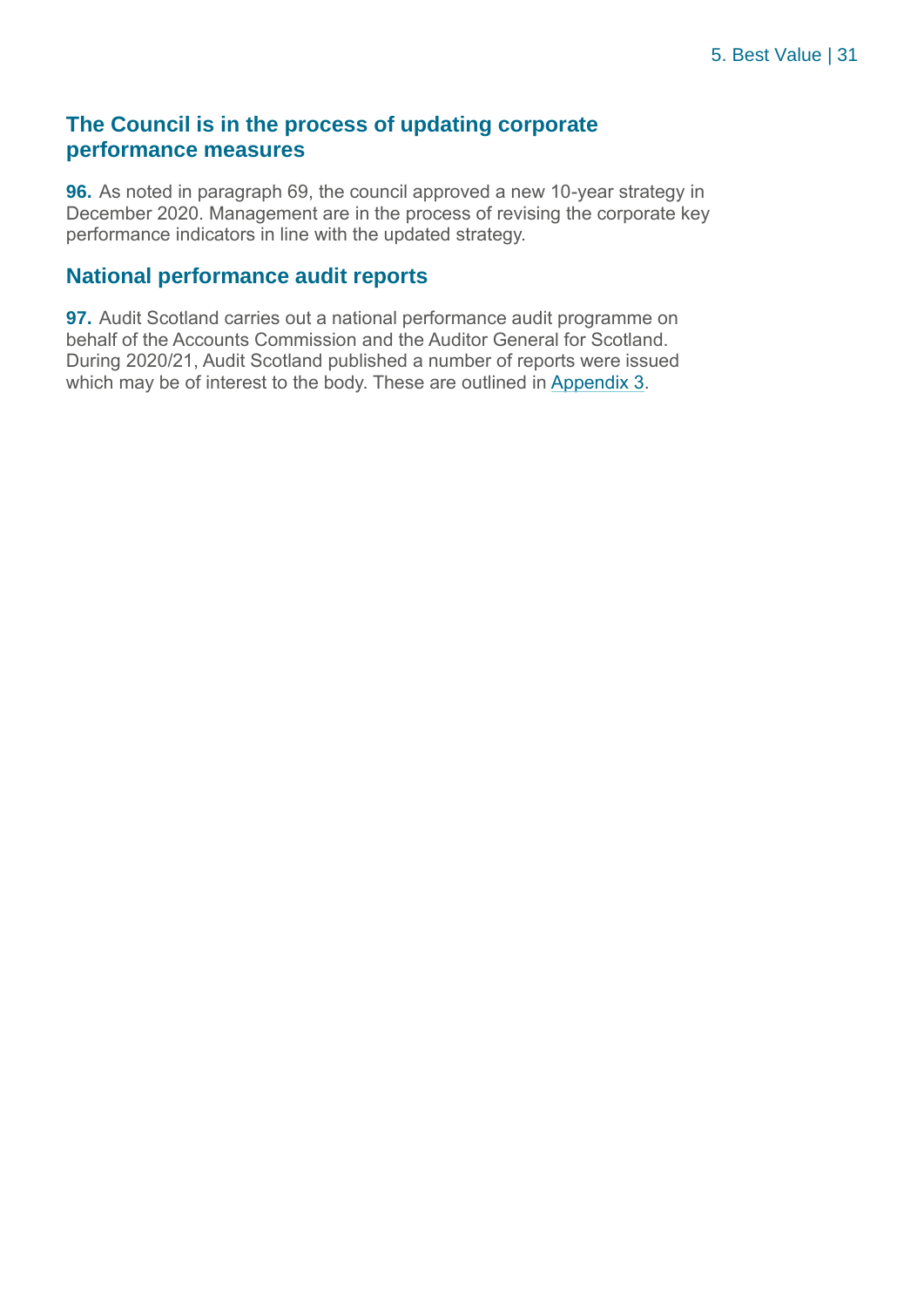## **The Council is in the process of updating corporate performance measures**

**96.** As noted in paragraph 69, the council approved a new 10-year strategy in December 2020. Management are in the process of revising the corporate key performance indicators in line with the updated strategy.

## **National performance audit reports**

**97.** Audit Scotland carries out a national performance audit programme on behalf of the Accounts Commission and the Auditor General for Scotland. During 2020/21, Audit Scotland published a number of reports were issued which may be of interest to the body. These are outlined in [Appendix 3.](#page-41-0)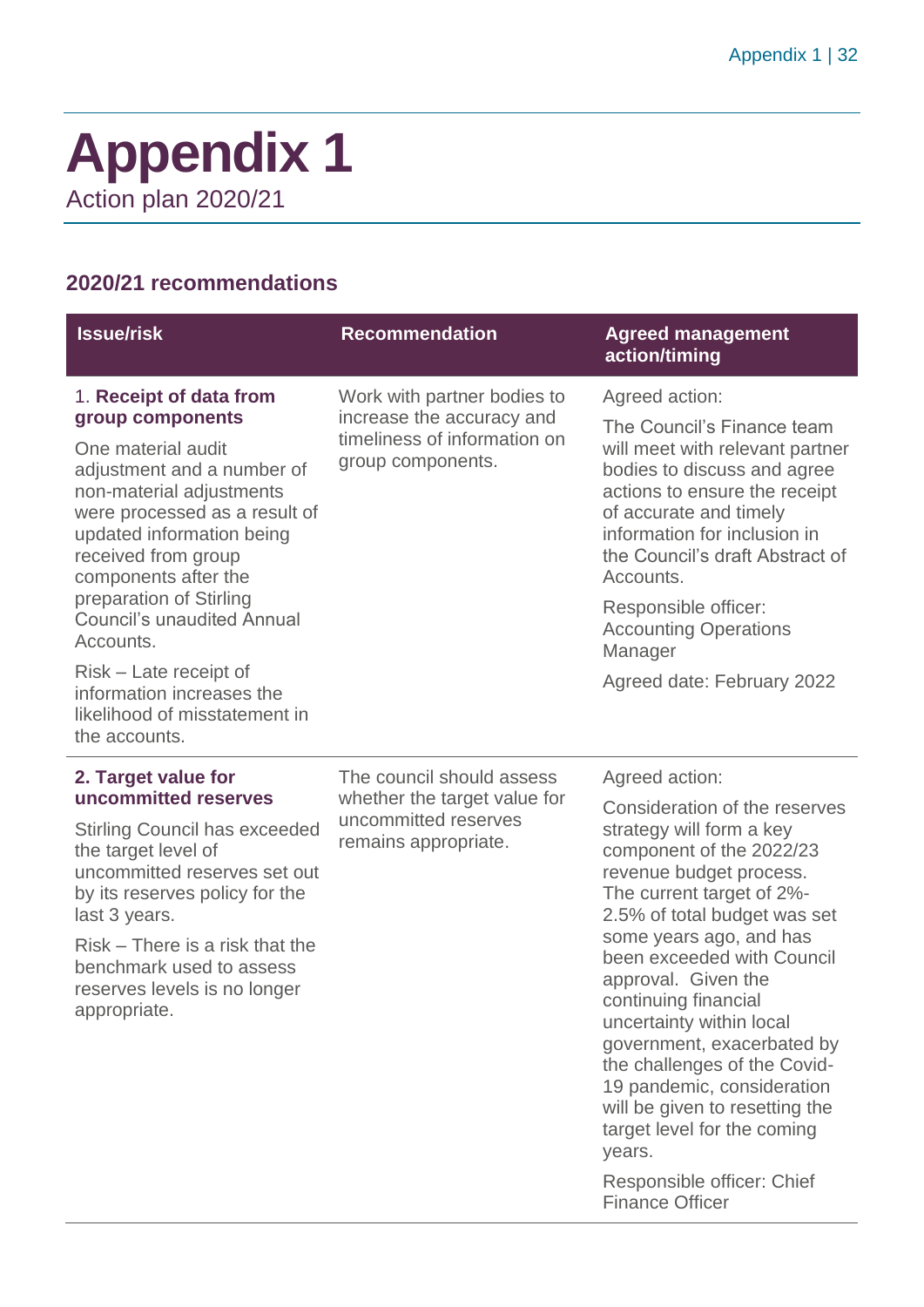# <span id="page-31-0"></span>**Appendix 1** Action plan 2020/21

# **2020/21 recommendations**

| <b>Issue/risk</b>                                                                                                                                                                                                                                                                                                     | <b>Recommendation</b>                                                                                         | <b>Agreed management</b><br>action/timing                                                                                                                                                                                                                                                                                                                                                                                                                                                                              |
|-----------------------------------------------------------------------------------------------------------------------------------------------------------------------------------------------------------------------------------------------------------------------------------------------------------------------|---------------------------------------------------------------------------------------------------------------|------------------------------------------------------------------------------------------------------------------------------------------------------------------------------------------------------------------------------------------------------------------------------------------------------------------------------------------------------------------------------------------------------------------------------------------------------------------------------------------------------------------------|
| 1. Receipt of data from<br>group components<br>One material audit<br>adjustment and a number of<br>non-material adjustments<br>were processed as a result of<br>updated information being<br>received from group<br>components after the<br>preparation of Stirling<br><b>Council's unaudited Annual</b><br>Accounts. | Work with partner bodies to<br>increase the accuracy and<br>timeliness of information on<br>group components. | Agreed action:<br>The Council's Finance team<br>will meet with relevant partner<br>bodies to discuss and agree<br>actions to ensure the receipt<br>of accurate and timely<br>information for inclusion in<br>the Council's draft Abstract of<br>Accounts.<br>Responsible officer:<br><b>Accounting Operations</b><br>Manager                                                                                                                                                                                           |
| Risk – Late receipt of<br>information increases the<br>likelihood of misstatement in<br>the accounts.                                                                                                                                                                                                                 |                                                                                                               | Agreed date: February 2022                                                                                                                                                                                                                                                                                                                                                                                                                                                                                             |
| 2. Target value for                                                                                                                                                                                                                                                                                                   | The council should assess                                                                                     | Agreed action:                                                                                                                                                                                                                                                                                                                                                                                                                                                                                                         |
| uncommitted reserves<br><b>Stirling Council has exceeded</b><br>the target level of<br>uncommitted reserves set out<br>by its reserves policy for the<br>last 3 years.<br>Risk – There is a risk that the<br>benchmark used to assess<br>reserves levels is no longer<br>appropriate.                                 | whether the target value for<br>uncommitted reserves<br>remains appropriate.                                  | Consideration of the reserves<br>strategy will form a key<br>component of the 2022/23<br>revenue budget process.<br>The current target of 2%-<br>2.5% of total budget was set<br>some years ago, and has<br>been exceeded with Council<br>approval. Given the<br>continuing financial<br>uncertainty within local<br>government, exacerbated by<br>the challenges of the Covid-<br>19 pandemic, consideration<br>will be given to resetting the<br>target level for the coming<br>years.<br>Responsible officer: Chief |
|                                                                                                                                                                                                                                                                                                                       |                                                                                                               | <b>Finance Officer</b>                                                                                                                                                                                                                                                                                                                                                                                                                                                                                                 |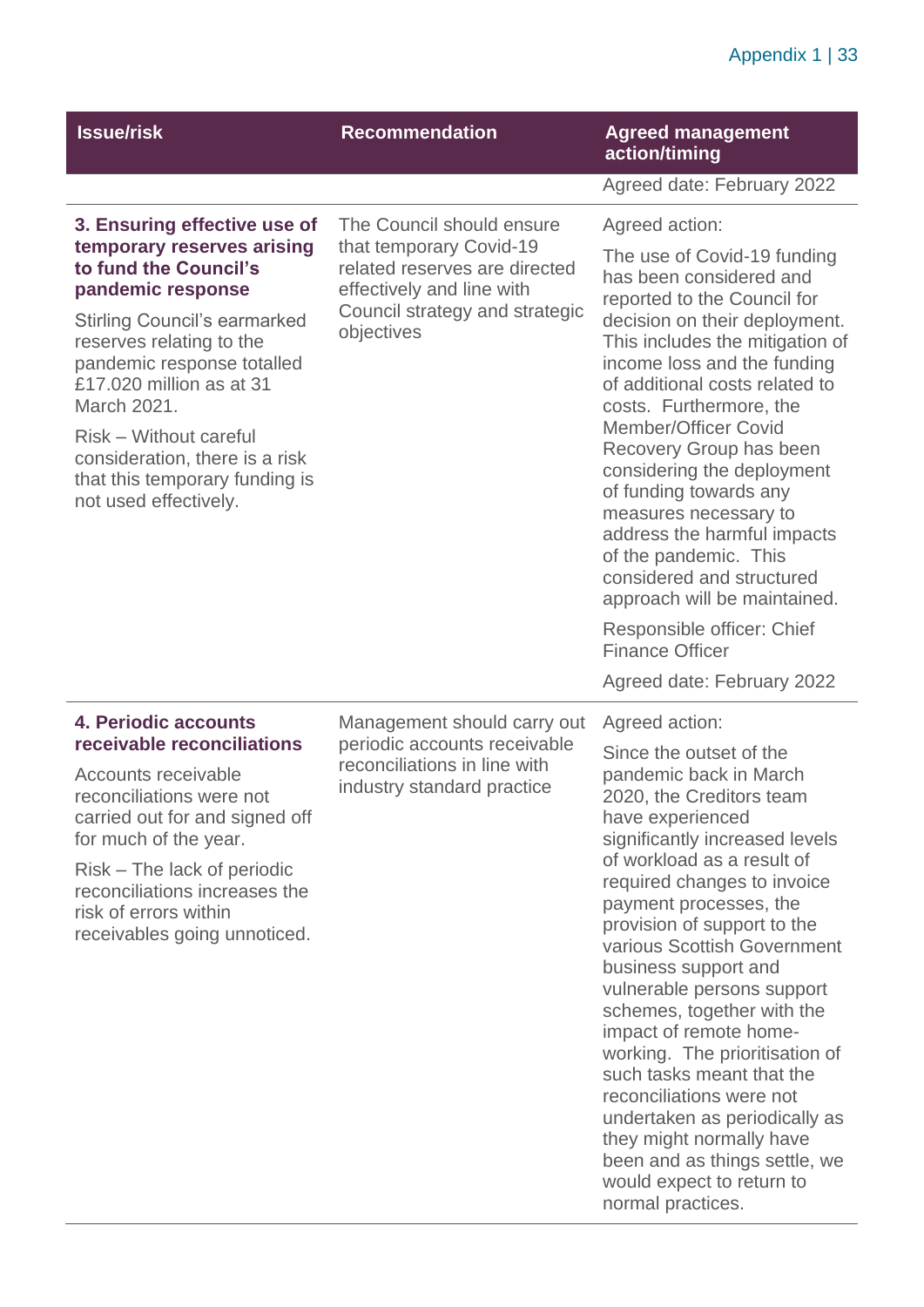| <b>Issue/risk</b>                                                                                                                                                                                                                                                                                                                                                           | <b>Recommendation</b>                                                                                                                                              | <b>Agreed management</b><br>action/timing                                                                                                                                                                                                                                                                                                                                                                                                                                                                                                                                                                                                      |
|-----------------------------------------------------------------------------------------------------------------------------------------------------------------------------------------------------------------------------------------------------------------------------------------------------------------------------------------------------------------------------|--------------------------------------------------------------------------------------------------------------------------------------------------------------------|------------------------------------------------------------------------------------------------------------------------------------------------------------------------------------------------------------------------------------------------------------------------------------------------------------------------------------------------------------------------------------------------------------------------------------------------------------------------------------------------------------------------------------------------------------------------------------------------------------------------------------------------|
|                                                                                                                                                                                                                                                                                                                                                                             |                                                                                                                                                                    | Agreed date: February 2022                                                                                                                                                                                                                                                                                                                                                                                                                                                                                                                                                                                                                     |
| 3. Ensuring effective use of<br>temporary reserves arising<br>to fund the Council's<br>pandemic response<br><b>Stirling Council's earmarked</b><br>reserves relating to the<br>pandemic response totalled<br>£17,020 million as at 31<br>March 2021.<br>Risk – Without careful<br>consideration, there is a risk<br>that this temporary funding is<br>not used effectively. | The Council should ensure<br>that temporary Covid-19<br>related reserves are directed<br>effectively and line with<br>Council strategy and strategic<br>objectives | Agreed action:<br>The use of Covid-19 funding<br>has been considered and<br>reported to the Council for<br>decision on their deployment.<br>This includes the mitigation of<br>income loss and the funding<br>of additional costs related to<br>costs. Furthermore, the<br><b>Member/Officer Covid</b><br>Recovery Group has been<br>considering the deployment<br>of funding towards any<br>measures necessary to<br>address the harmful impacts<br>of the pandemic. This<br>considered and structured<br>approach will be maintained.                                                                                                        |
|                                                                                                                                                                                                                                                                                                                                                                             |                                                                                                                                                                    | Responsible officer: Chief<br><b>Finance Officer</b>                                                                                                                                                                                                                                                                                                                                                                                                                                                                                                                                                                                           |
|                                                                                                                                                                                                                                                                                                                                                                             |                                                                                                                                                                    | Agreed date: February 2022                                                                                                                                                                                                                                                                                                                                                                                                                                                                                                                                                                                                                     |
| 4. Periodic accounts<br>receivable reconciliations<br>Accounts receivable<br>reconciliations were not<br>carried out for and signed off<br>for much of the year.<br>Risk – The lack of periodic<br>reconciliations increases the<br>risk of errors within<br>receivables going unnoticed.                                                                                   | Management should carry out<br>periodic accounts receivable<br>reconciliations in line with<br>industry standard practice                                          | Agreed action:<br>Since the outset of the<br>pandemic back in March<br>2020, the Creditors team<br>have experienced<br>significantly increased levels<br>of workload as a result of<br>required changes to invoice<br>payment processes, the<br>provision of support to the<br>various Scottish Government<br>business support and<br>vulnerable persons support<br>schemes, together with the<br>impact of remote home-<br>working. The prioritisation of<br>such tasks meant that the<br>reconciliations were not<br>undertaken as periodically as<br>they might normally have<br>been and as things settle, we<br>would expect to return to |

normal practices.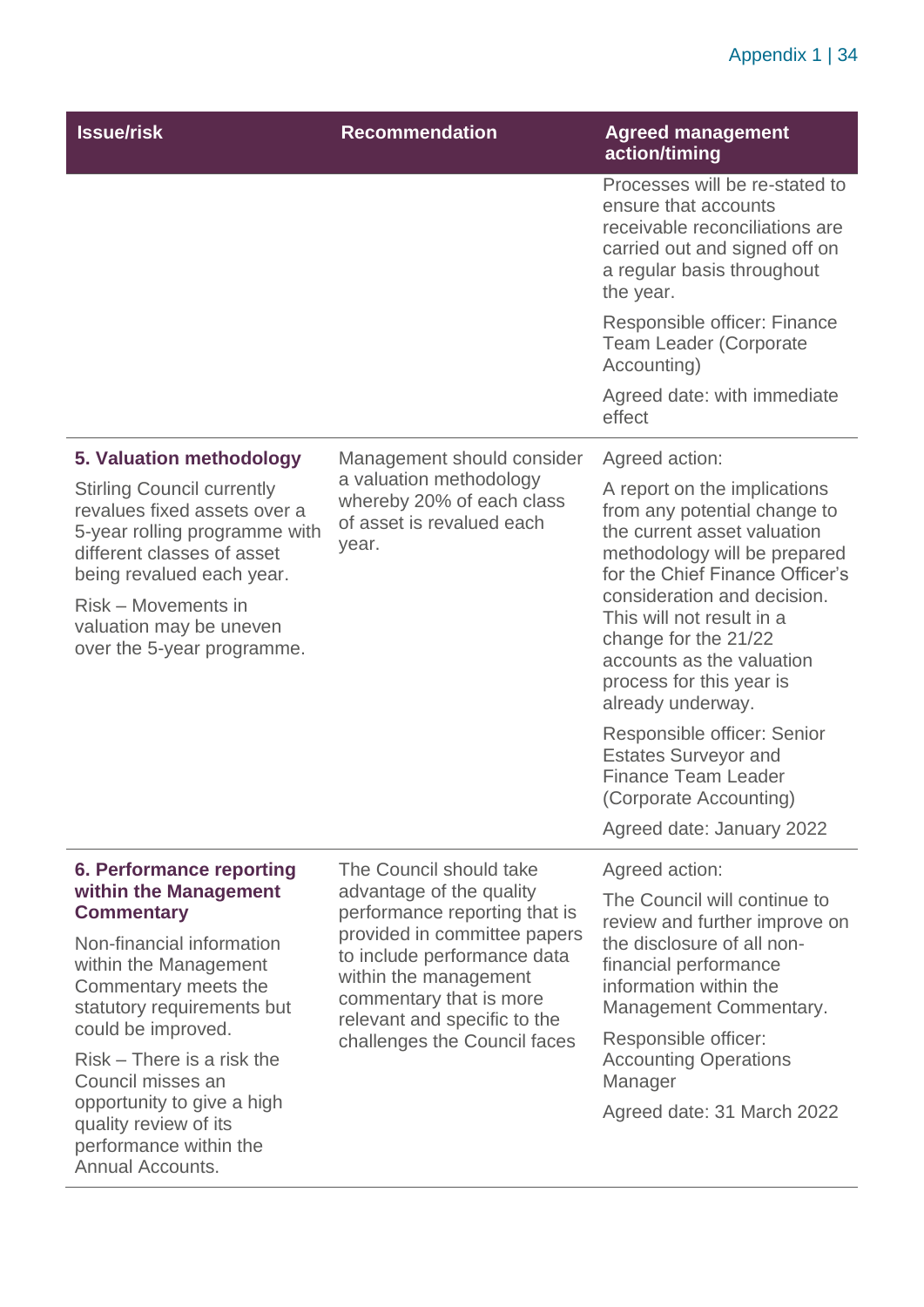# Appendix 1 | 34

| <b>Issue/risk</b>                                                                                                                                                                                                                             | <b>Recommendation</b>                                                                                                                                                           | <b>Agreed management</b><br>action/timing                                                                                                                                                                                                                                                                                        |
|-----------------------------------------------------------------------------------------------------------------------------------------------------------------------------------------------------------------------------------------------|---------------------------------------------------------------------------------------------------------------------------------------------------------------------------------|----------------------------------------------------------------------------------------------------------------------------------------------------------------------------------------------------------------------------------------------------------------------------------------------------------------------------------|
|                                                                                                                                                                                                                                               |                                                                                                                                                                                 | Processes will be re-stated to<br>ensure that accounts<br>receivable reconciliations are<br>carried out and signed off on<br>a regular basis throughout<br>the year.                                                                                                                                                             |
|                                                                                                                                                                                                                                               |                                                                                                                                                                                 | Responsible officer: Finance<br><b>Team Leader (Corporate</b><br>Accounting)                                                                                                                                                                                                                                                     |
|                                                                                                                                                                                                                                               |                                                                                                                                                                                 | Agreed date: with immediate<br>effect                                                                                                                                                                                                                                                                                            |
| 5. Valuation methodology                                                                                                                                                                                                                      | Management should consider                                                                                                                                                      | Agreed action:                                                                                                                                                                                                                                                                                                                   |
| <b>Stirling Council currently</b><br>revalues fixed assets over a<br>5-year rolling programme with<br>different classes of asset<br>being revalued each year.<br>Risk – Movements in<br>valuation may be uneven<br>over the 5-year programme. | a valuation methodology<br>whereby 20% of each class<br>of asset is revalued each<br>year.                                                                                      | A report on the implications<br>from any potential change to<br>the current asset valuation<br>methodology will be prepared<br>for the Chief Finance Officer's<br>consideration and decision.<br>This will not result in a<br>change for the 21/22<br>accounts as the valuation<br>process for this year is<br>already underway. |
|                                                                                                                                                                                                                                               |                                                                                                                                                                                 | Responsible officer: Senior<br><b>Estates Surveyor and</b><br><b>Finance Team Leader</b><br>(Corporate Accounting)<br>Agreed date: January 2022                                                                                                                                                                                  |
| <b>6. Performance reporting</b>                                                                                                                                                                                                               | The Council should take                                                                                                                                                         | Agreed action:                                                                                                                                                                                                                                                                                                                   |
| within the Management<br><b>Commentary</b>                                                                                                                                                                                                    | advantage of the quality<br>performance reporting that is                                                                                                                       | The Council will continue to                                                                                                                                                                                                                                                                                                     |
| Non-financial information<br>within the Management<br>Commentary meets the<br>statutory requirements but                                                                                                                                      | provided in committee papers<br>to include performance data<br>within the management<br>commentary that is more<br>relevant and specific to the<br>challenges the Council faces | review and further improve on<br>the disclosure of all non-<br>financial performance<br>information within the<br>Management Commentary.                                                                                                                                                                                         |
| could be improved.<br>Risk – There is a risk the<br>Council misses an                                                                                                                                                                         |                                                                                                                                                                                 | Responsible officer:<br><b>Accounting Operations</b>                                                                                                                                                                                                                                                                             |
| opportunity to give a high<br>quality review of its<br>performance within the                                                                                                                                                                 |                                                                                                                                                                                 | Manager<br>Agreed date: 31 March 2022                                                                                                                                                                                                                                                                                            |

Annual Accounts.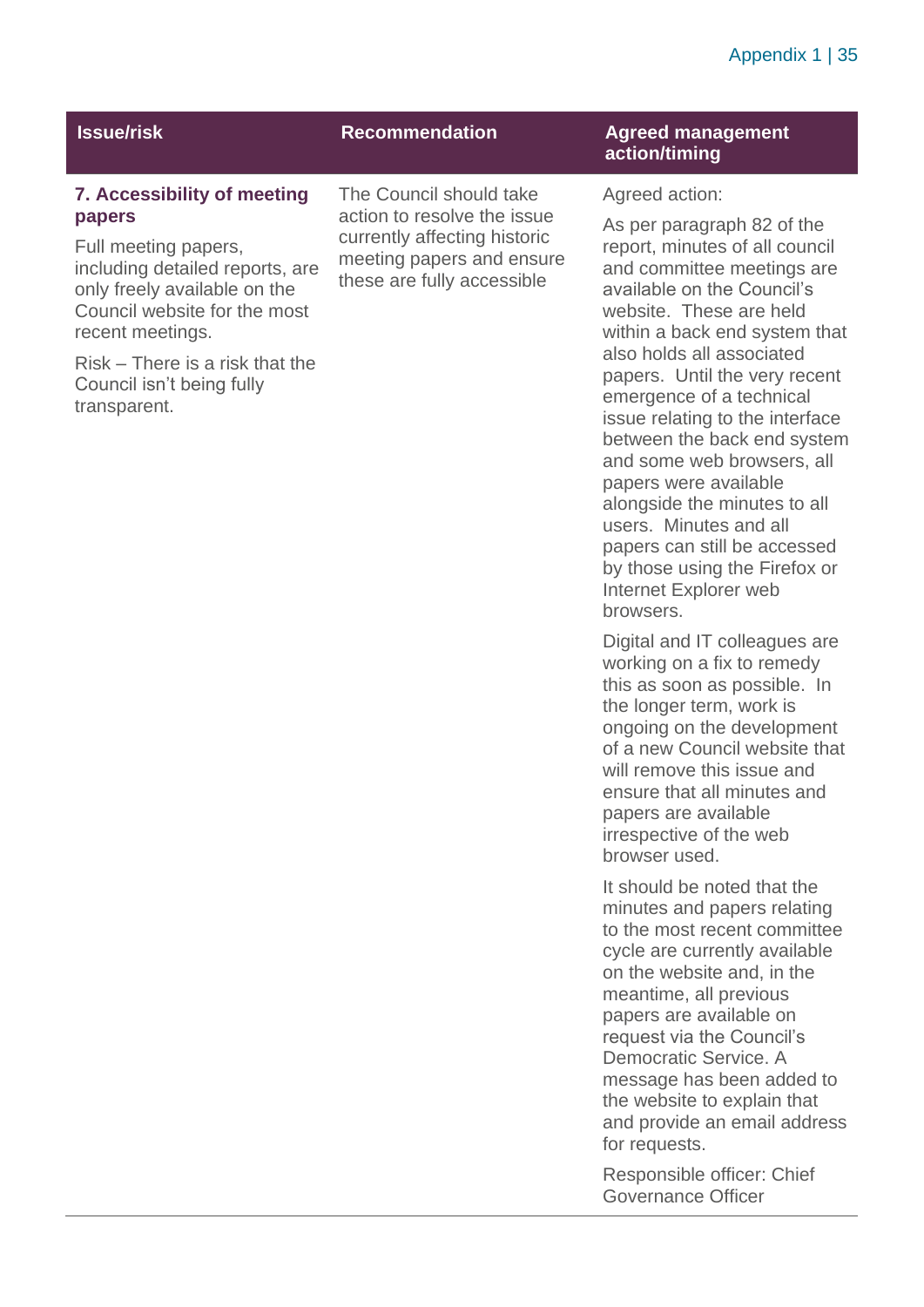### Appendix 1 | 35

#### **7. Accessibility of meeting papers**

Full meeting papers, including detailed reports, are only freely available on the Council website for the most recent meetings.

Risk – There is a risk that the Council isn't being fully transparent.

The Council should take action to resolve the issue currently affecting historic meeting papers and ensure these are fully accessible

### **Issue/risk Recommendation Agreed management Recommendation action/timing**

Agreed action:

As per paragraph 82 of the report, minutes of all council and committee meetings are available on the Council's website. These are held within a back end system that also holds all associated papers. Until the very recent emergence of a technical issue relating to the interface between the back end system and some web browsers, all papers were available alongside the minutes to all users. Minutes and all papers can still be accessed by those using the Firefox or Internet Explorer web browsers.

Digital and IT colleagues are working on a fix to remedy this as soon as possible. In the longer term, work is ongoing on the development of a new Council website that will remove this issue and ensure that all minutes and papers are available irrespective of the web browser used.

It should be noted that the minutes and papers relating to the most recent committee cycle are currently available on the website and, in the meantime, all previous papers are available on request via the Council's Democratic Service. A message has been added to the website to explain that and provide an email address for requests.

Responsible officer: Chief Governance Officer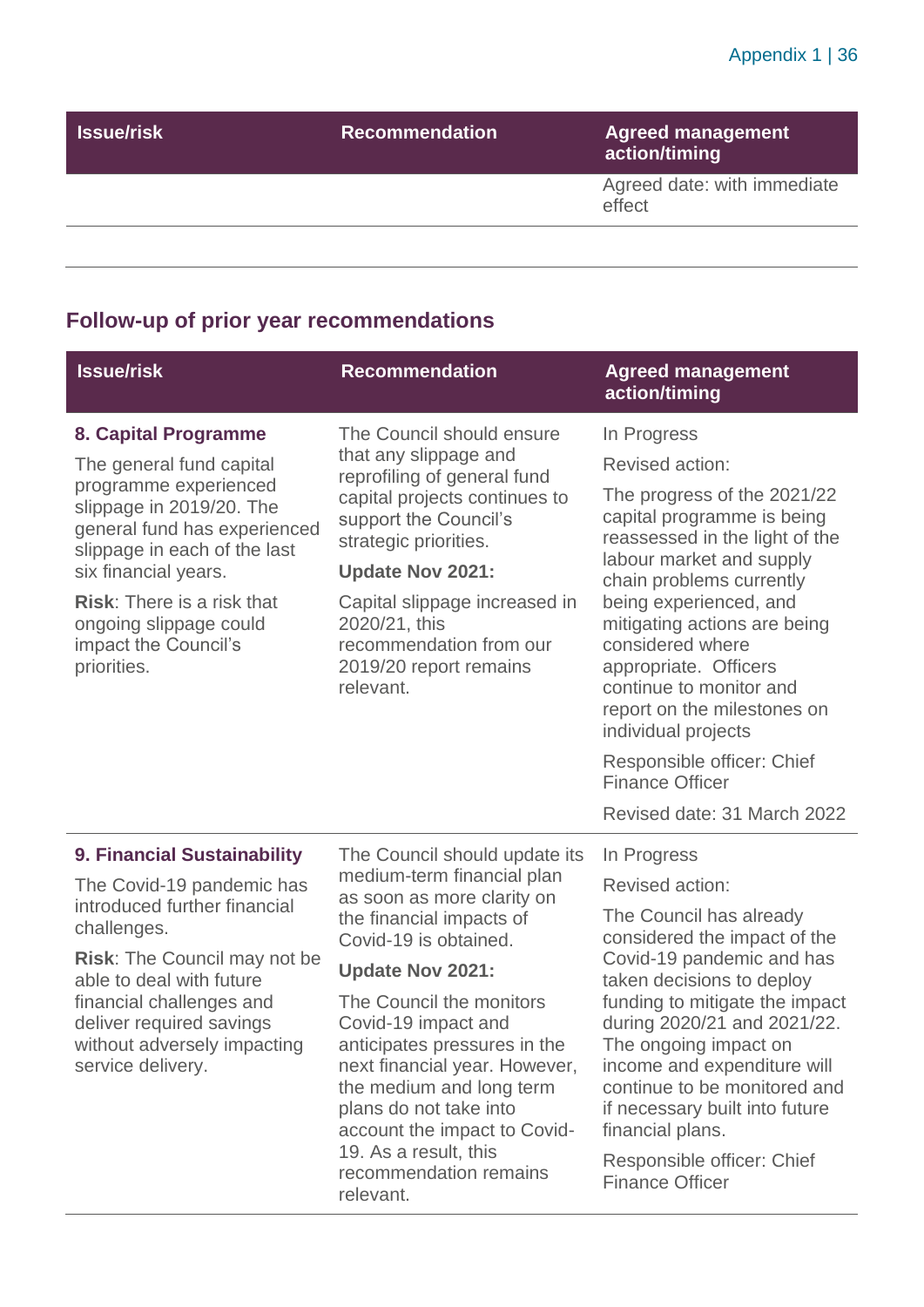| <b>Issue/risk</b> | <b>Recommendation</b> | <b>Agreed management</b><br>action/timing |
|-------------------|-----------------------|-------------------------------------------|
|                   |                       | Agreed date: with immediate<br>effect     |
|                   |                       |                                           |

# **Follow-up of prior year recommendations**

| <b>Issue/risk</b>                                                                                                                                                                                                                                                                                   | <b>Recommendation</b>                                                                                                                                                                                                                                                                                                                                                                                                                                              | <b>Agreed management</b><br>action/timing                                                                                                                                                                                                                                                                                                                                     |
|-----------------------------------------------------------------------------------------------------------------------------------------------------------------------------------------------------------------------------------------------------------------------------------------------------|--------------------------------------------------------------------------------------------------------------------------------------------------------------------------------------------------------------------------------------------------------------------------------------------------------------------------------------------------------------------------------------------------------------------------------------------------------------------|-------------------------------------------------------------------------------------------------------------------------------------------------------------------------------------------------------------------------------------------------------------------------------------------------------------------------------------------------------------------------------|
| 8. Capital Programme<br>The general fund capital<br>programme experienced<br>slippage in 2019/20. The<br>general fund has experienced<br>slippage in each of the last<br>six financial years.<br><b>Risk:</b> There is a risk that<br>ongoing slippage could<br>impact the Council's<br>priorities. | The Council should ensure<br>that any slippage and<br>reprofiling of general fund<br>capital projects continues to<br>support the Council's<br>strategic priorities.<br><b>Update Nov 2021:</b><br>Capital slippage increased in<br>2020/21, this<br>recommendation from our<br>2019/20 report remains<br>relevant.                                                                                                                                                | In Progress<br>Revised action:<br>The progress of the 2021/22<br>capital programme is being<br>reassessed in the light of the<br>labour market and supply<br>chain problems currently<br>being experienced, and<br>mitigating actions are being<br>considered where<br>appropriate. Officers<br>continue to monitor and<br>report on the milestones on<br>individual projects |
|                                                                                                                                                                                                                                                                                                     |                                                                                                                                                                                                                                                                                                                                                                                                                                                                    | Responsible officer: Chief<br><b>Finance Officer</b><br>Revised date: 31 March 2022                                                                                                                                                                                                                                                                                           |
|                                                                                                                                                                                                                                                                                                     |                                                                                                                                                                                                                                                                                                                                                                                                                                                                    |                                                                                                                                                                                                                                                                                                                                                                               |
| 9. Financial Sustainability<br>The Covid-19 pandemic has<br>introduced further financial<br>challenges.<br><b>Risk:</b> The Council may not be<br>able to deal with future                                                                                                                          | The Council should update its<br>In Progress<br>medium-term financial plan<br>as soon as more clarity on<br>the financial impacts of<br>Covid-19 is obtained.<br><b>Update Nov 2021:</b><br>The Council the monitors<br>Covid-19 impact and<br>anticipates pressures in the<br>next financial year. However,<br>the medium and long term<br>plans do not take into<br>account the impact to Covid-<br>19. As a result, this<br>recommendation remains<br>relevant. | <b>Revised action:</b><br>The Council has already<br>considered the impact of the<br>Covid-19 pandemic and has<br>taken decisions to deploy                                                                                                                                                                                                                                   |
| financial challenges and<br>deliver required savings<br>without adversely impacting<br>service delivery.                                                                                                                                                                                            |                                                                                                                                                                                                                                                                                                                                                                                                                                                                    | funding to mitigate the impact<br>during 2020/21 and 2021/22.<br>The ongoing impact on<br>income and expenditure will<br>continue to be monitored and<br>if necessary built into future<br>financial plans.<br>Responsible officer: Chief<br><b>Finance Officer</b>                                                                                                           |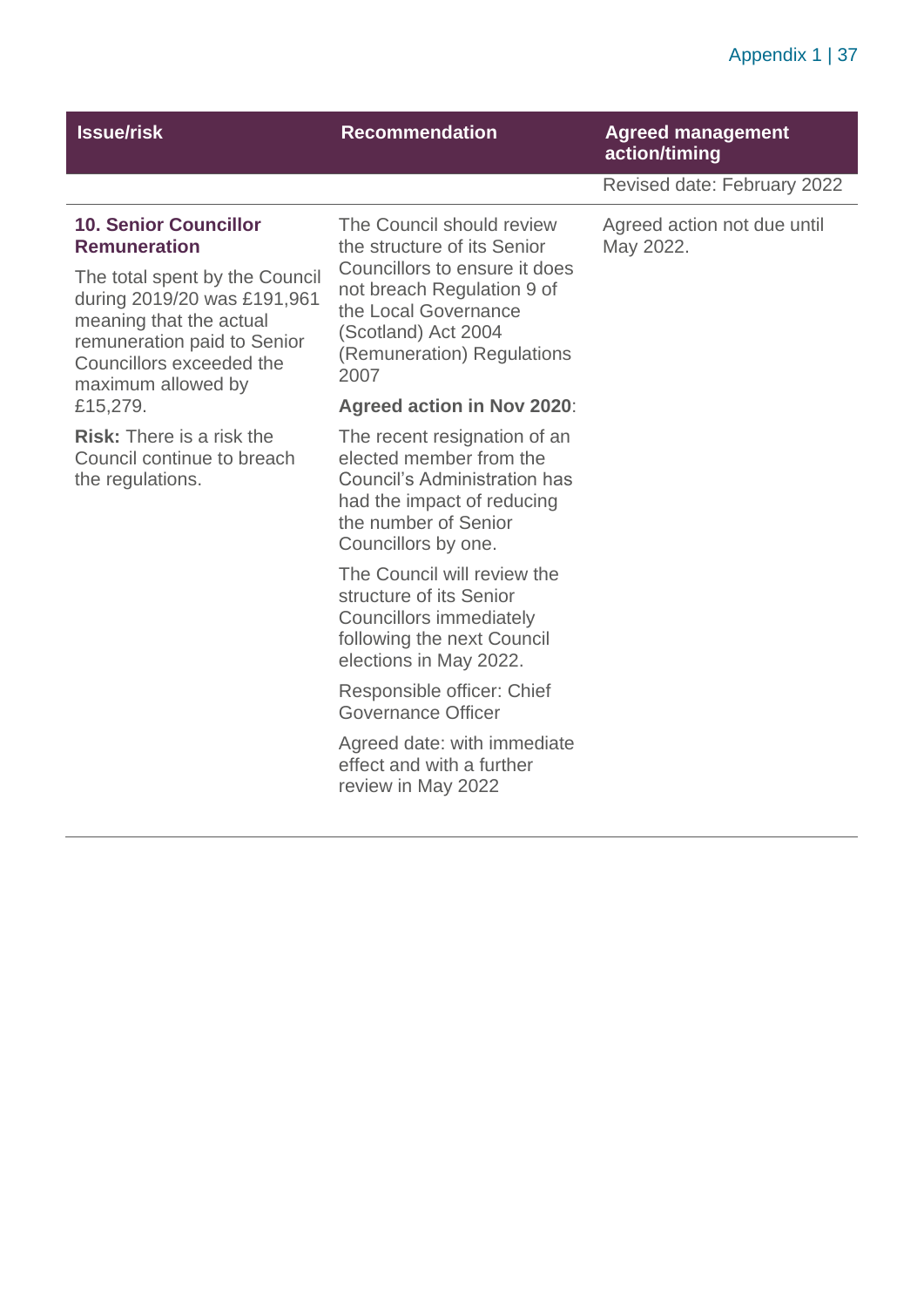### Appendix 1 | 37

## **Issue/risk Recommendation Agreed management action/timing**

Revised date: February 2022

#### **10. Senior Councillor Remuneration**

The total spent by the Council during 2019/20 was £191,961 meaning that the actual remuneration paid to Senior Councillors exceeded the maximum allowed by £15,279.

**Risk:** There is a risk the Council continue to breach the regulations.

The Council should review the structure of its Senior Councillors to ensure it does not breach Regulation 9 of the Local Governance (Scotland) Act 2004 (Remuneration) Regulations 2007

#### **Agreed action in Nov 2020**:

The recent resignation of an elected member from the Council's Administration has had the impact of reducing the number of Senior Councillors by one.

The Council will review the structure of its Senior Councillors immediately following the next Council elections in May 2022.

Responsible officer: Chief Governance Officer

Agreed date: with immediate effect and with a further review in May 2022

Agreed action not due until May 2022.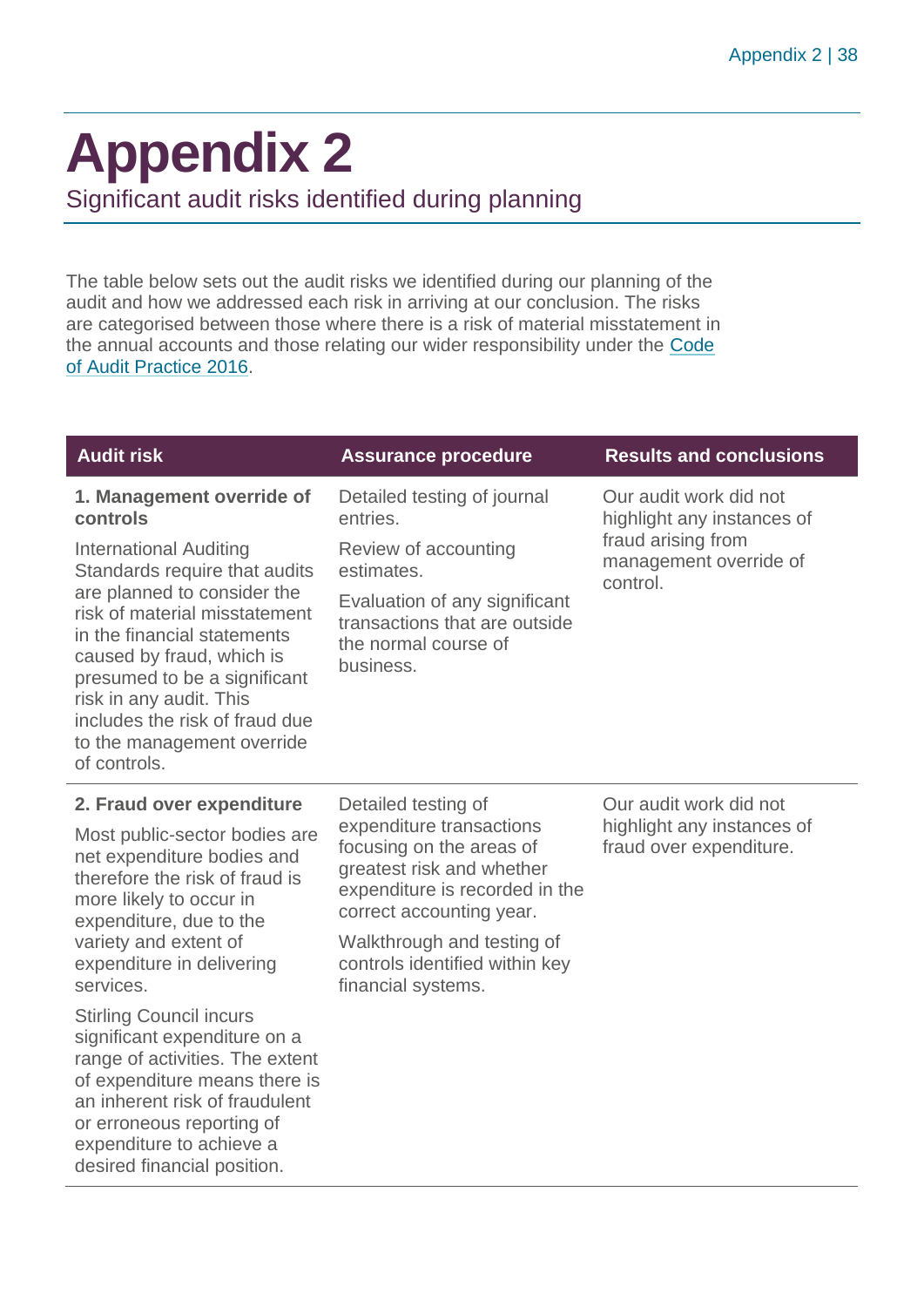# <span id="page-37-0"></span>**Appendix 2**

Significant audit risks identified during planning

The table below sets out the audit risks we identified during our planning of the audit and how we addressed each risk in arriving at our conclusion. The risks are categorised between those where there is a risk of material misstatement in the annual accounts and those relating our wider responsibility under the [Code](http://www.audit-scotland.gov.uk/report/code-of-audit-practice-2016)  [of Audit Practice 2016.](http://www.audit-scotland.gov.uk/report/code-of-audit-practice-2016)

| <b>Audit risk</b>                                                                                                                                                                                                                                                                                                                                                              | <b>Assurance procedure</b>                                                                                                                                                                                                                                   | <b>Results and conclusions</b>                                                                                   |
|--------------------------------------------------------------------------------------------------------------------------------------------------------------------------------------------------------------------------------------------------------------------------------------------------------------------------------------------------------------------------------|--------------------------------------------------------------------------------------------------------------------------------------------------------------------------------------------------------------------------------------------------------------|------------------------------------------------------------------------------------------------------------------|
| 1. Management override of<br>controls<br><b>International Auditing</b><br>Standards require that audits<br>are planned to consider the<br>risk of material misstatement<br>in the financial statements<br>caused by fraud, which is<br>presumed to be a significant<br>risk in any audit. This<br>includes the risk of fraud due<br>to the management override<br>of controls. | Detailed testing of journal<br>entries.<br>Review of accounting<br>estimates.<br>Evaluation of any significant<br>transactions that are outside<br>the normal course of<br>business.                                                                         | Our audit work did not<br>highlight any instances of<br>fraud arising from<br>management override of<br>control. |
| 2. Fraud over expenditure<br>Most public-sector bodies are<br>net expenditure bodies and<br>therefore the risk of fraud is<br>more likely to occur in<br>expenditure, due to the<br>variety and extent of<br>expenditure in delivering<br>services.<br><b>Stirling Council incurs</b>                                                                                          | Detailed testing of<br>expenditure transactions<br>focusing on the areas of<br>greatest risk and whether<br>expenditure is recorded in the<br>correct accounting year.<br>Walkthrough and testing of<br>controls identified within key<br>financial systems. | Our audit work did not<br>highlight any instances of<br>fraud over expenditure.                                  |
| significant expenditure on a<br>range of activities. The extent<br>of expenditure means there is<br>an inherent risk of fraudulent<br>or erroneous reporting of<br>expenditure to achieve a<br>desired financial position.                                                                                                                                                     |                                                                                                                                                                                                                                                              |                                                                                                                  |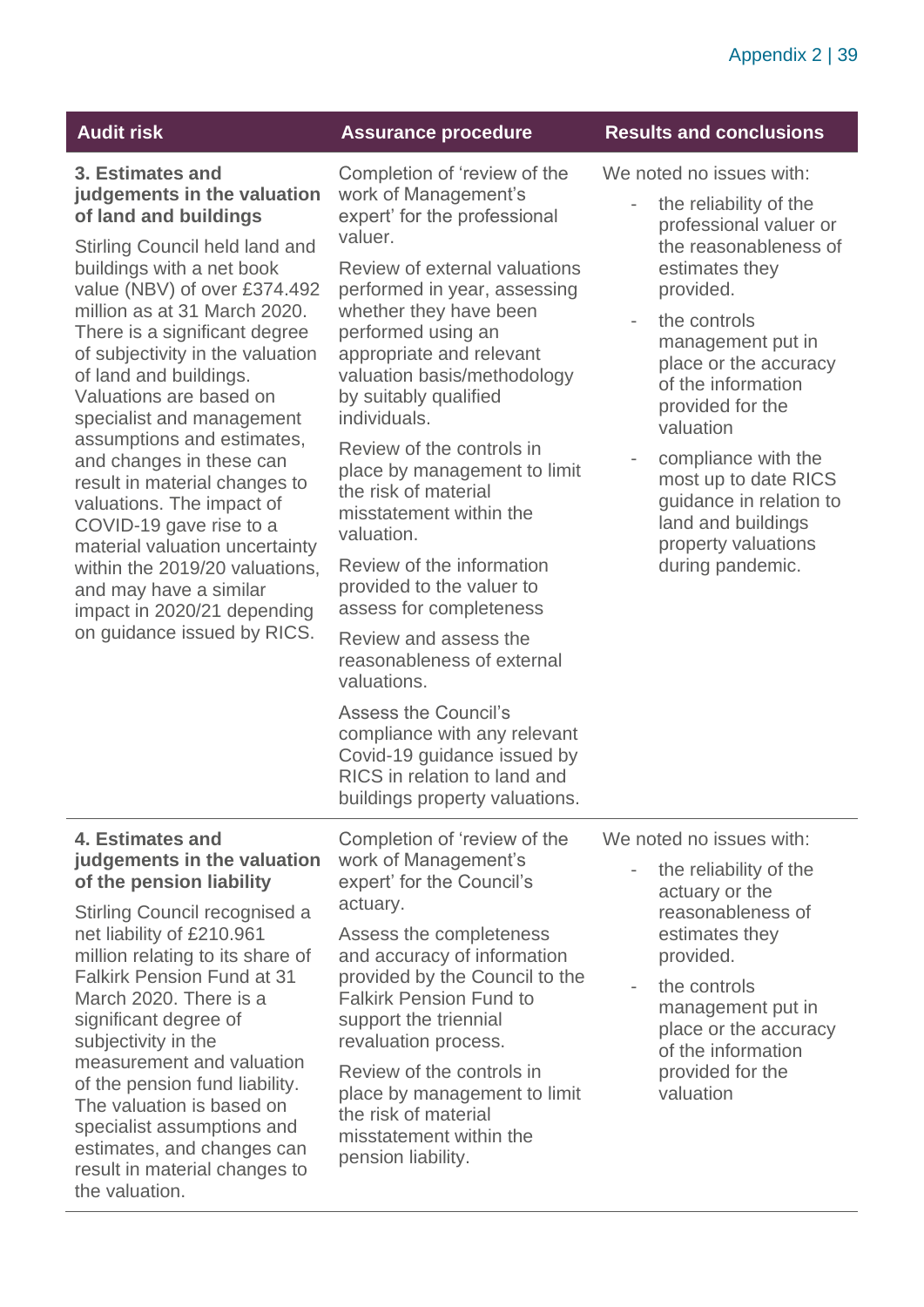### **3. Estimates and judgements in the valuation of land and buildings**

Stirling Council held land and buildings with a net book value (NBV) of over £374.492 million as at 31 March 2020. There is a significant degree of subjectivity in the valuation of land and buildings. Valuations are based on specialist and management assumptions and estimates, and changes in these can result in material changes to valuations. The impact of COVID-19 gave rise to a material valuation uncertainty within the 2019/20 valuations, and may have a similar impact in 2020/21 depending on guidance issued by RICS.

#### **Audit risk Assurance procedure Results and conclusions**

Completion of 'review of the work of Management's expert' for the professional valuer.

Review of external valuations performed in year, assessing whether they have been performed using an appropriate and relevant valuation basis/methodology by suitably qualified individuals.

Review of the controls in place by management to limit the risk of material misstatement within the valuation.

Review of the information provided to the valuer to assess for completeness

Review and assess the reasonableness of external valuations.

Assess the Council's compliance with any relevant Covid-19 guidance issued by RICS in relation to land and buildings property valuations.

#### **4. Estimates and judgements in the valuation of the pension liability**

Stirling Council recognised a net liability of £210.961 million relating to its share of Falkirk Pension Fund at 31 March 2020. There is a significant degree of subjectivity in the measurement and valuation of the pension fund liability. The valuation is based on specialist assumptions and estimates, and changes can result in material changes to the valuation.

Completion of 'review of the work of Management's expert' for the Council's actuary.

Assess the completeness and accuracy of information provided by the Council to the Falkirk Pension Fund to support the triennial revaluation process.

Review of the controls in place by management to limit the risk of material misstatement within the pension liability.

We noted no issues with:

- the reliability of the professional valuer or the reasonableness of estimates they provided.
- the controls management put in place or the accuracy of the information provided for the valuation
- compliance with the most up to date RICS guidance in relation to land and buildings property valuations during pandemic.

We noted no issues with:

- the reliability of the actuary or the reasonableness of estimates they provided.
- the controls management put in place or the accuracy of the information provided for the valuation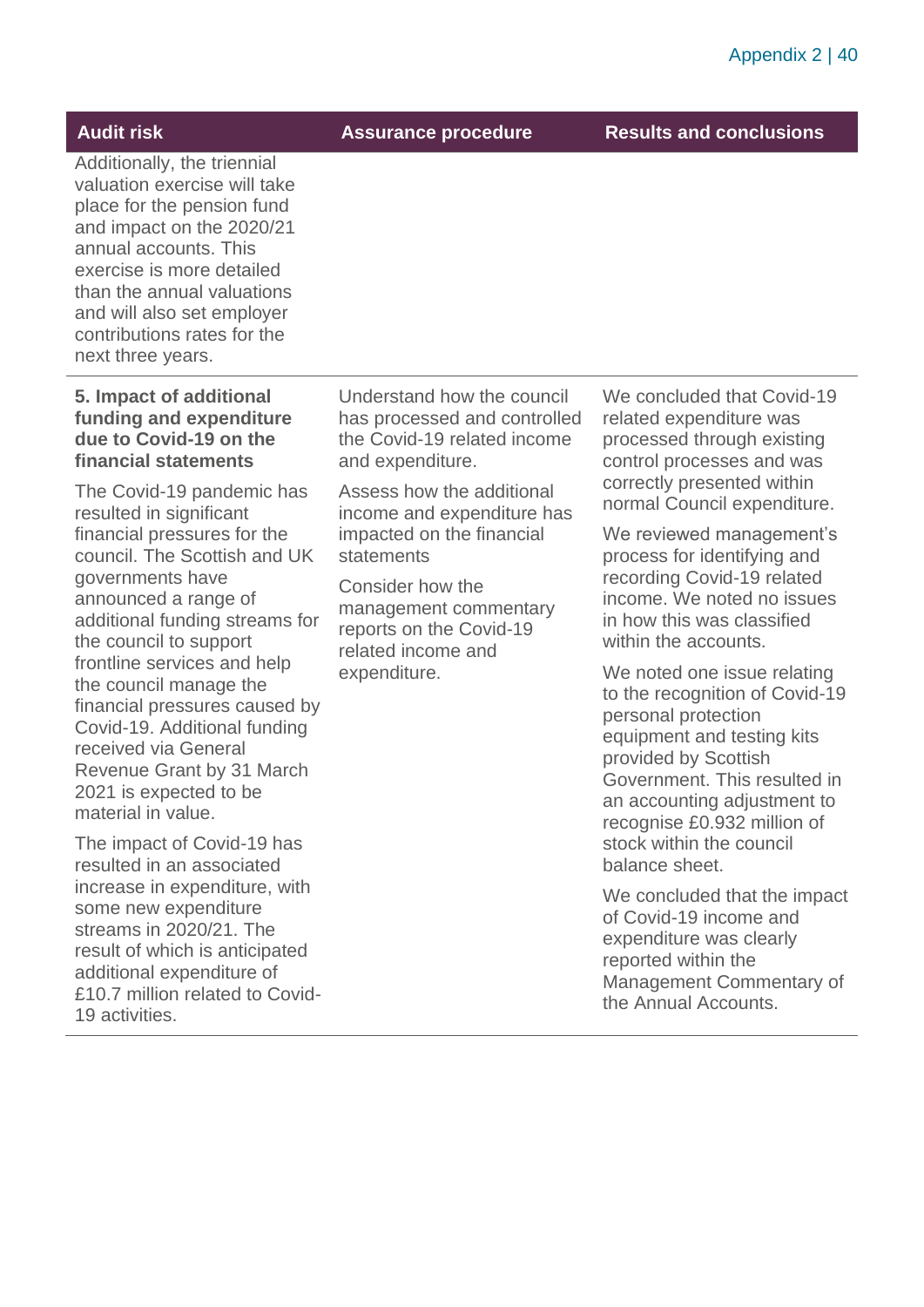**Audit risk Assurance procedure Results and conclusions**

Additionally, the triennial valuation exercise will take place for the pension fund and impact on the 2020/21 annual accounts. This exercise is more detailed than the annual valuations and will also set employer contributions rates for the next three years.

#### **5. Impact of additional funding and expenditure due to Covid-19 on the financial statements**

The Covid-19 pandemic has resulted in significant financial pressures for the council. The Scottish and UK governments have announced a range of additional funding streams for the council to support frontline services and help the council manage the financial pressures caused by Covid-19. Additional funding received via General Revenue Grant by 31 March 2021 is expected to be material in value.

The impact of Covid-19 has resulted in an associated increase in expenditure, with some new expenditure streams in 2020/21. The result of which is anticipated additional expenditure of £10.7 million related to Covid-19 activities.

Understand how the council has processed and controlled the Covid-19 related income and expenditure.

Assess how the additional income and expenditure has impacted on the financial statements

Consider how the management commentary reports on the Covid-19 related income and expenditure.

We concluded that Covid-19 related expenditure was processed through existing control processes and was correctly presented within normal Council expenditure.

We reviewed management's process for identifying and recording Covid-19 related income. We noted no issues in how this was classified within the accounts.

We noted one issue relating to the recognition of Covid-19 personal protection equipment and testing kits provided by Scottish Government. This resulted in an accounting adjustment to recognise £0.932 million of stock within the council balance sheet.

We concluded that the impact of Covid-19 income and expenditure was clearly reported within the Management Commentary of the Annual Accounts.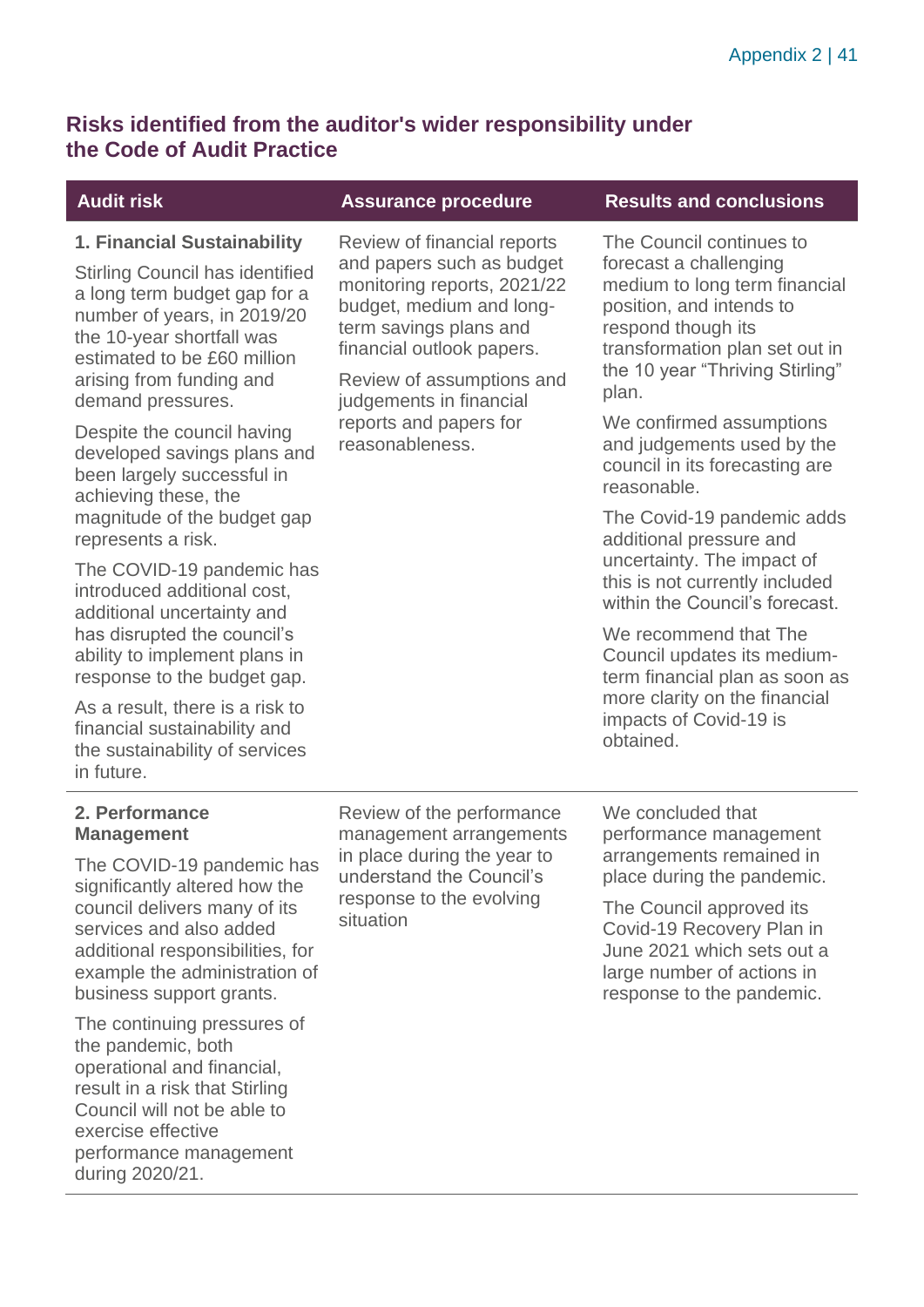# **Risks identified from the auditor's wider responsibility under the Code of Audit Practice**

### **1. Financial Sustainability**

Stirling Council has identified a long term budget gap for a number of years, in 2019/20 the 10-year shortfall was estimated to be £60 million arising from funding and demand pressures.

Despite the council having developed savings plans and been largely successful in achieving these, the magnitude of the budget gap represents a risk.

The COVID-19 pandemic has introduced additional cost, additional uncertainty and has disrupted the council's ability to implement plans in response to the budget gap.

As a result, there is a risk to financial sustainability and the sustainability of services in future.

### Review of financial reports and papers such as budget monitoring reports, 2021/22 budget, medium and longterm savings plans and

Review of assumptions and judgements in financial reports and papers for reasonableness.

financial outlook papers.

### **Audit risk Assurance procedure Results and conclusions**

The Council continues to forecast a challenging medium to long term financial position, and intends to respond though its transformation plan set out in the 10 year "Thriving Stirling" plan.

We confirmed assumptions and judgements used by the council in its forecasting are reasonable.

The Covid-19 pandemic adds additional pressure and uncertainty. The impact of this is not currently included within the Council's forecast.

We recommend that The Council updates its mediumterm financial plan as soon as more clarity on the financial impacts of Covid-19 is obtained.

#### **2. Performance Management**

The COVID-19 pandemic has significantly altered how the council delivers many of its services and also added additional responsibilities, for example the administration of business support grants.

The continuing pressures of the pandemic, both operational and financial, result in a risk that Stirling Council will not be able to exercise effective performance management during 2020/21.

Review of the performance management arrangements in place during the year to understand the Council's response to the evolving situation

We concluded that performance management arrangements remained in place during the pandemic.

The Council approved its Covid-19 Recovery Plan in June 2021 which sets out a large number of actions in response to the pandemic.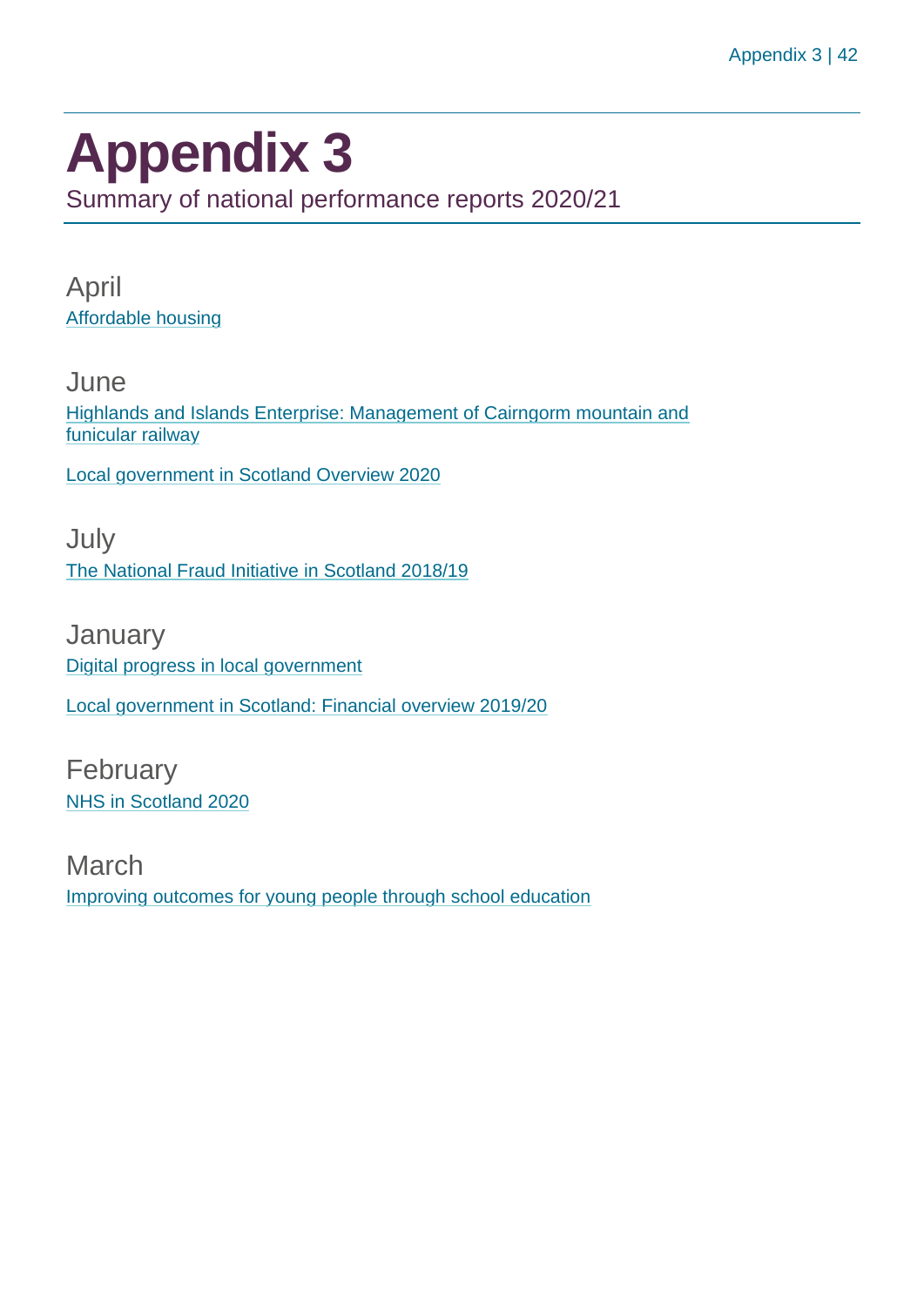# <span id="page-41-0"></span>**Appendix 3**

Summary of national performance reports 2020/21

April [Affordable housing](https://www.audit-scotland.gov.uk/report/affordable-housing)

**June** [Highlands and Islands Enterprise: Management of Cairngorm mountain and](https://www.audit-scotland.gov.uk/report/highlands-and-islands-enterprise-management-of-cairngorm-mountain-and-funicular-railway)  [funicular railway](https://www.audit-scotland.gov.uk/report/highlands-and-islands-enterprise-management-of-cairngorm-mountain-and-funicular-railway)

[Local government in Scotland Overview 2020](https://www.audit-scotland.gov.uk/report/local-government-in-scotland-overview-2020)

July [The National Fraud Initiative in Scotland 2018/19](https://www.audit-scotland.gov.uk/report/the-national-fraud-initiative-in-scotland-201819)

**January** [Digital progress in local government](https://www.audit-scotland.gov.uk/report/digital-progress-in-local-government) [Local government in Scotland: Financial overview 2019/20](https://www.audit-scotland.gov.uk/report/local-government-in-scotland-financial-overview-201920)

February [NHS in Scotland 2020](https://www.audit-scotland.gov.uk/report/nhs-in-scotland-2020)

March [Improving outcomes for young people through school education](https://www.audit-scotland.gov.uk/report/improving-outcomes-for-young-people-through-school-education)